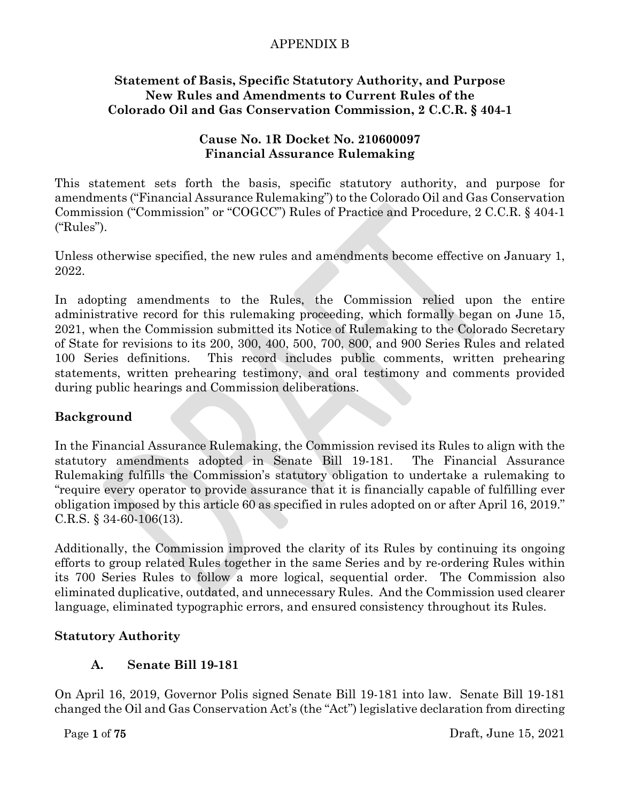#### **Statement of Basis, Specific Statutory Authority, and Purpose New Rules and Amendments to Current Rules of the Colorado Oil and Gas Conservation Commission, 2 C.C.R. § 404-1**

### **Cause No. 1R Docket No. 210600097 Financial Assurance Rulemaking**

This statement sets forth the basis, specific statutory authority, and purpose for amendments ("Financial Assurance Rulemaking") to the Colorado Oil and Gas Conservation Commission ("Commission" or "COGCC") Rules of Practice and Procedure, 2 C.C.R. § 404-1 ("Rules").

Unless otherwise specified, the new rules and amendments become effective on January 1, 2022.

In adopting amendments to the Rules, the Commission relied upon the entire administrative record for this rulemaking proceeding, which formally began on June 15, 2021, when the Commission submitted its Notice of Rulemaking to the Colorado Secretary of State for revisions to its 200, 300, 400, 500, 700, 800, and 900 Series Rules and related 100 Series definitions. This record includes public comments, written prehearing statements, written prehearing testimony, and oral testimony and comments provided during public hearings and Commission deliberations.

# **Background**

In the Financial Assurance Rulemaking, the Commission revised its Rules to align with the statutory amendments adopted in Senate Bill 19-181. The Financial Assurance Rulemaking fulfills the Commission's statutory obligation to undertake a rulemaking to "require every operator to provide assurance that it is financially capable of fulfilling ever obligation imposed by this article 60 as specified in rules adopted on or after April 16, 2019." C.R.S. § 34-60-106(13).

Additionally, the Commission improved the clarity of its Rules by continuing its ongoing efforts to group related Rules together in the same Series and by re-ordering Rules within its 700 Series Rules to follow a more logical, sequential order. The Commission also eliminated duplicative, outdated, and unnecessary Rules. And the Commission used clearer language, eliminated typographic errors, and ensured consistency throughout its Rules.

### **Statutory Authority**

# **A. Senate Bill 19-181**

On April 16, 2019, Governor Polis signed Senate Bill 19-181 into law. Senate Bill 19-181 changed the Oil and Gas Conservation Act's (the "Act") legislative declaration from directing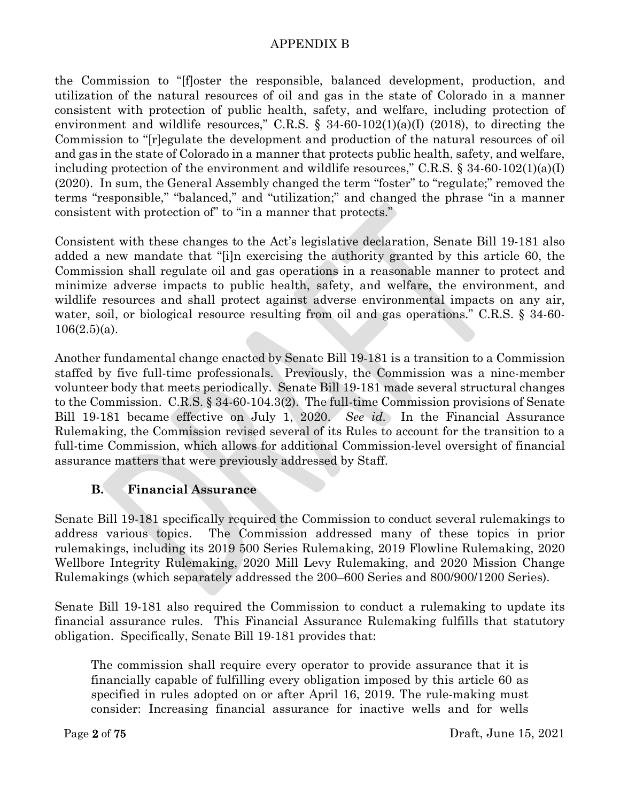the Commission to "[f]oster the responsible, balanced development, production, and utilization of the natural resources of oil and gas in the state of Colorado in a manner consistent with protection of public health, safety, and welfare, including protection of environment and wildlife resources," C.R.S.  $\S$  34-60-102(1)(a)(I) (2018), to directing the Commission to "[r]egulate the development and production of the natural resources of oil and gas in the state of Colorado in a manner that protects public health, safety, and welfare, including protection of the environment and wildlife resources," C.R.S.  $\S 34-60-102(1)(a)(I)$ (2020). In sum, the General Assembly changed the term "foster" to "regulate;" removed the terms "responsible," "balanced," and "utilization;" and changed the phrase "in a manner consistent with protection of" to "in a manner that protects."

Consistent with these changes to the Act's legislative declaration, Senate Bill 19-181 also added a new mandate that "[i]n exercising the authority granted by this article 60, the Commission shall regulate oil and gas operations in a reasonable manner to protect and minimize adverse impacts to public health, safety, and welfare, the environment, and wildlife resources and shall protect against adverse environmental impacts on any air, water, soil, or biological resource resulting from oil and gas operations." C.R.S. § 34-60- $106(2.5)(a)$ .

Another fundamental change enacted by Senate Bill 19-181 is a transition to a Commission staffed by five full-time professionals. Previously, the Commission was a nine-member volunteer body that meets periodically. Senate Bill 19-181 made several structural changes to the Commission. C.R.S. § 34-60-104.3(2). The full-time Commission provisions of Senate Bill 19-181 became effective on July 1, 2020. *See id.* In the Financial Assurance Rulemaking, the Commission revised several of its Rules to account for the transition to a full-time Commission, which allows for additional Commission-level oversight of financial assurance matters that were previously addressed by Staff.

# **B. Financial Assurance**

Senate Bill 19-181 specifically required the Commission to conduct several rulemakings to address various topics. The Commission addressed many of these topics in prior rulemakings, including its 2019 500 Series Rulemaking, 2019 Flowline Rulemaking, 2020 Wellbore Integrity Rulemaking, 2020 Mill Levy Rulemaking, and 2020 Mission Change Rulemakings (which separately addressed the 200–600 Series and 800/900/1200 Series).

Senate Bill 19-181 also required the Commission to conduct a rulemaking to update its financial assurance rules. This Financial Assurance Rulemaking fulfills that statutory obligation. Specifically, Senate Bill 19-181 provides that:

The commission shall require every operator to provide assurance that it is financially capable of fulfilling every obligation imposed by this article 60 as specified in rules adopted on or after April 16, 2019. The rule-making must consider: Increasing financial assurance for inactive wells and for wells

Page 2 of 75  $\sqrt{2}$  Draft, June 15, 2021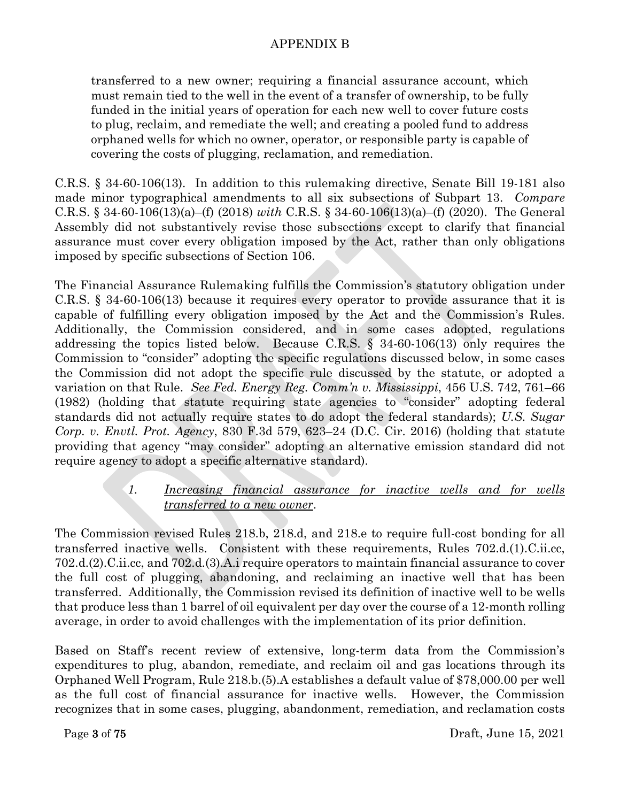transferred to a new owner; requiring a financial assurance account, which must remain tied to the well in the event of a transfer of ownership, to be fully funded in the initial years of operation for each new well to cover future costs to plug, reclaim, and remediate the well; and creating a pooled fund to address orphaned wells for which no owner, operator, or responsible party is capable of covering the costs of plugging, reclamation, and remediation.

C.R.S. § 34-60-106(13). In addition to this rulemaking directive, Senate Bill 19-181 also made minor typographical amendments to all six subsections of Subpart 13. *Compare*  C.R.S. § 34-60-106(13)(a)–(f) (2018) *with* C.R.S. § 34-60-106(13)(a)–(f) (2020). The General Assembly did not substantively revise those subsections except to clarify that financial assurance must cover every obligation imposed by the Act, rather than only obligations imposed by specific subsections of Section 106.

The Financial Assurance Rulemaking fulfills the Commission's statutory obligation under C.R.S. § 34-60-106(13) because it requires every operator to provide assurance that it is capable of fulfilling every obligation imposed by the Act and the Commission's Rules. Additionally, the Commission considered, and in some cases adopted, regulations addressing the topics listed below. Because C.R.S. § 34-60-106(13) only requires the Commission to "consider" adopting the specific regulations discussed below, in some cases the Commission did not adopt the specific rule discussed by the statute, or adopted a variation on that Rule. *See Fed. Energy Reg. Comm'n v. Mississippi*, 456 U.S. 742, 761–66 (1982) (holding that statute requiring state agencies to "consider" adopting federal standards did not actually require states to do adopt the federal standards); *U.S. Sugar Corp. v. Envtl. Prot. Agency*, 830 F.3d 579, 623–24 (D.C. Cir. 2016) (holding that statute providing that agency "may consider" adopting an alternative emission standard did not require agency to adopt a specific alternative standard).

# *1. Increasing financial assurance for inactive wells and for wells transferred to a new owner*.

The Commission revised Rules 218.b, 218.d, and 218.e to require full-cost bonding for all transferred inactive wells. Consistent with these requirements, Rules 702.d.(1).C.ii.cc, 702.d.(2).C.ii.cc, and 702.d.(3).A.i require operators to maintain financial assurance to cover the full cost of plugging, abandoning, and reclaiming an inactive well that has been transferred. Additionally, the Commission revised its definition of inactive well to be wells that produce less than 1 barrel of oil equivalent per day over the course of a 12-month rolling average, in order to avoid challenges with the implementation of its prior definition.

Based on Staff's recent review of extensive, long-term data from the Commission's expenditures to plug, abandon, remediate, and reclaim oil and gas locations through its Orphaned Well Program, Rule 218.b.(5).A establishes a default value of \$78,000.00 per well as the full cost of financial assurance for inactive wells. However, the Commission recognizes that in some cases, plugging, abandonment, remediation, and reclamation costs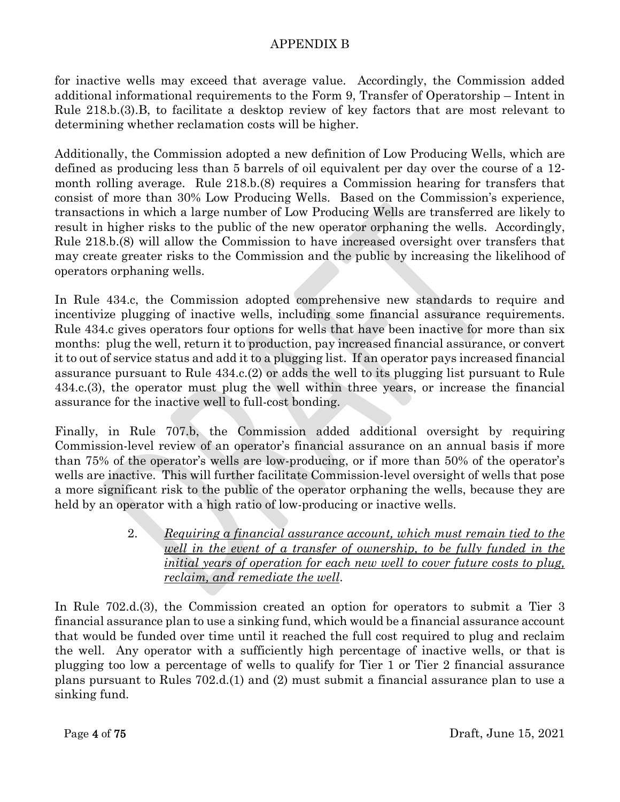for inactive wells may exceed that average value. Accordingly, the Commission added additional informational requirements to the Form 9, Transfer of Operatorship – Intent in Rule 218.b.(3).B, to facilitate a desktop review of key factors that are most relevant to determining whether reclamation costs will be higher.

Additionally, the Commission adopted a new definition of Low Producing Wells, which are defined as producing less than 5 barrels of oil equivalent per day over the course of a 12 month rolling average. Rule 218.b.(8) requires a Commission hearing for transfers that consist of more than 30% Low Producing Wells. Based on the Commission's experience, transactions in which a large number of Low Producing Wells are transferred are likely to result in higher risks to the public of the new operator orphaning the wells. Accordingly, Rule 218.b.(8) will allow the Commission to have increased oversight over transfers that may create greater risks to the Commission and the public by increasing the likelihood of operators orphaning wells.

In Rule 434.c, the Commission adopted comprehensive new standards to require and incentivize plugging of inactive wells, including some financial assurance requirements. Rule 434.c gives operators four options for wells that have been inactive for more than six months: plug the well, return it to production, pay increased financial assurance, or convert it to out of service status and add it to a plugging list. If an operator pays increased financial assurance pursuant to Rule 434.c.(2) or adds the well to its plugging list pursuant to Rule 434.c.(3), the operator must plug the well within three years, or increase the financial assurance for the inactive well to full-cost bonding.

Finally, in Rule 707.b, the Commission added additional oversight by requiring Commission-level review of an operator's financial assurance on an annual basis if more than 75% of the operator's wells are low-producing, or if more than 50% of the operator's wells are inactive. This will further facilitate Commission-level oversight of wells that pose a more significant risk to the public of the operator orphaning the wells, because they are held by an operator with a high ratio of low-producing or inactive wells.

> 2. *Requiring a financial assurance account, which must remain tied to the well in the event of a transfer of ownership, to be fully funded in the initial years of operation for each new well to cover future costs to plug, reclaim, and remediate the well*.

In Rule 702.d.(3), the Commission created an option for operators to submit a Tier 3 financial assurance plan to use a sinking fund, which would be a financial assurance account that would be funded over time until it reached the full cost required to plug and reclaim the well. Any operator with a sufficiently high percentage of inactive wells, or that is plugging too low a percentage of wells to qualify for Tier 1 or Tier 2 financial assurance plans pursuant to Rules 702.d.(1) and (2) must submit a financial assurance plan to use a sinking fund.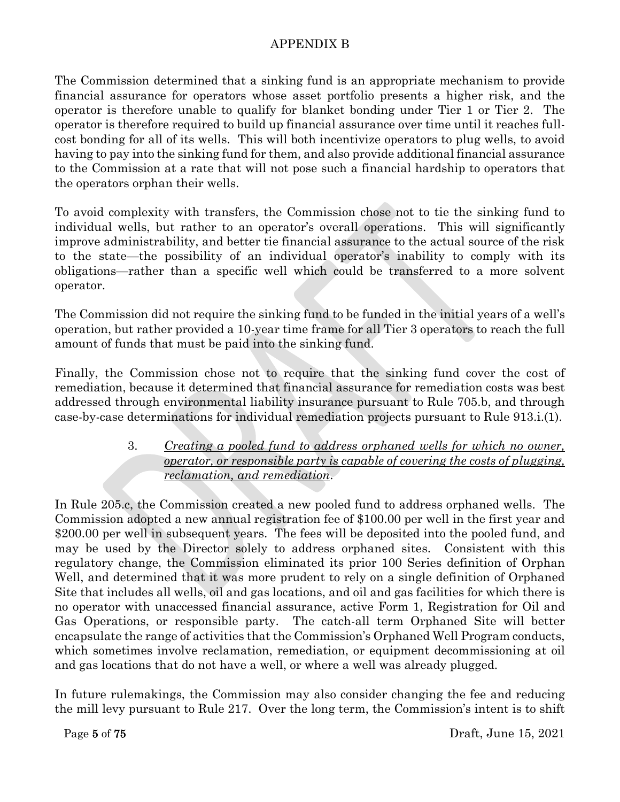The Commission determined that a sinking fund is an appropriate mechanism to provide financial assurance for operators whose asset portfolio presents a higher risk, and the operator is therefore unable to qualify for blanket bonding under Tier 1 or Tier 2. The operator is therefore required to build up financial assurance over time until it reaches fullcost bonding for all of its wells. This will both incentivize operators to plug wells, to avoid having to pay into the sinking fund for them, and also provide additional financial assurance to the Commission at a rate that will not pose such a financial hardship to operators that the operators orphan their wells.

To avoid complexity with transfers, the Commission chose not to tie the sinking fund to individual wells, but rather to an operator's overall operations. This will significantly improve administrability, and better tie financial assurance to the actual source of the risk to the state—the possibility of an individual operator's inability to comply with its obligations—rather than a specific well which could be transferred to a more solvent operator.

The Commission did not require the sinking fund to be funded in the initial years of a well's operation, but rather provided a 10-year time frame for all Tier 3 operators to reach the full amount of funds that must be paid into the sinking fund.

Finally, the Commission chose not to require that the sinking fund cover the cost of remediation, because it determined that financial assurance for remediation costs was best addressed through environmental liability insurance pursuant to Rule 705.b, and through case-by-case determinations for individual remediation projects pursuant to Rule 913.i.(1).

## 3. *Creating a pooled fund to address orphaned wells for which no owner, operator, or responsible party is capable of covering the costs of plugging, reclamation, and remediation*.

In Rule 205.c, the Commission created a new pooled fund to address orphaned wells. The Commission adopted a new annual registration fee of \$100.00 per well in the first year and \$200.00 per well in subsequent years. The fees will be deposited into the pooled fund, and may be used by the Director solely to address orphaned sites. Consistent with this regulatory change, the Commission eliminated its prior 100 Series definition of Orphan Well, and determined that it was more prudent to rely on a single definition of Orphaned Site that includes all wells, oil and gas locations, and oil and gas facilities for which there is no operator with unaccessed financial assurance, active Form 1, Registration for Oil and Gas Operations, or responsible party. The catch-all term Orphaned Site will better encapsulate the range of activities that the Commission's Orphaned Well Program conducts, which sometimes involve reclamation, remediation, or equipment decommissioning at oil and gas locations that do not have a well, or where a well was already plugged.

In future rulemakings, the Commission may also consider changing the fee and reducing the mill levy pursuant to Rule 217. Over the long term, the Commission's intent is to shift

Page 5 of 75 Draft, June 15, 2021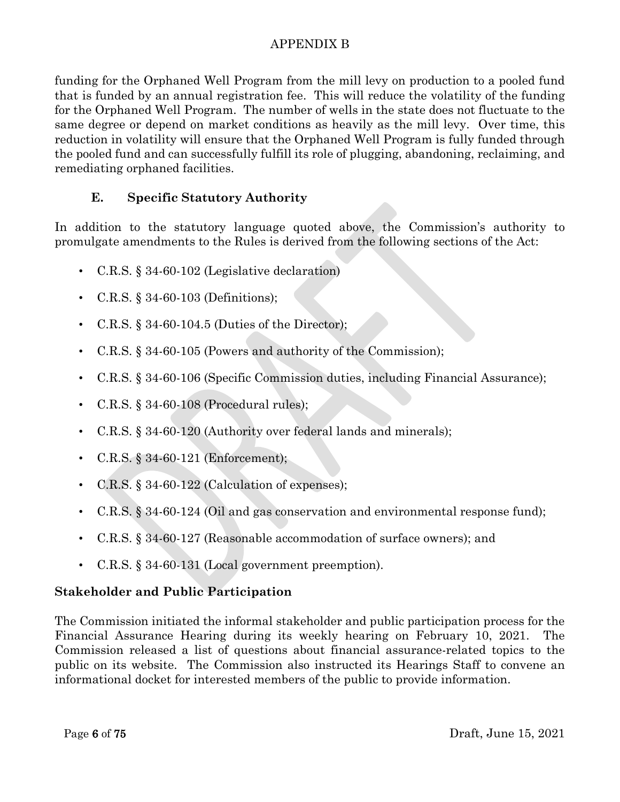funding for the Orphaned Well Program from the mill levy on production to a pooled fund that is funded by an annual registration fee. This will reduce the volatility of the funding for the Orphaned Well Program. The number of wells in the state does not fluctuate to the same degree or depend on market conditions as heavily as the mill levy. Over time, this reduction in volatility will ensure that the Orphaned Well Program is fully funded through the pooled fund and can successfully fulfill its role of plugging, abandoning, reclaiming, and remediating orphaned facilities.

# **E. Specific Statutory Authority**

In addition to the statutory language quoted above, the Commission's authority to promulgate amendments to the Rules is derived from the following sections of the Act:

- C.R.S. § 34-60-102 (Legislative declaration)
- C.R.S. § 34-60-103 (Definitions);
- C.R.S. § 34-60-104.5 (Duties of the Director);
- C.R.S. § 34-60-105 (Powers and authority of the Commission);
- C.R.S. § 34-60-106 (Specific Commission duties, including Financial Assurance);
- C.R.S. § 34-60-108 (Procedural rules);
- C.R.S. § 34-60-120 (Authority over federal lands and minerals);
- C.R.S. § 34-60-121 (Enforcement);
- C.R.S.  $\S$  34-60-122 (Calculation of expenses);
- C.R.S. § 34-60-124 (Oil and gas conservation and environmental response fund);
- C.R.S. § 34-60-127 (Reasonable accommodation of surface owners); and
- C.R.S. § 34-60-131 (Local government preemption).

# **Stakeholder and Public Participation**

The Commission initiated the informal stakeholder and public participation process for the Financial Assurance Hearing during its weekly hearing on February 10, 2021. The Commission released a list of questions about financial assurance-related topics to the public on its website. The Commission also instructed its Hearings Staff to convene an informational docket for interested members of the public to provide information.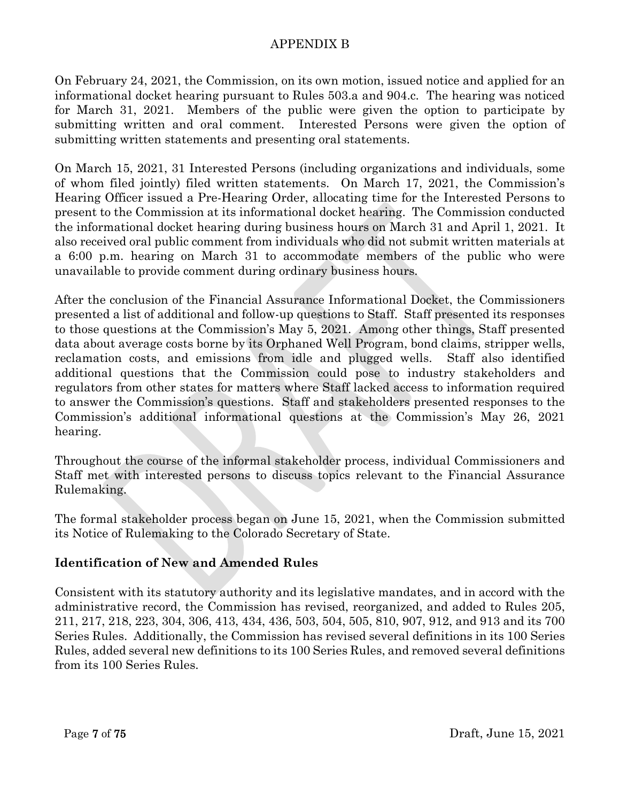On February 24, 2021, the Commission, on its own motion, issued notice and applied for an informational docket hearing pursuant to Rules 503.a and 904.c. The hearing was noticed for March 31, 2021. Members of the public were given the option to participate by submitting written and oral comment. Interested Persons were given the option of submitting written statements and presenting oral statements.

On March 15, 2021, 31 Interested Persons (including organizations and individuals, some of whom filed jointly) filed written statements. On March 17, 2021, the Commission's Hearing Officer issued a Pre-Hearing Order, allocating time for the Interested Persons to present to the Commission at its informational docket hearing. The Commission conducted the informational docket hearing during business hours on March 31 and April 1, 2021. It also received oral public comment from individuals who did not submit written materials at a 6:00 p.m. hearing on March 31 to accommodate members of the public who were unavailable to provide comment during ordinary business hours.

After the conclusion of the Financial Assurance Informational Docket, the Commissioners presented a list of additional and follow-up questions to Staff. Staff presented its responses to those questions at the Commission's May 5, 2021. Among other things, Staff presented data about average costs borne by its Orphaned Well Program, bond claims, stripper wells, reclamation costs, and emissions from idle and plugged wells. Staff also identified additional questions that the Commission could pose to industry stakeholders and regulators from other states for matters where Staff lacked access to information required to answer the Commission's questions. Staff and stakeholders presented responses to the Commission's additional informational questions at the Commission's May 26, 2021 hearing.

Throughout the course of the informal stakeholder process, individual Commissioners and Staff met with interested persons to discuss topics relevant to the Financial Assurance Rulemaking.

The formal stakeholder process began on June 15, 2021, when the Commission submitted its Notice of Rulemaking to the Colorado Secretary of State.

### **Identification of New and Amended Rules**

Consistent with its statutory authority and its legislative mandates, and in accord with the administrative record, the Commission has revised, reorganized, and added to Rules 205, 211, 217, 218, 223, 304, 306, 413, 434, 436, 503, 504, 505, 810, 907, 912, and 913 and its 700 Series Rules. Additionally, the Commission has revised several definitions in its 100 Series Rules, added several new definitions to its 100 Series Rules, and removed several definitions from its 100 Series Rules.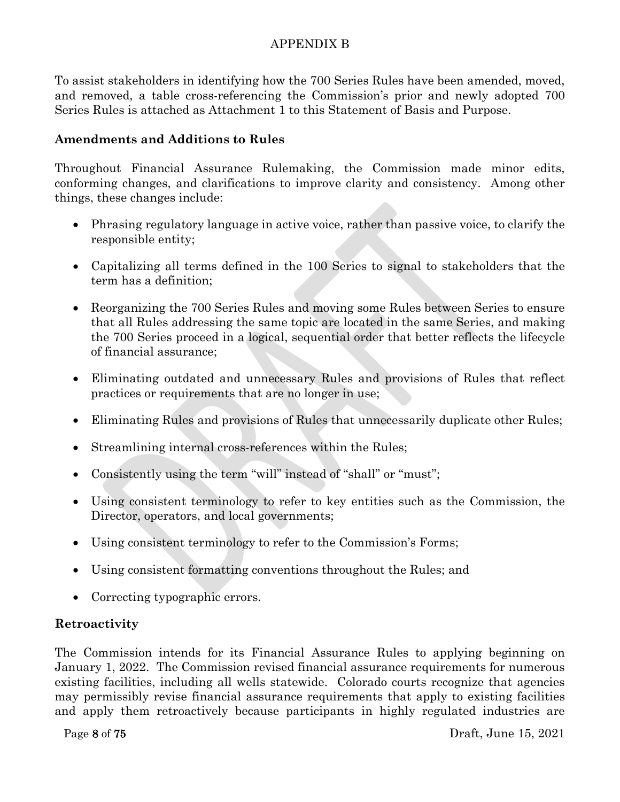To assist stakeholders in identifying how the 700 Series Rules have been amended, moved, and removed, a table cross-referencing the Commission's prior and newly adopted 700 Series Rules is attached as Attachment 1 to this Statement of Basis and Purpose.

## **Amendments and Additions to Rules**

Throughout Financial Assurance Rulemaking, the Commission made minor edits, conforming changes, and clarifications to improve clarity and consistency. Among other things, these changes include:

- Phrasing regulatory language in active voice, rather than passive voice, to clarify the responsible entity;
- Capitalizing all terms defined in the 100 Series to signal to stakeholders that the term has a definition;
- Reorganizing the 700 Series Rules and moving some Rules between Series to ensure that all Rules addressing the same topic are located in the same Series, and making the 700 Series proceed in a logical, sequential order that better reflects the lifecycle of financial assurance;
- Eliminating outdated and unnecessary Rules and provisions of Rules that reflect practices or requirements that are no longer in use;
- Eliminating Rules and provisions of Rules that unnecessarily duplicate other Rules;
- Streamlining internal cross-references within the Rules;
- Consistently using the term "will" instead of "shall" or "must";
- Using consistent terminology to refer to key entities such as the Commission, the Director, operators, and local governments;
- Using consistent terminology to refer to the Commission's Forms;
- Using consistent formatting conventions throughout the Rules; and
- Correcting typographic errors.

### **Retroactivity**

The Commission intends for its Financial Assurance Rules to applying beginning on January 1, 2022. The Commission revised financial assurance requirements for numerous existing facilities, including all wells statewide. Colorado courts recognize that agencies may permissibly revise financial assurance requirements that apply to existing facilities and apply them retroactively because participants in highly regulated industries are

Page 8 of 75 Draft, June 15, 2021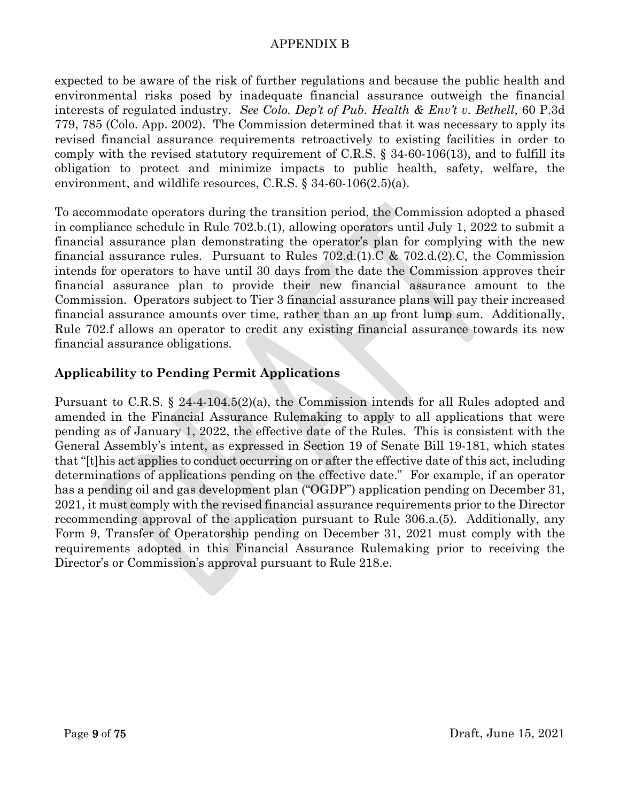expected to be aware of the risk of further regulations and because the public health and environmental risks posed by inadequate financial assurance outweigh the financial interests of regulated industry. *See Colo. Dep't of Pub. Health & Env't v. Bethell*, 60 P.3d 779, 785 (Colo. App. 2002). The Commission determined that it was necessary to apply its revised financial assurance requirements retroactively to existing facilities in order to comply with the revised statutory requirement of C.R.S. § 34-60-106(13), and to fulfill its obligation to protect and minimize impacts to public health, safety, welfare, the environment, and wildlife resources, C.R.S. § 34-60-106(2.5)(a).

To accommodate operators during the transition period, the Commission adopted a phased in compliance schedule in Rule 702.b.(1), allowing operators until July 1, 2022 to submit a financial assurance plan demonstrating the operator's plan for complying with the new financial assurance rules. Pursuant to Rules  $702.d.(1)C & 702.d.(2)C$ , the Commission intends for operators to have until 30 days from the date the Commission approves their financial assurance plan to provide their new financial assurance amount to the Commission. Operators subject to Tier 3 financial assurance plans will pay their increased financial assurance amounts over time, rather than an up front lump sum. Additionally, Rule 702.f allows an operator to credit any existing financial assurance towards its new financial assurance obligations.

### **Applicability to Pending Permit Applications**

Pursuant to C.R.S. § 24-4-104.5(2)(a), the Commission intends for all Rules adopted and amended in the Financial Assurance Rulemaking to apply to all applications that were pending as of January 1, 2022, the effective date of the Rules. This is consistent with the General Assembly's intent, as expressed in Section 19 of Senate Bill 19-181, which states that "[t]his act applies to conduct occurring on or after the effective date of this act, including determinations of applications pending on the effective date." For example, if an operator has a pending oil and gas development plan ("OGDP") application pending on December 31, 2021, it must comply with the revised financial assurance requirements prior to the Director recommending approval of the application pursuant to Rule 306.a.(5). Additionally, any Form 9, Transfer of Operatorship pending on December 31, 2021 must comply with the requirements adopted in this Financial Assurance Rulemaking prior to receiving the Director's or Commission's approval pursuant to Rule 218.e.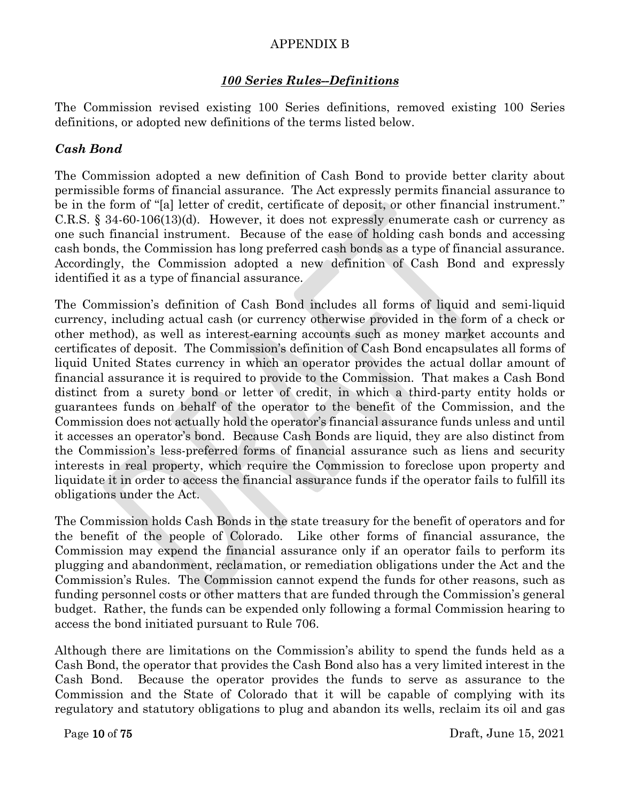### *100 Series Rules--Definitions*

The Commission revised existing 100 Series definitions, removed existing 100 Series definitions, or adopted new definitions of the terms listed below.

## *Cash Bond*

The Commission adopted a new definition of Cash Bond to provide better clarity about permissible forms of financial assurance. The Act expressly permits financial assurance to be in the form of "[a] letter of credit, certificate of deposit, or other financial instrument." C.R.S. § 34-60-106(13)(d). However, it does not expressly enumerate cash or currency as one such financial instrument. Because of the ease of holding cash bonds and accessing cash bonds, the Commission has long preferred cash bonds as a type of financial assurance. Accordingly, the Commission adopted a new definition of Cash Bond and expressly identified it as a type of financial assurance.

The Commission's definition of Cash Bond includes all forms of liquid and semi-liquid currency, including actual cash (or currency otherwise provided in the form of a check or other method), as well as interest-earning accounts such as money market accounts and certificates of deposit. The Commission's definition of Cash Bond encapsulates all forms of liquid United States currency in which an operator provides the actual dollar amount of financial assurance it is required to provide to the Commission. That makes a Cash Bond distinct from a surety bond or letter of credit, in which a third-party entity holds or guarantees funds on behalf of the operator to the benefit of the Commission, and the Commission does not actually hold the operator's financial assurance funds unless and until it accesses an operator's bond. Because Cash Bonds are liquid, they are also distinct from the Commission's less-preferred forms of financial assurance such as liens and security interests in real property, which require the Commission to foreclose upon property and liquidate it in order to access the financial assurance funds if the operator fails to fulfill its obligations under the Act.

The Commission holds Cash Bonds in the state treasury for the benefit of operators and for the benefit of the people of Colorado. Like other forms of financial assurance, the Commission may expend the financial assurance only if an operator fails to perform its plugging and abandonment, reclamation, or remediation obligations under the Act and the Commission's Rules. The Commission cannot expend the funds for other reasons, such as funding personnel costs or other matters that are funded through the Commission's general budget. Rather, the funds can be expended only following a formal Commission hearing to access the bond initiated pursuant to Rule 706.

Although there are limitations on the Commission's ability to spend the funds held as a Cash Bond, the operator that provides the Cash Bond also has a very limited interest in the Cash Bond. Because the operator provides the funds to serve as assurance to the Commission and the State of Colorado that it will be capable of complying with its regulatory and statutory obligations to plug and abandon its wells, reclaim its oil and gas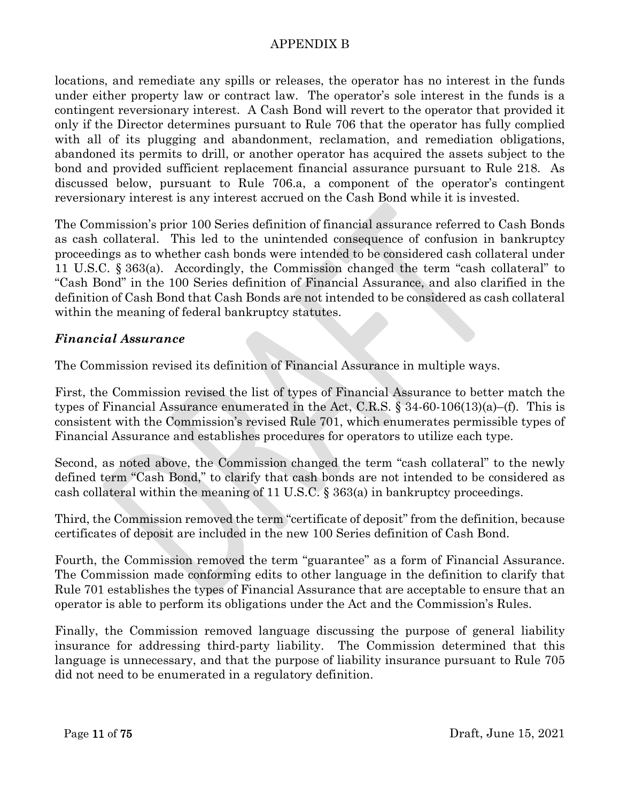locations, and remediate any spills or releases, the operator has no interest in the funds under either property law or contract law. The operator's sole interest in the funds is a contingent reversionary interest. A Cash Bond will revert to the operator that provided it only if the Director determines pursuant to Rule 706 that the operator has fully complied with all of its plugging and abandonment, reclamation, and remediation obligations, abandoned its permits to drill, or another operator has acquired the assets subject to the bond and provided sufficient replacement financial assurance pursuant to Rule 218. As discussed below, pursuant to Rule 706.a, a component of the operator's contingent reversionary interest is any interest accrued on the Cash Bond while it is invested.

The Commission's prior 100 Series definition of financial assurance referred to Cash Bonds as cash collateral. This led to the unintended consequence of confusion in bankruptcy proceedings as to whether cash bonds were intended to be considered cash collateral under 11 U.S.C. § 363(a). Accordingly, the Commission changed the term "cash collateral" to "Cash Bond" in the 100 Series definition of Financial Assurance, and also clarified in the definition of Cash Bond that Cash Bonds are not intended to be considered as cash collateral within the meaning of federal bankruptcy statutes.

### *Financial Assurance*

The Commission revised its definition of Financial Assurance in multiple ways.

First, the Commission revised the list of types of Financial Assurance to better match the types of Financial Assurance enumerated in the Act, C.R.S.  $\S$  34-60-106(13)(a)–(f). This is consistent with the Commission's revised Rule 701, which enumerates permissible types of Financial Assurance and establishes procedures for operators to utilize each type.

Second, as noted above, the Commission changed the term "cash collateral" to the newly defined term "Cash Bond," to clarify that cash bonds are not intended to be considered as cash collateral within the meaning of 11 U.S.C.  $\S$  363(a) in bankruptcy proceedings.

Third, the Commission removed the term "certificate of deposit" from the definition, because certificates of deposit are included in the new 100 Series definition of Cash Bond.

Fourth, the Commission removed the term "guarantee" as a form of Financial Assurance. The Commission made conforming edits to other language in the definition to clarify that Rule 701 establishes the types of Financial Assurance that are acceptable to ensure that an operator is able to perform its obligations under the Act and the Commission's Rules.

Finally, the Commission removed language discussing the purpose of general liability insurance for addressing third-party liability. The Commission determined that this language is unnecessary, and that the purpose of liability insurance pursuant to Rule 705 did not need to be enumerated in a regulatory definition.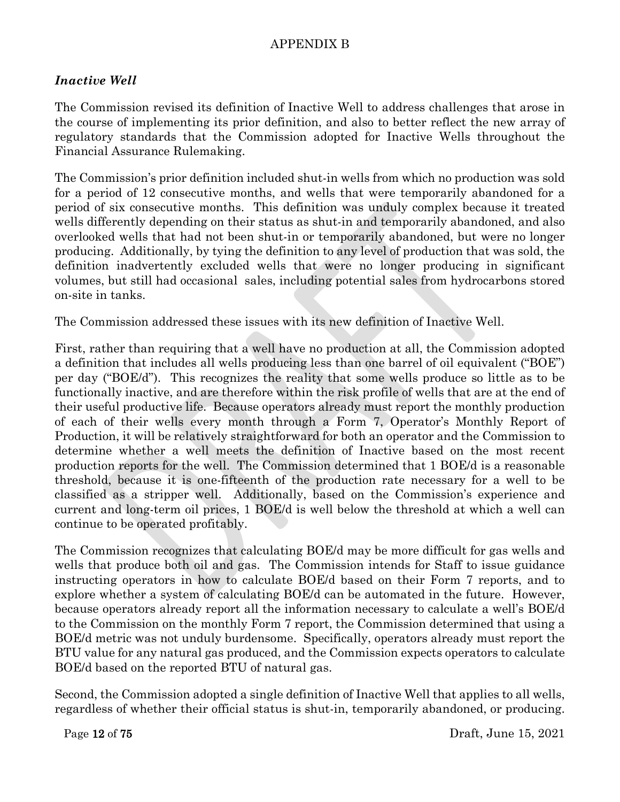### *Inactive Well*

The Commission revised its definition of Inactive Well to address challenges that arose in the course of implementing its prior definition, and also to better reflect the new array of regulatory standards that the Commission adopted for Inactive Wells throughout the Financial Assurance Rulemaking.

The Commission's prior definition included shut-in wells from which no production was sold for a period of 12 consecutive months, and wells that were temporarily abandoned for a period of six consecutive months. This definition was unduly complex because it treated wells differently depending on their status as shut-in and temporarily abandoned, and also overlooked wells that had not been shut-in or temporarily abandoned, but were no longer producing. Additionally, by tying the definition to any level of production that was sold, the definition inadvertently excluded wells that were no longer producing in significant volumes, but still had occasional sales, including potential sales from hydrocarbons stored on-site in tanks.

The Commission addressed these issues with its new definition of Inactive Well.

First, rather than requiring that a well have no production at all, the Commission adopted a definition that includes all wells producing less than one barrel of oil equivalent ("BOE") per day ("BOE/d"). This recognizes the reality that some wells produce so little as to be functionally inactive, and are therefore within the risk profile of wells that are at the end of their useful productive life. Because operators already must report the monthly production of each of their wells every month through a Form 7, Operator's Monthly Report of Production, it will be relatively straightforward for both an operator and the Commission to determine whether a well meets the definition of Inactive based on the most recent production reports for the well. The Commission determined that 1 BOE/d is a reasonable threshold, because it is one-fifteenth of the production rate necessary for a well to be classified as a stripper well. Additionally, based on the Commission's experience and current and long-term oil prices, 1 BOE/d is well below the threshold at which a well can continue to be operated profitably.

The Commission recognizes that calculating BOE/d may be more difficult for gas wells and wells that produce both oil and gas. The Commission intends for Staff to issue guidance instructing operators in how to calculate BOE/d based on their Form 7 reports, and to explore whether a system of calculating BOE/d can be automated in the future. However, because operators already report all the information necessary to calculate a well's BOE/d to the Commission on the monthly Form 7 report, the Commission determined that using a BOE/d metric was not unduly burdensome. Specifically, operators already must report the BTU value for any natural gas produced, and the Commission expects operators to calculate BOE/d based on the reported BTU of natural gas.

Second, the Commission adopted a single definition of Inactive Well that applies to all wells, regardless of whether their official status is shut-in, temporarily abandoned, or producing.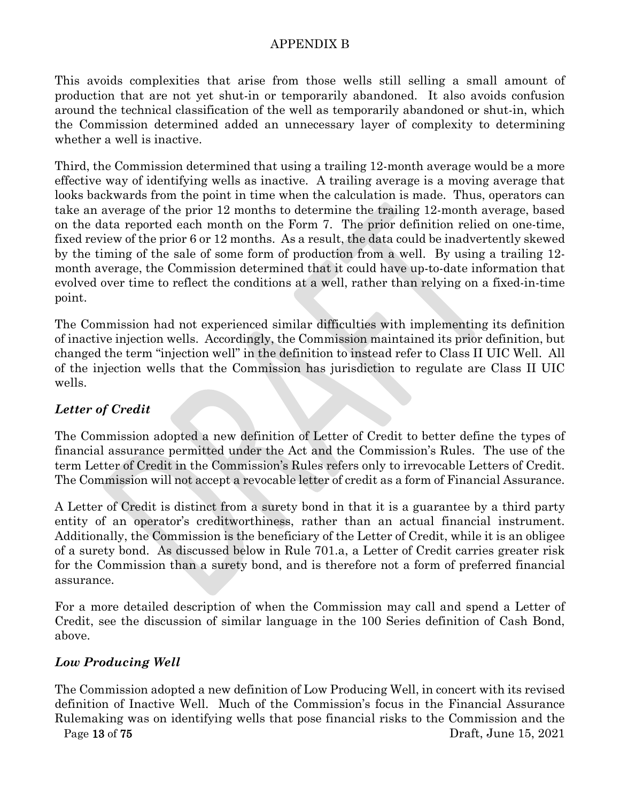This avoids complexities that arise from those wells still selling a small amount of production that are not yet shut-in or temporarily abandoned. It also avoids confusion around the technical classification of the well as temporarily abandoned or shut-in, which the Commission determined added an unnecessary layer of complexity to determining whether a well is inactive.

Third, the Commission determined that using a trailing 12-month average would be a more effective way of identifying wells as inactive. A trailing average is a moving average that looks backwards from the point in time when the calculation is made. Thus, operators can take an average of the prior 12 months to determine the trailing 12-month average, based on the data reported each month on the Form 7. The prior definition relied on one-time, fixed review of the prior 6 or 12 months. As a result, the data could be inadvertently skewed by the timing of the sale of some form of production from a well. By using a trailing 12 month average, the Commission determined that it could have up-to-date information that evolved over time to reflect the conditions at a well, rather than relying on a fixed-in-time point.

The Commission had not experienced similar difficulties with implementing its definition of inactive injection wells. Accordingly, the Commission maintained its prior definition, but changed the term "injection well" in the definition to instead refer to Class II UIC Well. All of the injection wells that the Commission has jurisdiction to regulate are Class II UIC wells.

# *Letter of Credit*

The Commission adopted a new definition of Letter of Credit to better define the types of financial assurance permitted under the Act and the Commission's Rules. The use of the term Letter of Credit in the Commission's Rules refers only to irrevocable Letters of Credit. The Commission will not accept a revocable letter of credit as a form of Financial Assurance.

A Letter of Credit is distinct from a surety bond in that it is a guarantee by a third party entity of an operator's creditworthiness, rather than an actual financial instrument. Additionally, the Commission is the beneficiary of the Letter of Credit, while it is an obligee of a surety bond. As discussed below in Rule 701.a, a Letter of Credit carries greater risk for the Commission than a surety bond, and is therefore not a form of preferred financial assurance.

For a more detailed description of when the Commission may call and spend a Letter of Credit, see the discussion of similar language in the 100 Series definition of Cash Bond, above.

# *Low Producing Well*

Page 13 of 75 Draft, June 15, 2021 The Commission adopted a new definition of Low Producing Well, in concert with its revised definition of Inactive Well. Much of the Commission's focus in the Financial Assurance Rulemaking was on identifying wells that pose financial risks to the Commission and the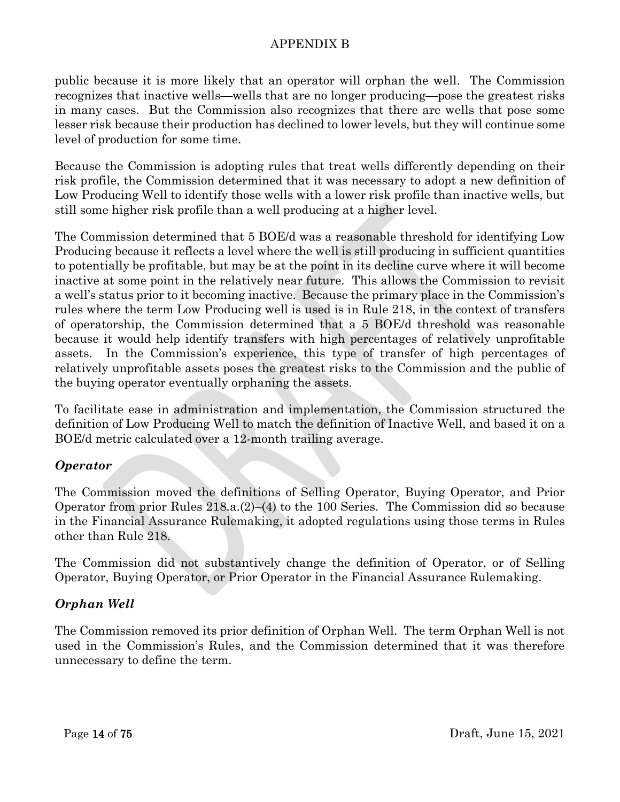public because it is more likely that an operator will orphan the well. The Commission recognizes that inactive wells—wells that are no longer producing—pose the greatest risks in many cases. But the Commission also recognizes that there are wells that pose some lesser risk because their production has declined to lower levels, but they will continue some level of production for some time.

Because the Commission is adopting rules that treat wells differently depending on their risk profile, the Commission determined that it was necessary to adopt a new definition of Low Producing Well to identify those wells with a lower risk profile than inactive wells, but still some higher risk profile than a well producing at a higher level.

The Commission determined that 5 BOE/d was a reasonable threshold for identifying Low Producing because it reflects a level where the well is still producing in sufficient quantities to potentially be profitable, but may be at the point in its decline curve where it will become inactive at some point in the relatively near future. This allows the Commission to revisit a well's status prior to it becoming inactive. Because the primary place in the Commission's rules where the term Low Producing well is used is in Rule 218, in the context of transfers of operatorship, the Commission determined that a 5 BOE/d threshold was reasonable because it would help identify transfers with high percentages of relatively unprofitable assets. In the Commission's experience, this type of transfer of high percentages of relatively unprofitable assets poses the greatest risks to the Commission and the public of the buying operator eventually orphaning the assets.

To facilitate ease in administration and implementation, the Commission structured the definition of Low Producing Well to match the definition of Inactive Well, and based it on a BOE/d metric calculated over a 12-month trailing average.

### *Operator*

The Commission moved the definitions of Selling Operator, Buying Operator, and Prior Operator from prior Rules 218.a.(2)–(4) to the 100 Series. The Commission did so because in the Financial Assurance Rulemaking, it adopted regulations using those terms in Rules other than Rule 218.

The Commission did not substantively change the definition of Operator, or of Selling Operator, Buying Operator, or Prior Operator in the Financial Assurance Rulemaking.

# *Orphan Well*

The Commission removed its prior definition of Orphan Well. The term Orphan Well is not used in the Commission's Rules, and the Commission determined that it was therefore unnecessary to define the term.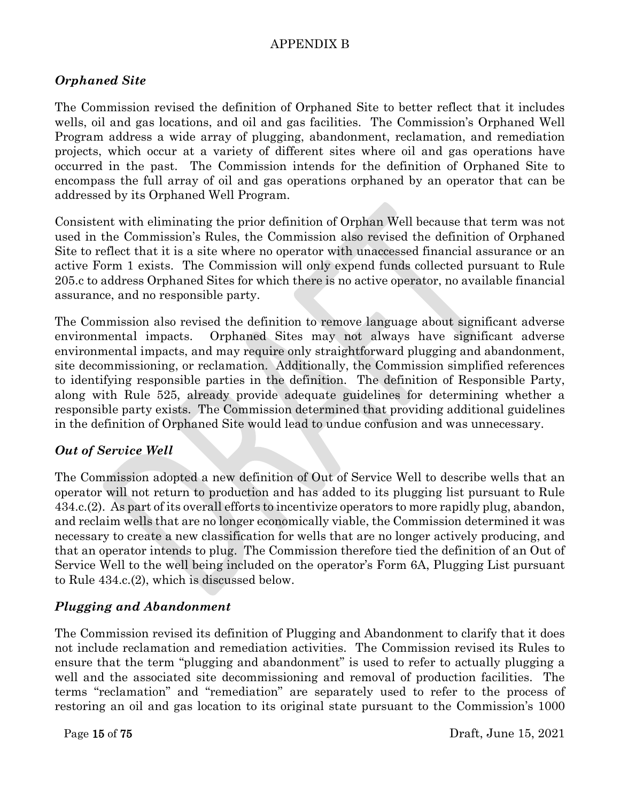## *Orphaned Site*

The Commission revised the definition of Orphaned Site to better reflect that it includes wells, oil and gas locations, and oil and gas facilities. The Commission's Orphaned Well Program address a wide array of plugging, abandonment, reclamation, and remediation projects, which occur at a variety of different sites where oil and gas operations have occurred in the past. The Commission intends for the definition of Orphaned Site to encompass the full array of oil and gas operations orphaned by an operator that can be addressed by its Orphaned Well Program.

Consistent with eliminating the prior definition of Orphan Well because that term was not used in the Commission's Rules, the Commission also revised the definition of Orphaned Site to reflect that it is a site where no operator with unaccessed financial assurance or an active Form 1 exists. The Commission will only expend funds collected pursuant to Rule 205.c to address Orphaned Sites for which there is no active operator, no available financial assurance, and no responsible party.

The Commission also revised the definition to remove language about significant adverse environmental impacts. Orphaned Sites may not always have significant adverse environmental impacts, and may require only straightforward plugging and abandonment, site decommissioning, or reclamation. Additionally, the Commission simplified references to identifying responsible parties in the definition. The definition of Responsible Party, along with Rule 525, already provide adequate guidelines for determining whether a responsible party exists. The Commission determined that providing additional guidelines in the definition of Orphaned Site would lead to undue confusion and was unnecessary.

### *Out of Service Well*

The Commission adopted a new definition of Out of Service Well to describe wells that an operator will not return to production and has added to its plugging list pursuant to Rule 434.c.(2). As part of its overall efforts to incentivize operators to more rapidly plug, abandon, and reclaim wells that are no longer economically viable, the Commission determined it was necessary to create a new classification for wells that are no longer actively producing, and that an operator intends to plug. The Commission therefore tied the definition of an Out of Service Well to the well being included on the operator's Form 6A, Plugging List pursuant to Rule 434.c.(2), which is discussed below.

### *Plugging and Abandonment*

The Commission revised its definition of Plugging and Abandonment to clarify that it does not include reclamation and remediation activities. The Commission revised its Rules to ensure that the term "plugging and abandonment" is used to refer to actually plugging a well and the associated site decommissioning and removal of production facilities. The terms "reclamation" and "remediation" are separately used to refer to the process of restoring an oil and gas location to its original state pursuant to the Commission's 1000

Page 15 of 75 Draft, June 15, 2021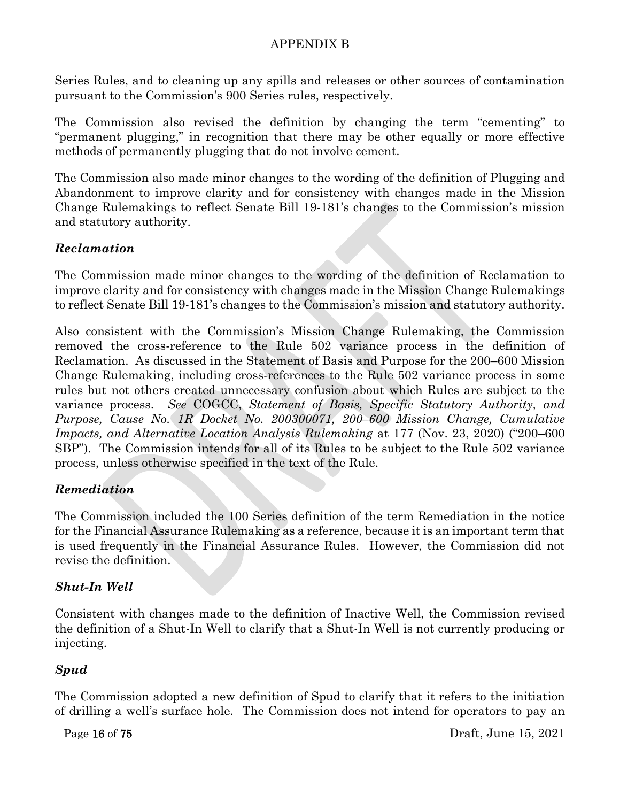Series Rules, and to cleaning up any spills and releases or other sources of contamination pursuant to the Commission's 900 Series rules, respectively.

The Commission also revised the definition by changing the term "cementing" to "permanent plugging," in recognition that there may be other equally or more effective methods of permanently plugging that do not involve cement.

The Commission also made minor changes to the wording of the definition of Plugging and Abandonment to improve clarity and for consistency with changes made in the Mission Change Rulemakings to reflect Senate Bill 19-181's changes to the Commission's mission and statutory authority.

## *Reclamation*

The Commission made minor changes to the wording of the definition of Reclamation to improve clarity and for consistency with changes made in the Mission Change Rulemakings to reflect Senate Bill 19-181's changes to the Commission's mission and statutory authority.

Also consistent with the Commission's Mission Change Rulemaking, the Commission removed the cross-reference to the Rule 502 variance process in the definition of Reclamation. As discussed in the Statement of Basis and Purpose for the 200–600 Mission Change Rulemaking, including cross-references to the Rule 502 variance process in some rules but not others created unnecessary confusion about which Rules are subject to the variance process. *See* COGCC, *Statement of Basis, Specific Statutory Authority, and Purpose, Cause No. 1R Docket No. 200300071, 200–600 Mission Change, Cumulative Impacts, and Alternative Location Analysis Rulemaking* at 177 (Nov. 23, 2020) ("200–600 SBP"). The Commission intends for all of its Rules to be subject to the Rule 502 variance process, unless otherwise specified in the text of the Rule.

# *Remediation*

The Commission included the 100 Series definition of the term Remediation in the notice for the Financial Assurance Rulemaking as a reference, because it is an important term that is used frequently in the Financial Assurance Rules. However, the Commission did not revise the definition.

# *Shut-In Well*

Consistent with changes made to the definition of Inactive Well, the Commission revised the definition of a Shut-In Well to clarify that a Shut-In Well is not currently producing or injecting.

# *Spud*

The Commission adopted a new definition of Spud to clarify that it refers to the initiation of drilling a well's surface hole. The Commission does not intend for operators to pay an

Page 16 of 75 Draft, June 15, 2021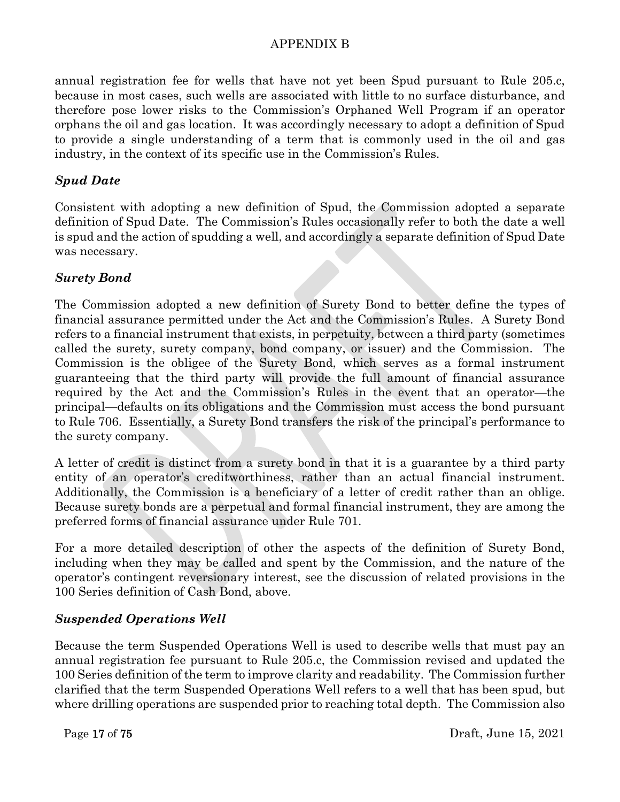annual registration fee for wells that have not yet been Spud pursuant to Rule 205.c, because in most cases, such wells are associated with little to no surface disturbance, and therefore pose lower risks to the Commission's Orphaned Well Program if an operator orphans the oil and gas location. It was accordingly necessary to adopt a definition of Spud to provide a single understanding of a term that is commonly used in the oil and gas industry, in the context of its specific use in the Commission's Rules.

## *Spud Date*

Consistent with adopting a new definition of Spud, the Commission adopted a separate definition of Spud Date. The Commission's Rules occasionally refer to both the date a well is spud and the action of spudding a well, and accordingly a separate definition of Spud Date was necessary.

# *Surety Bond*

The Commission adopted a new definition of Surety Bond to better define the types of financial assurance permitted under the Act and the Commission's Rules. A Surety Bond refers to a financial instrument that exists, in perpetuity, between a third party (sometimes called the surety, surety company, bond company, or issuer) and the Commission. The Commission is the obligee of the Surety Bond, which serves as a formal instrument guaranteeing that the third party will provide the full amount of financial assurance required by the Act and the Commission's Rules in the event that an operator—the principal—defaults on its obligations and the Commission must access the bond pursuant to Rule 706. Essentially, a Surety Bond transfers the risk of the principal's performance to the surety company.

A letter of credit is distinct from a surety bond in that it is a guarantee by a third party entity of an operator's creditworthiness, rather than an actual financial instrument. Additionally, the Commission is a beneficiary of a letter of credit rather than an oblige. Because surety bonds are a perpetual and formal financial instrument, they are among the preferred forms of financial assurance under Rule 701.

For a more detailed description of other the aspects of the definition of Surety Bond, including when they may be called and spent by the Commission, and the nature of the operator's contingent reversionary interest, see the discussion of related provisions in the 100 Series definition of Cash Bond, above.

# *Suspended Operations Well*

Because the term Suspended Operations Well is used to describe wells that must pay an annual registration fee pursuant to Rule 205.c, the Commission revised and updated the 100 Series definition of the term to improve clarity and readability. The Commission further clarified that the term Suspended Operations Well refers to a well that has been spud, but where drilling operations are suspended prior to reaching total depth. The Commission also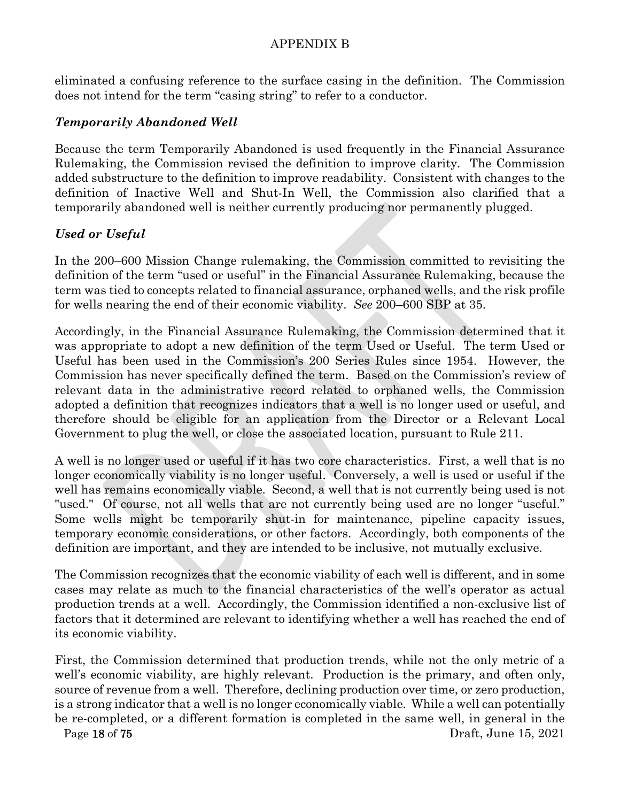eliminated a confusing reference to the surface casing in the definition. The Commission does not intend for the term "casing string" to refer to a conductor.

## *Temporarily Abandoned Well*

Because the term Temporarily Abandoned is used frequently in the Financial Assurance Rulemaking, the Commission revised the definition to improve clarity. The Commission added substructure to the definition to improve readability. Consistent with changes to the definition of Inactive Well and Shut-In Well, the Commission also clarified that a temporarily abandoned well is neither currently producing nor permanently plugged.

## *Used or Useful*

In the 200–600 Mission Change rulemaking, the Commission committed to revisiting the definition of the term "used or useful" in the Financial Assurance Rulemaking, because the term was tied to concepts related to financial assurance, orphaned wells, and the risk profile for wells nearing the end of their economic viability. *See* 200–600 SBP at 35.

Accordingly, in the Financial Assurance Rulemaking, the Commission determined that it was appropriate to adopt a new definition of the term Used or Useful. The term Used or Useful has been used in the Commission's 200 Series Rules since 1954. However, the Commission has never specifically defined the term. Based on the Commission's review of relevant data in the administrative record related to orphaned wells, the Commission adopted a definition that recognizes indicators that a well is no longer used or useful, and therefore should be eligible for an application from the Director or a Relevant Local Government to plug the well, or close the associated location, pursuant to Rule 211.

A well is no longer used or useful if it has two core characteristics. First, a well that is no longer economically viability is no longer useful. Conversely, a well is used or useful if the well has remains economically viable. Second, a well that is not currently being used is not "used." Of course, not all wells that are not currently being used are no longer "useful." Some wells might be temporarily shut-in for maintenance, pipeline capacity issues, temporary economic considerations, or other factors. Accordingly, both components of the definition are important, and they are intended to be inclusive, not mutually exclusive.

The Commission recognizes that the economic viability of each well is different, and in some cases may relate as much to the financial characteristics of the well's operator as actual production trends at a well. Accordingly, the Commission identified a non-exclusive list of factors that it determined are relevant to identifying whether a well has reached the end of its economic viability.

Page 18 of 75 Draft, June 15, 2021 First, the Commission determined that production trends, while not the only metric of a well's economic viability, are highly relevant. Production is the primary, and often only, source of revenue from a well. Therefore, declining production over time, or zero production, is a strong indicator that a well is no longer economically viable. While a well can potentially be re-completed, or a different formation is completed in the same well, in general in the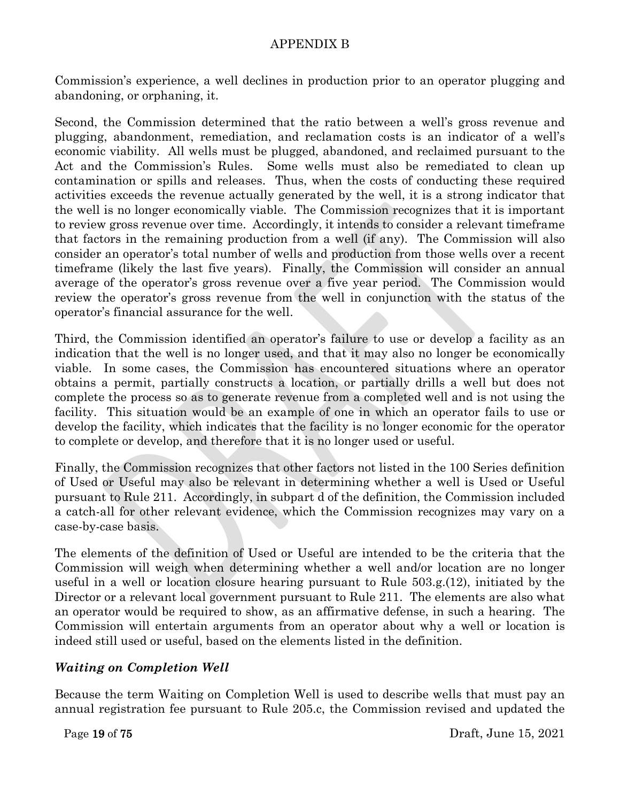Commission's experience, a well declines in production prior to an operator plugging and abandoning, or orphaning, it.

Second, the Commission determined that the ratio between a well's gross revenue and plugging, abandonment, remediation, and reclamation costs is an indicator of a well's economic viability. All wells must be plugged, abandoned, and reclaimed pursuant to the Act and the Commission's Rules. Some wells must also be remediated to clean up contamination or spills and releases. Thus, when the costs of conducting these required activities exceeds the revenue actually generated by the well, it is a strong indicator that the well is no longer economically viable. The Commission recognizes that it is important to review gross revenue over time. Accordingly, it intends to consider a relevant timeframe that factors in the remaining production from a well (if any). The Commission will also consider an operator's total number of wells and production from those wells over a recent timeframe (likely the last five years). Finally, the Commission will consider an annual average of the operator's gross revenue over a five year period. The Commission would review the operator's gross revenue from the well in conjunction with the status of the operator's financial assurance for the well.

Third, the Commission identified an operator's failure to use or develop a facility as an indication that the well is no longer used, and that it may also no longer be economically viable. In some cases, the Commission has encountered situations where an operator obtains a permit, partially constructs a location, or partially drills a well but does not complete the process so as to generate revenue from a completed well and is not using the facility. This situation would be an example of one in which an operator fails to use or develop the facility, which indicates that the facility is no longer economic for the operator to complete or develop, and therefore that it is no longer used or useful.

Finally, the Commission recognizes that other factors not listed in the 100 Series definition of Used or Useful may also be relevant in determining whether a well is Used or Useful pursuant to Rule 211. Accordingly, in subpart d of the definition, the Commission included a catch-all for other relevant evidence, which the Commission recognizes may vary on a case-by-case basis.

The elements of the definition of Used or Useful are intended to be the criteria that the Commission will weigh when determining whether a well and/or location are no longer useful in a well or location closure hearing pursuant to Rule 503.g.(12), initiated by the Director or a relevant local government pursuant to Rule 211. The elements are also what an operator would be required to show, as an affirmative defense, in such a hearing. The Commission will entertain arguments from an operator about why a well or location is indeed still used or useful, based on the elements listed in the definition.

# *Waiting on Completion Well*

Because the term Waiting on Completion Well is used to describe wells that must pay an annual registration fee pursuant to Rule 205.c, the Commission revised and updated the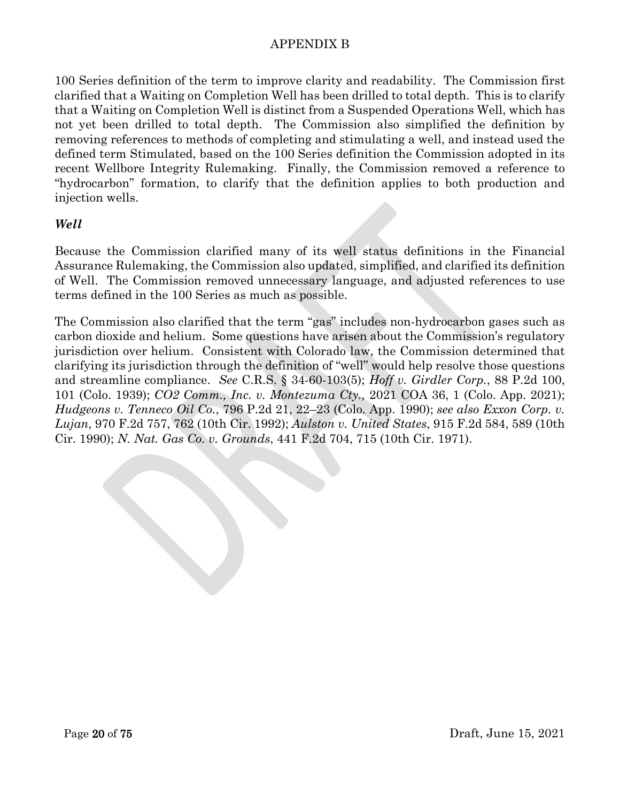100 Series definition of the term to improve clarity and readability. The Commission first clarified that a Waiting on Completion Well has been drilled to total depth. This is to clarify that a Waiting on Completion Well is distinct from a Suspended Operations Well, which has not yet been drilled to total depth. The Commission also simplified the definition by removing references to methods of completing and stimulating a well, and instead used the defined term Stimulated, based on the 100 Series definition the Commission adopted in its recent Wellbore Integrity Rulemaking. Finally, the Commission removed a reference to "hydrocarbon" formation, to clarify that the definition applies to both production and injection wells.

### *Well*

Because the Commission clarified many of its well status definitions in the Financial Assurance Rulemaking, the Commission also updated, simplified, and clarified its definition of Well. The Commission removed unnecessary language, and adjusted references to use terms defined in the 100 Series as much as possible.

The Commission also clarified that the term "gas" includes non-hydrocarbon gases such as carbon dioxide and helium. Some questions have arisen about the Commission's regulatory jurisdiction over helium. Consistent with Colorado law, the Commission determined that clarifying its jurisdiction through the definition of "well" would help resolve those questions and streamline compliance. *See* C.R.S. § 34-60-103(5); *Hoff v. Girdler Corp.*, 88 P.2d 100, 101 (Colo. 1939); *CO2 Comm., Inc. v. Montezuma Cty.,* 2021 COA 36, 1 (Colo. App. 2021); *Hudgeons v. Tenneco Oil Co.*, 796 P.2d 21, 22–23 (Colo. App. 1990); *see also Exxon Corp. v. Lujan*, 970 F.2d 757, 762 (10th Cir. 1992); *Aulston v. United States*, 915 F.2d 584, 589 (10th Cir. 1990); *N. Nat. Gas Co. v. Grounds*, 441 F.2d 704, 715 (10th Cir. 1971).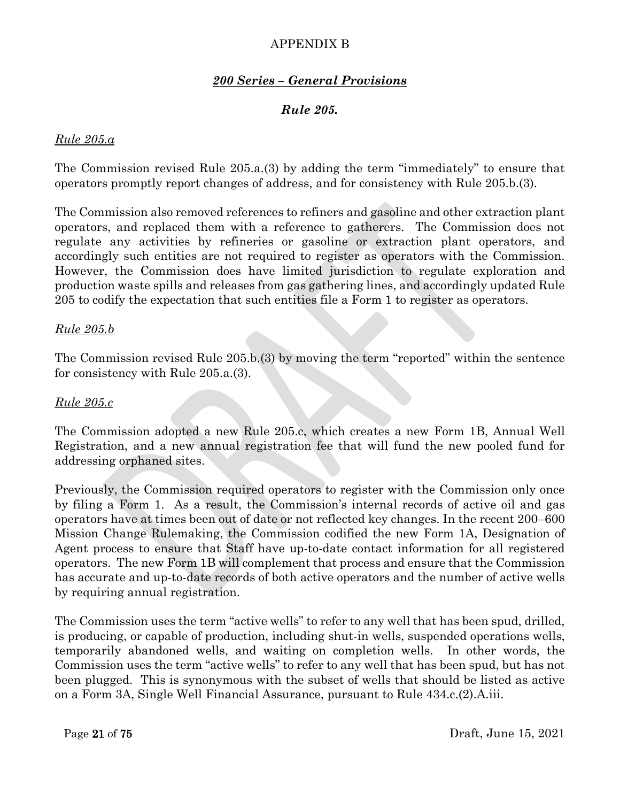### *200 Series – General Provisions*

#### *Rule 205.*

#### *Rule 205.a*

The Commission revised Rule 205.a.(3) by adding the term "immediately" to ensure that operators promptly report changes of address, and for consistency with Rule 205.b.(3).

The Commission also removed references to refiners and gasoline and other extraction plant operators, and replaced them with a reference to gatherers. The Commission does not regulate any activities by refineries or gasoline or extraction plant operators, and accordingly such entities are not required to register as operators with the Commission. However, the Commission does have limited jurisdiction to regulate exploration and production waste spills and releases from gas gathering lines, and accordingly updated Rule 205 to codify the expectation that such entities file a Form 1 to register as operators.

#### *Rule 205.b*

The Commission revised Rule 205.b.(3) by moving the term "reported" within the sentence for consistency with Rule 205.a.(3).

#### *Rule 205.c*

The Commission adopted a new Rule 205.c, which creates a new Form 1B, Annual Well Registration, and a new annual registration fee that will fund the new pooled fund for addressing orphaned sites.

Previously, the Commission required operators to register with the Commission only once by filing a Form 1. As a result, the Commission's internal records of active oil and gas operators have at times been out of date or not reflected key changes. In the recent 200–600 Mission Change Rulemaking, the Commission codified the new Form 1A, Designation of Agent process to ensure that Staff have up-to-date contact information for all registered operators. The new Form 1B will complement that process and ensure that the Commission has accurate and up-to-date records of both active operators and the number of active wells by requiring annual registration.

The Commission uses the term "active wells" to refer to any well that has been spud, drilled, is producing, or capable of production, including shut-in wells, suspended operations wells, temporarily abandoned wells, and waiting on completion wells. In other words, the Commission uses the term "active wells" to refer to any well that has been spud, but has not been plugged. This is synonymous with the subset of wells that should be listed as active on a Form 3A, Single Well Financial Assurance, pursuant to Rule 434.c.(2).A.iii.

Page 21 of 75 Draft, June 15, 2021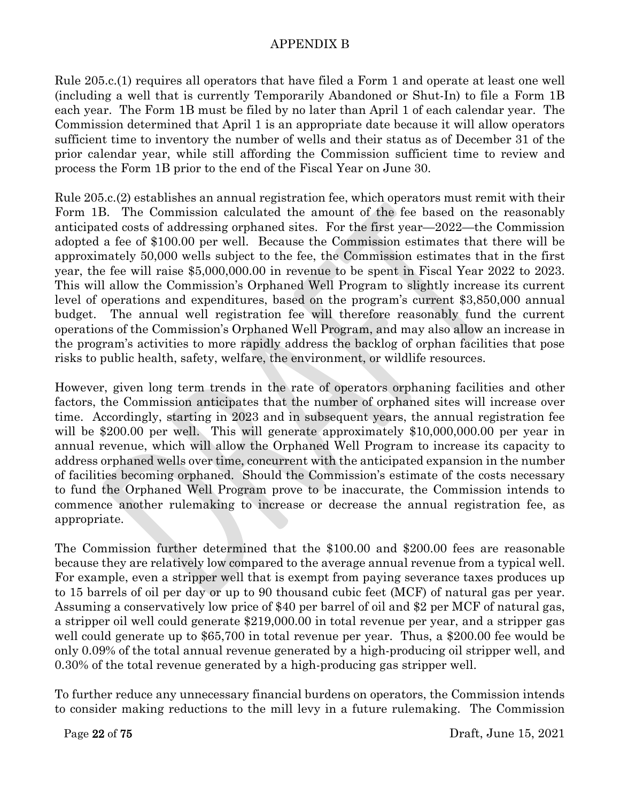Rule 205.c.(1) requires all operators that have filed a Form 1 and operate at least one well (including a well that is currently Temporarily Abandoned or Shut-In) to file a Form 1B each year. The Form 1B must be filed by no later than April 1 of each calendar year. The Commission determined that April 1 is an appropriate date because it will allow operators sufficient time to inventory the number of wells and their status as of December 31 of the prior calendar year, while still affording the Commission sufficient time to review and process the Form 1B prior to the end of the Fiscal Year on June 30.

Rule 205.c.(2) establishes an annual registration fee, which operators must remit with their Form 1B. The Commission calculated the amount of the fee based on the reasonably anticipated costs of addressing orphaned sites. For the first year—2022—the Commission adopted a fee of \$100.00 per well. Because the Commission estimates that there will be approximately 50,000 wells subject to the fee, the Commission estimates that in the first year, the fee will raise \$5,000,000.00 in revenue to be spent in Fiscal Year 2022 to 2023. This will allow the Commission's Orphaned Well Program to slightly increase its current level of operations and expenditures, based on the program's current \$3,850,000 annual budget. The annual well registration fee will therefore reasonably fund the current operations of the Commission's Orphaned Well Program, and may also allow an increase in the program's activities to more rapidly address the backlog of orphan facilities that pose risks to public health, safety, welfare, the environment, or wildlife resources.

However, given long term trends in the rate of operators orphaning facilities and other factors, the Commission anticipates that the number of orphaned sites will increase over time. Accordingly, starting in 2023 and in subsequent years, the annual registration fee will be \$200.00 per well. This will generate approximately \$10,000,000.00 per year in annual revenue, which will allow the Orphaned Well Program to increase its capacity to address orphaned wells over time, concurrent with the anticipated expansion in the number of facilities becoming orphaned. Should the Commission's estimate of the costs necessary to fund the Orphaned Well Program prove to be inaccurate, the Commission intends to commence another rulemaking to increase or decrease the annual registration fee, as appropriate.

The Commission further determined that the \$100.00 and \$200.00 fees are reasonable because they are relatively low compared to the average annual revenue from a typical well. For example, even a stripper well that is exempt from paying severance taxes produces up to 15 barrels of oil per day or up to 90 thousand cubic feet (MCF) of natural gas per year. Assuming a conservatively low price of \$40 per barrel of oil and \$2 per MCF of natural gas, a stripper oil well could generate \$219,000.00 in total revenue per year, and a stripper gas well could generate up to \$65,700 in total revenue per year. Thus, a \$200.00 fee would be only 0.09% of the total annual revenue generated by a high-producing oil stripper well, and 0.30% of the total revenue generated by a high-producing gas stripper well.

To further reduce any unnecessary financial burdens on operators, the Commission intends to consider making reductions to the mill levy in a future rulemaking. The Commission

Page 22 of 75 Draft, June 15, 2021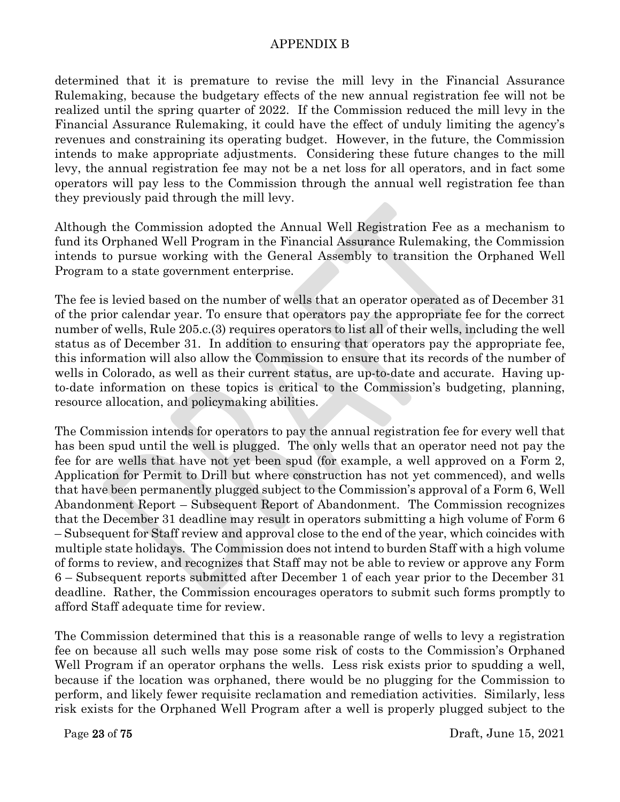determined that it is premature to revise the mill levy in the Financial Assurance Rulemaking, because the budgetary effects of the new annual registration fee will not be realized until the spring quarter of 2022. If the Commission reduced the mill levy in the Financial Assurance Rulemaking, it could have the effect of unduly limiting the agency's revenues and constraining its operating budget. However, in the future, the Commission intends to make appropriate adjustments. Considering these future changes to the mill levy, the annual registration fee may not be a net loss for all operators, and in fact some operators will pay less to the Commission through the annual well registration fee than they previously paid through the mill levy.

Although the Commission adopted the Annual Well Registration Fee as a mechanism to fund its Orphaned Well Program in the Financial Assurance Rulemaking, the Commission intends to pursue working with the General Assembly to transition the Orphaned Well Program to a state government enterprise.

The fee is levied based on the number of wells that an operator operated as of December 31 of the prior calendar year. To ensure that operators pay the appropriate fee for the correct number of wells, Rule 205.c.(3) requires operators to list all of their wells, including the well status as of December 31. In addition to ensuring that operators pay the appropriate fee, this information will also allow the Commission to ensure that its records of the number of wells in Colorado, as well as their current status, are up-to-date and accurate. Having upto-date information on these topics is critical to the Commission's budgeting, planning, resource allocation, and policymaking abilities.

The Commission intends for operators to pay the annual registration fee for every well that has been spud until the well is plugged. The only wells that an operator need not pay the fee for are wells that have not yet been spud (for example, a well approved on a Form 2, Application for Permit to Drill but where construction has not yet commenced), and wells that have been permanently plugged subject to the Commission's approval of a Form 6, Well Abandonment Report – Subsequent Report of Abandonment. The Commission recognizes that the December 31 deadline may result in operators submitting a high volume of Form 6 – Subsequent for Staff review and approval close to the end of the year, which coincides with multiple state holidays. The Commission does not intend to burden Staff with a high volume of forms to review, and recognizes that Staff may not be able to review or approve any Form 6 – Subsequent reports submitted after December 1 of each year prior to the December 31 deadline. Rather, the Commission encourages operators to submit such forms promptly to afford Staff adequate time for review.

The Commission determined that this is a reasonable range of wells to levy a registration fee on because all such wells may pose some risk of costs to the Commission's Orphaned Well Program if an operator orphans the wells. Less risk exists prior to spudding a well, because if the location was orphaned, there would be no plugging for the Commission to perform, and likely fewer requisite reclamation and remediation activities. Similarly, less risk exists for the Orphaned Well Program after a well is properly plugged subject to the

Page 23 of 75 Draft, June 15, 2021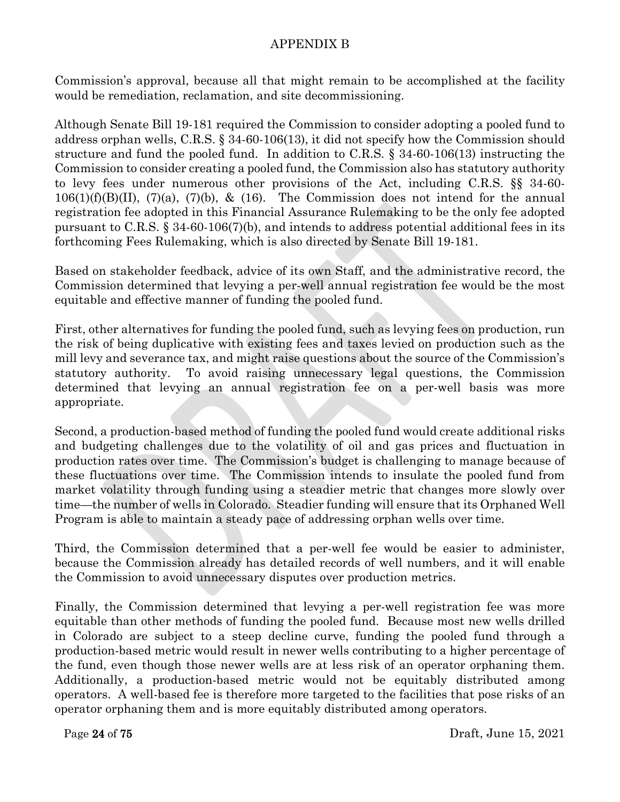Commission's approval, because all that might remain to be accomplished at the facility would be remediation, reclamation, and site decommissioning.

Although Senate Bill 19-181 required the Commission to consider adopting a pooled fund to address orphan wells, C.R.S. § 34-60-106(13), it did not specify how the Commission should structure and fund the pooled fund. In addition to C.R.S. § 34-60-106(13) instructing the Commission to consider creating a pooled fund, the Commission also has statutory authority to levy fees under numerous other provisions of the Act, including C.R.S. §§ 34-60-  $106(1)(f)(B)(II)$ ,  $(7)(a)$ ,  $(7)(b)$ , &  $(16)$ . The Commission does not intend for the annual registration fee adopted in this Financial Assurance Rulemaking to be the only fee adopted pursuant to C.R.S. § 34-60-106(7)(b), and intends to address potential additional fees in its forthcoming Fees Rulemaking, which is also directed by Senate Bill 19-181.

Based on stakeholder feedback, advice of its own Staff, and the administrative record, the Commission determined that levying a per-well annual registration fee would be the most equitable and effective manner of funding the pooled fund.

First, other alternatives for funding the pooled fund, such as levying fees on production, run the risk of being duplicative with existing fees and taxes levied on production such as the mill levy and severance tax, and might raise questions about the source of the Commission's statutory authority. To avoid raising unnecessary legal questions, the Commission determined that levying an annual registration fee on a per-well basis was more appropriate.

Second, a production-based method of funding the pooled fund would create additional risks and budgeting challenges due to the volatility of oil and gas prices and fluctuation in production rates over time. The Commission's budget is challenging to manage because of these fluctuations over time. The Commission intends to insulate the pooled fund from market volatility through funding using a steadier metric that changes more slowly over time—the number of wells in Colorado. Steadier funding will ensure that its Orphaned Well Program is able to maintain a steady pace of addressing orphan wells over time.

Third, the Commission determined that a per-well fee would be easier to administer, because the Commission already has detailed records of well numbers, and it will enable the Commission to avoid unnecessary disputes over production metrics.

Finally, the Commission determined that levying a per-well registration fee was more equitable than other methods of funding the pooled fund. Because most new wells drilled in Colorado are subject to a steep decline curve, funding the pooled fund through a production-based metric would result in newer wells contributing to a higher percentage of the fund, even though those newer wells are at less risk of an operator orphaning them. Additionally, a production-based metric would not be equitably distributed among operators. A well-based fee is therefore more targeted to the facilities that pose risks of an operator orphaning them and is more equitably distributed among operators.

Page 24 of 75 Draft, June 15, 2021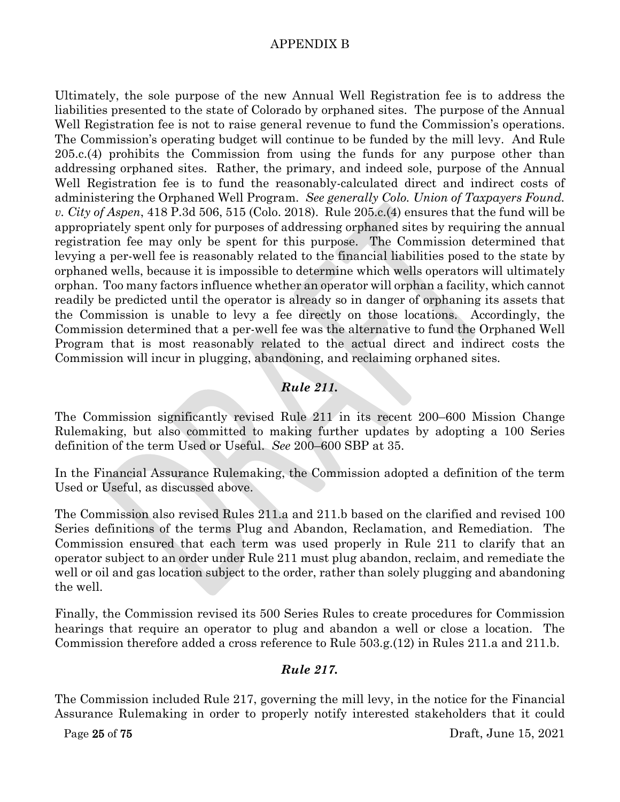Ultimately, the sole purpose of the new Annual Well Registration fee is to address the liabilities presented to the state of Colorado by orphaned sites. The purpose of the Annual Well Registration fee is not to raise general revenue to fund the Commission's operations. The Commission's operating budget will continue to be funded by the mill levy. And Rule 205.c.(4) prohibits the Commission from using the funds for any purpose other than addressing orphaned sites. Rather, the primary, and indeed sole, purpose of the Annual Well Registration fee is to fund the reasonably-calculated direct and indirect costs of administering the Orphaned Well Program. *See generally Colo. Union of Taxpayers Found. v. City of Aspen*, 418 P.3d 506, 515 (Colo. 2018).Rule 205.c.(4) ensures that the fund will be appropriately spent only for purposes of addressing orphaned sites by requiring the annual registration fee may only be spent for this purpose. The Commission determined that levying a per-well fee is reasonably related to the financial liabilities posed to the state by orphaned wells, because it is impossible to determine which wells operators will ultimately orphan. Too many factors influence whether an operator will orphan a facility, which cannot readily be predicted until the operator is already so in danger of orphaning its assets that the Commission is unable to levy a fee directly on those locations. Accordingly, the Commission determined that a per-well fee was the alternative to fund the Orphaned Well Program that is most reasonably related to the actual direct and indirect costs the Commission will incur in plugging, abandoning, and reclaiming orphaned sites.

## *Rule 211.*

The Commission significantly revised Rule 211 in its recent 200–600 Mission Change Rulemaking, but also committed to making further updates by adopting a 100 Series definition of the term Used or Useful. *See* 200–600 SBP at 35.

In the Financial Assurance Rulemaking, the Commission adopted a definition of the term Used or Useful, as discussed above.

The Commission also revised Rules 211.a and 211.b based on the clarified and revised 100 Series definitions of the terms Plug and Abandon, Reclamation, and Remediation. The Commission ensured that each term was used properly in Rule 211 to clarify that an operator subject to an order under Rule 211 must plug abandon, reclaim, and remediate the well or oil and gas location subject to the order, rather than solely plugging and abandoning the well.

Finally, the Commission revised its 500 Series Rules to create procedures for Commission hearings that require an operator to plug and abandon a well or close a location. The Commission therefore added a cross reference to Rule 503.g.(12) in Rules 211.a and 211.b.

#### *Rule 217.*

The Commission included Rule 217, governing the mill levy, in the notice for the Financial Assurance Rulemaking in order to properly notify interested stakeholders that it could

Page 25 of 75 Draft, June 15, 2021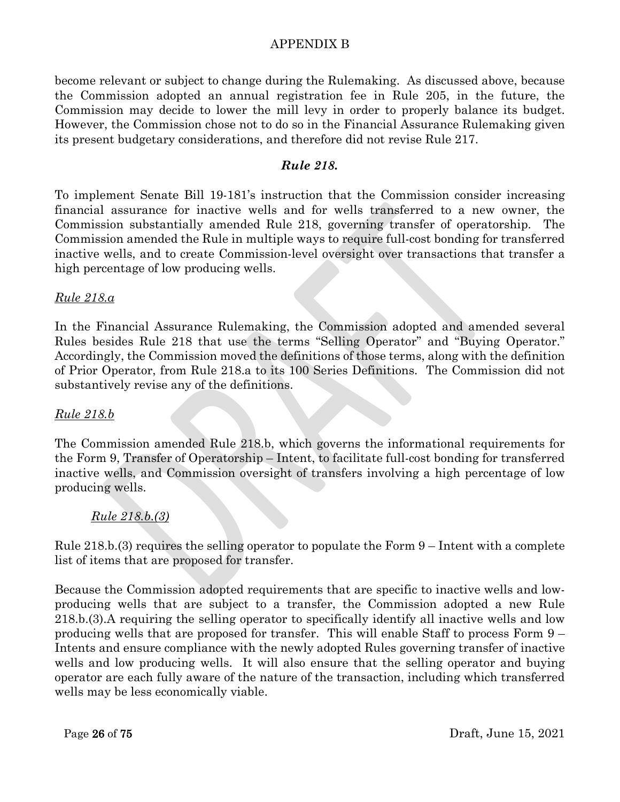become relevant or subject to change during the Rulemaking. As discussed above, because the Commission adopted an annual registration fee in Rule 205, in the future, the Commission may decide to lower the mill levy in order to properly balance its budget. However, the Commission chose not to do so in the Financial Assurance Rulemaking given its present budgetary considerations, and therefore did not revise Rule 217.

#### *Rule 218.*

To implement Senate Bill 19-181's instruction that the Commission consider increasing financial assurance for inactive wells and for wells transferred to a new owner, the Commission substantially amended Rule 218, governing transfer of operatorship. The Commission amended the Rule in multiple ways to require full-cost bonding for transferred inactive wells, and to create Commission-level oversight over transactions that transfer a high percentage of low producing wells.

#### *Rule 218.a*

In the Financial Assurance Rulemaking, the Commission adopted and amended several Rules besides Rule 218 that use the terms "Selling Operator" and "Buying Operator." Accordingly, the Commission moved the definitions of those terms, along with the definition of Prior Operator, from Rule 218.a to its 100 Series Definitions. The Commission did not substantively revise any of the definitions.

#### *Rule 218.b*

The Commission amended Rule 218.b, which governs the informational requirements for the Form 9, Transfer of Operatorship – Intent, to facilitate full-cost bonding for transferred inactive wells, and Commission oversight of transfers involving a high percentage of low producing wells.

#### *Rule 218.b.(3)*

Rule 218.b.(3) requires the selling operator to populate the Form 9 – Intent with a complete list of items that are proposed for transfer.

Because the Commission adopted requirements that are specific to inactive wells and lowproducing wells that are subject to a transfer, the Commission adopted a new Rule 218.b.(3).A requiring the selling operator to specifically identify all inactive wells and low producing wells that are proposed for transfer. This will enable Staff to process Form 9 – Intents and ensure compliance with the newly adopted Rules governing transfer of inactive wells and low producing wells. It will also ensure that the selling operator and buying operator are each fully aware of the nature of the transaction, including which transferred wells may be less economically viable.

Page 26 of 75 Draft, June 15, 2021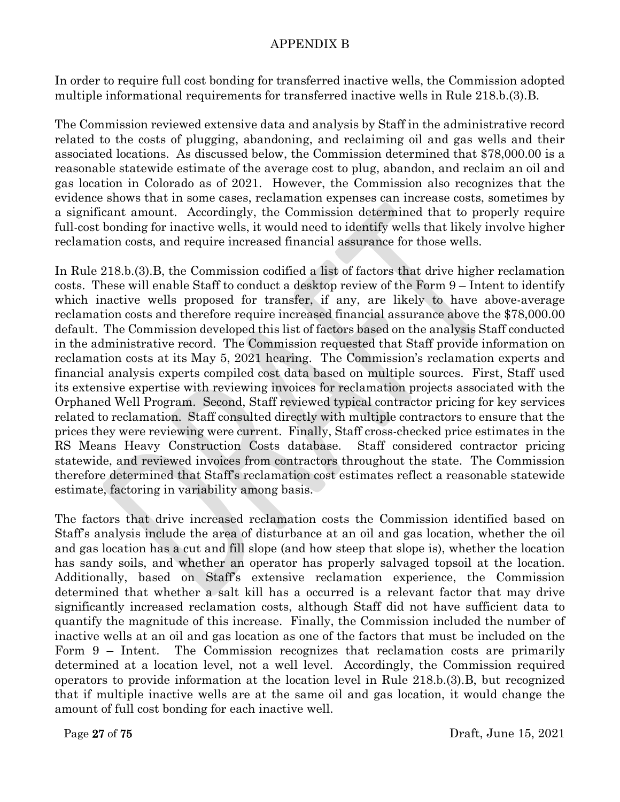In order to require full cost bonding for transferred inactive wells, the Commission adopted multiple informational requirements for transferred inactive wells in Rule 218.b.(3).B.

The Commission reviewed extensive data and analysis by Staff in the administrative record related to the costs of plugging, abandoning, and reclaiming oil and gas wells and their associated locations. As discussed below, the Commission determined that \$78,000.00 is a reasonable statewide estimate of the average cost to plug, abandon, and reclaim an oil and gas location in Colorado as of 2021. However, the Commission also recognizes that the evidence shows that in some cases, reclamation expenses can increase costs, sometimes by a significant amount. Accordingly, the Commission determined that to properly require full-cost bonding for inactive wells, it would need to identify wells that likely involve higher reclamation costs, and require increased financial assurance for those wells.

In Rule 218.b.(3).B, the Commission codified a list of factors that drive higher reclamation costs. These will enable Staff to conduct a desktop review of the Form 9 – Intent to identify which inactive wells proposed for transfer, if any, are likely to have above-average reclamation costs and therefore require increased financial assurance above the \$78,000.00 default. The Commission developed this list of factors based on the analysis Staff conducted in the administrative record. The Commission requested that Staff provide information on reclamation costs at its May 5, 2021 hearing. The Commission's reclamation experts and financial analysis experts compiled cost data based on multiple sources. First, Staff used its extensive expertise with reviewing invoices for reclamation projects associated with the Orphaned Well Program. Second, Staff reviewed typical contractor pricing for key services related to reclamation. Staff consulted directly with multiple contractors to ensure that the prices they were reviewing were current. Finally, Staff cross-checked price estimates in the RS Means Heavy Construction Costs database. Staff considered contractor pricing statewide, and reviewed invoices from contractors throughout the state. The Commission therefore determined that Staff's reclamation cost estimates reflect a reasonable statewide estimate, factoring in variability among basis.

The factors that drive increased reclamation costs the Commission identified based on Staff's analysis include the area of disturbance at an oil and gas location, whether the oil and gas location has a cut and fill slope (and how steep that slope is), whether the location has sandy soils, and whether an operator has properly salvaged topsoil at the location. Additionally, based on Staff's extensive reclamation experience, the Commission determined that whether a salt kill has a occurred is a relevant factor that may drive significantly increased reclamation costs, although Staff did not have sufficient data to quantify the magnitude of this increase. Finally, the Commission included the number of inactive wells at an oil and gas location as one of the factors that must be included on the Form 9 – Intent. The Commission recognizes that reclamation costs are primarily determined at a location level, not a well level. Accordingly, the Commission required operators to provide information at the location level in Rule 218.b.(3).B, but recognized that if multiple inactive wells are at the same oil and gas location, it would change the amount of full cost bonding for each inactive well.

Page 27 of 75 Draft, June 15, 2021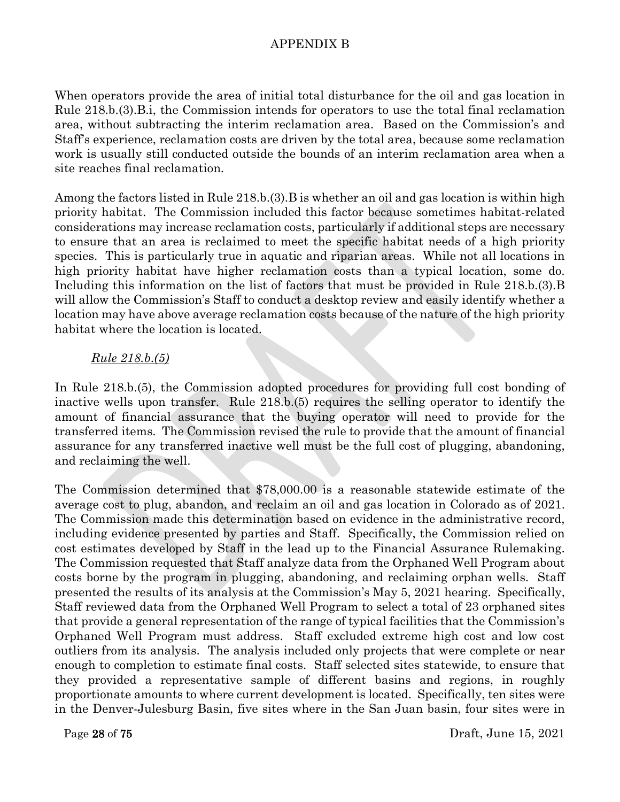When operators provide the area of initial total disturbance for the oil and gas location in Rule 218.b.(3).B.i, the Commission intends for operators to use the total final reclamation area, without subtracting the interim reclamation area. Based on the Commission's and Staff's experience, reclamation costs are driven by the total area, because some reclamation work is usually still conducted outside the bounds of an interim reclamation area when a site reaches final reclamation.

Among the factors listed in Rule 218.b.(3).B is whether an oil and gas location is within high priority habitat. The Commission included this factor because sometimes habitat-related considerations may increase reclamation costs, particularly if additional steps are necessary to ensure that an area is reclaimed to meet the specific habitat needs of a high priority species. This is particularly true in aquatic and riparian areas. While not all locations in high priority habitat have higher reclamation costs than a typical location, some do. Including this information on the list of factors that must be provided in Rule 218.b.(3).B will allow the Commission's Staff to conduct a desktop review and easily identify whether a location may have above average reclamation costs because of the nature of the high priority habitat where the location is located.

#### *Rule 218.b.(5)*

In Rule 218.b.(5), the Commission adopted procedures for providing full cost bonding of inactive wells upon transfer. Rule 218.b.(5) requires the selling operator to identify the amount of financial assurance that the buying operator will need to provide for the transferred items. The Commission revised the rule to provide that the amount of financial assurance for any transferred inactive well must be the full cost of plugging, abandoning, and reclaiming the well.

The Commission determined that \$78,000.00 is a reasonable statewide estimate of the average cost to plug, abandon, and reclaim an oil and gas location in Colorado as of 2021. The Commission made this determination based on evidence in the administrative record, including evidence presented by parties and Staff. Specifically, the Commission relied on cost estimates developed by Staff in the lead up to the Financial Assurance Rulemaking. The Commission requested that Staff analyze data from the Orphaned Well Program about costs borne by the program in plugging, abandoning, and reclaiming orphan wells. Staff presented the results of its analysis at the Commission's May 5, 2021 hearing. Specifically, Staff reviewed data from the Orphaned Well Program to select a total of 23 orphaned sites that provide a general representation of the range of typical facilities that the Commission's Orphaned Well Program must address. Staff excluded extreme high cost and low cost outliers from its analysis. The analysis included only projects that were complete or near enough to completion to estimate final costs. Staff selected sites statewide, to ensure that they provided a representative sample of different basins and regions, in roughly proportionate amounts to where current development is located. Specifically, ten sites were in the Denver-Julesburg Basin, five sites where in the San Juan basin, four sites were in

Page 28 of 75 Draft, June 15, 2021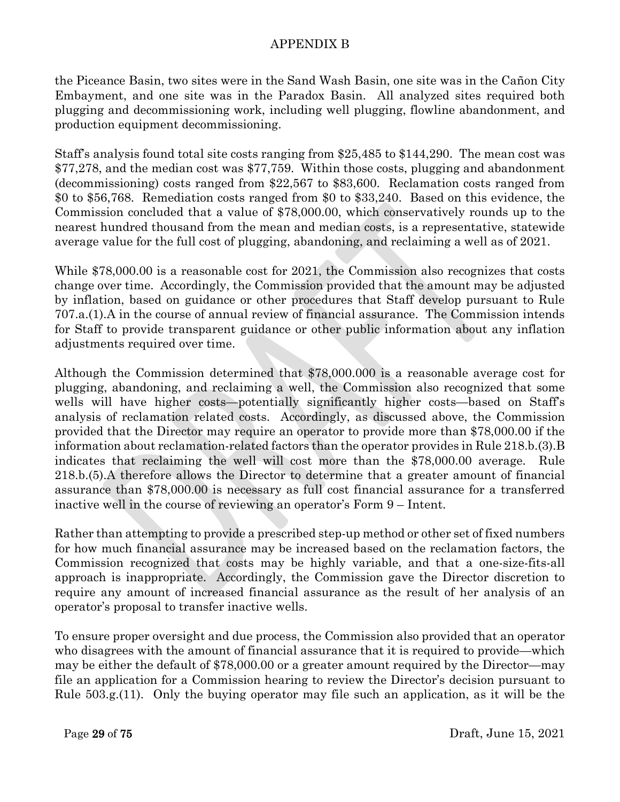the Piceance Basin, two sites were in the Sand Wash Basin, one site was in the Cañon City Embayment, and one site was in the Paradox Basin. All analyzed sites required both plugging and decommissioning work, including well plugging, flowline abandonment, and production equipment decommissioning.

Staff's analysis found total site costs ranging from \$25,485 to \$144,290. The mean cost was \$77,278, and the median cost was \$77,759. Within those costs, plugging and abandonment (decommissioning) costs ranged from \$22,567 to \$83,600. Reclamation costs ranged from \$0 to \$56,768. Remediation costs ranged from \$0 to \$33,240. Based on this evidence, the Commission concluded that a value of \$78,000.00, which conservatively rounds up to the nearest hundred thousand from the mean and median costs, is a representative, statewide average value for the full cost of plugging, abandoning, and reclaiming a well as of 2021.

While \$78,000.00 is a reasonable cost for 2021, the Commission also recognizes that costs change over time. Accordingly, the Commission provided that the amount may be adjusted by inflation, based on guidance or other procedures that Staff develop pursuant to Rule 707.a.(1).A in the course of annual review of financial assurance. The Commission intends for Staff to provide transparent guidance or other public information about any inflation adjustments required over time.

Although the Commission determined that \$78,000.000 is a reasonable average cost for plugging, abandoning, and reclaiming a well, the Commission also recognized that some wells will have higher costs—potentially significantly higher costs—based on Staff's analysis of reclamation related costs. Accordingly, as discussed above, the Commission provided that the Director may require an operator to provide more than \$78,000.00 if the information about reclamation-related factors than the operator provides in Rule 218.b.(3).B indicates that reclaiming the well will cost more than the \$78,000.00 average. Rule 218.b.(5).A therefore allows the Director to determine that a greater amount of financial assurance than \$78,000.00 is necessary as full cost financial assurance for a transferred inactive well in the course of reviewing an operator's Form 9 – Intent.

Rather than attempting to provide a prescribed step-up method or other set of fixed numbers for how much financial assurance may be increased based on the reclamation factors, the Commission recognized that costs may be highly variable, and that a one-size-fits-all approach is inappropriate. Accordingly, the Commission gave the Director discretion to require any amount of increased financial assurance as the result of her analysis of an operator's proposal to transfer inactive wells.

To ensure proper oversight and due process, the Commission also provided that an operator who disagrees with the amount of financial assurance that it is required to provide—which may be either the default of \$78,000.00 or a greater amount required by the Director—may file an application for a Commission hearing to review the Director's decision pursuant to Rule 503.g.(11). Only the buying operator may file such an application, as it will be the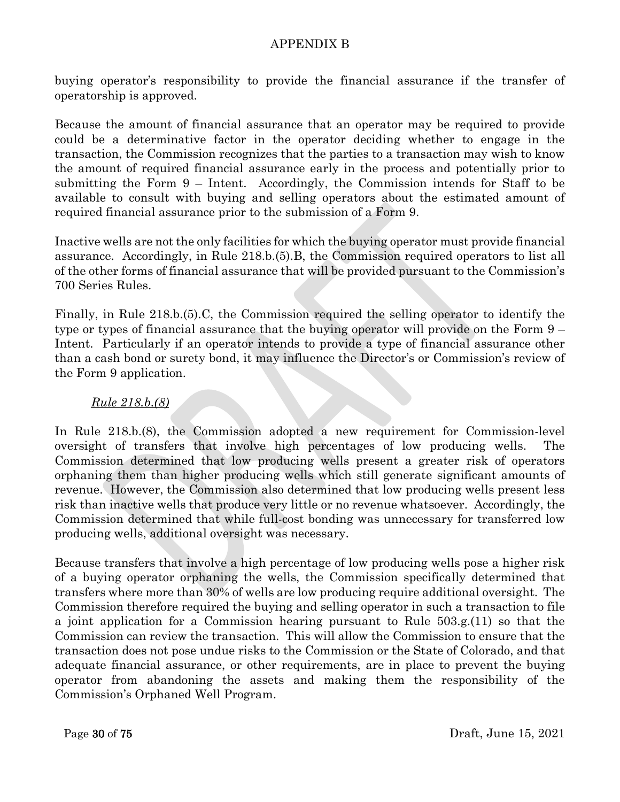buying operator's responsibility to provide the financial assurance if the transfer of operatorship is approved.

Because the amount of financial assurance that an operator may be required to provide could be a determinative factor in the operator deciding whether to engage in the transaction, the Commission recognizes that the parties to a transaction may wish to know the amount of required financial assurance early in the process and potentially prior to submitting the Form 9 – Intent. Accordingly, the Commission intends for Staff to be available to consult with buying and selling operators about the estimated amount of required financial assurance prior to the submission of a Form 9.

Inactive wells are not the only facilities for which the buying operator must provide financial assurance. Accordingly, in Rule 218.b.(5).B, the Commission required operators to list all of the other forms of financial assurance that will be provided pursuant to the Commission's 700 Series Rules.

Finally, in Rule 218.b.(5).C, the Commission required the selling operator to identify the type or types of financial assurance that the buying operator will provide on the Form 9 – Intent. Particularly if an operator intends to provide a type of financial assurance other than a cash bond or surety bond, it may influence the Director's or Commission's review of the Form 9 application.

#### *Rule 218.b.(8)*

In Rule 218.b.(8), the Commission adopted a new requirement for Commission-level oversight of transfers that involve high percentages of low producing wells. The Commission determined that low producing wells present a greater risk of operators orphaning them than higher producing wells which still generate significant amounts of revenue. However, the Commission also determined that low producing wells present less risk than inactive wells that produce very little or no revenue whatsoever. Accordingly, the Commission determined that while full-cost bonding was unnecessary for transferred low producing wells, additional oversight was necessary.

Because transfers that involve a high percentage of low producing wells pose a higher risk of a buying operator orphaning the wells, the Commission specifically determined that transfers where more than 30% of wells are low producing require additional oversight. The Commission therefore required the buying and selling operator in such a transaction to file a joint application for a Commission hearing pursuant to Rule 503.g.(11) so that the Commission can review the transaction. This will allow the Commission to ensure that the transaction does not pose undue risks to the Commission or the State of Colorado, and that adequate financial assurance, or other requirements, are in place to prevent the buying operator from abandoning the assets and making them the responsibility of the Commission's Orphaned Well Program.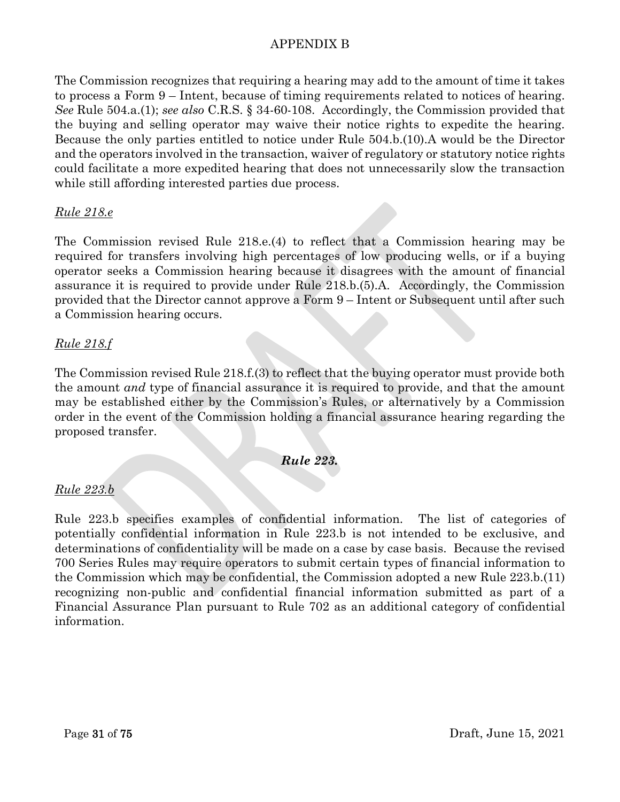The Commission recognizes that requiring a hearing may add to the amount of time it takes to process a Form 9 – Intent, because of timing requirements related to notices of hearing. *See* Rule 504.a.(1); *see also* C.R.S. § 34-60-108. Accordingly, the Commission provided that the buying and selling operator may waive their notice rights to expedite the hearing. Because the only parties entitled to notice under Rule 504.b.(10).A would be the Director and the operators involved in the transaction, waiver of regulatory or statutory notice rights could facilitate a more expedited hearing that does not unnecessarily slow the transaction while still affording interested parties due process.

#### *Rule 218.e*

The Commission revised Rule 218.e.(4) to reflect that a Commission hearing may be required for transfers involving high percentages of low producing wells, or if a buying operator seeks a Commission hearing because it disagrees with the amount of financial assurance it is required to provide under Rule 218.b.(5).A. Accordingly, the Commission provided that the Director cannot approve a Form 9 – Intent or Subsequent until after such a Commission hearing occurs.

#### *Rule 218.f*

The Commission revised Rule 218.f.(3) to reflect that the buying operator must provide both the amount *and* type of financial assurance it is required to provide, and that the amount may be established either by the Commission's Rules, or alternatively by a Commission order in the event of the Commission holding a financial assurance hearing regarding the proposed transfer.

#### *Rule 223.*

#### *Rule 223.b*

Rule 223.b specifies examples of confidential information. The list of categories of potentially confidential information in Rule 223.b is not intended to be exclusive, and determinations of confidentiality will be made on a case by case basis. Because the revised 700 Series Rules may require operators to submit certain types of financial information to the Commission which may be confidential, the Commission adopted a new Rule 223.b.(11) recognizing non-public and confidential financial information submitted as part of a Financial Assurance Plan pursuant to Rule 702 as an additional category of confidential information.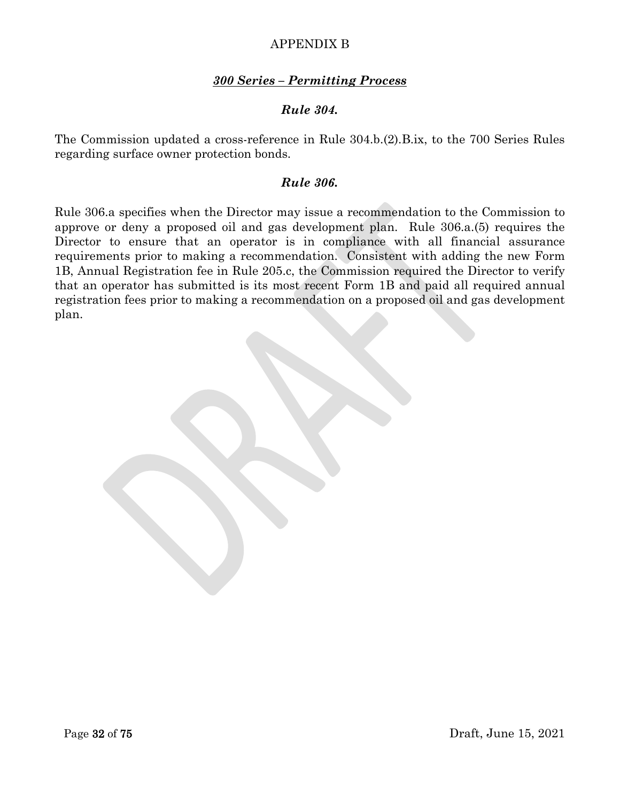#### *300 Series – Permitting Process*

#### *Rule 304.*

The Commission updated a cross-reference in Rule 304.b.(2).B.ix, to the 700 Series Rules regarding surface owner protection bonds.

#### *Rule 306.*

Rule 306.a specifies when the Director may issue a recommendation to the Commission to approve or deny a proposed oil and gas development plan. Rule 306.a.(5) requires the Director to ensure that an operator is in compliance with all financial assurance requirements prior to making a recommendation. Consistent with adding the new Form 1B, Annual Registration fee in Rule 205.c, the Commission required the Director to verify that an operator has submitted is its most recent Form 1B and paid all required annual registration fees prior to making a recommendation on a proposed oil and gas development plan.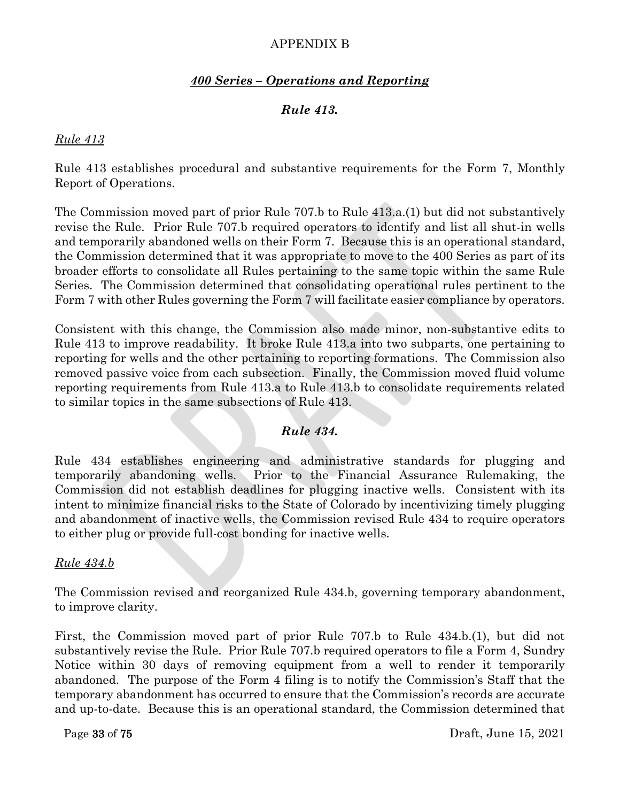### *400 Series – Operations and Reporting*

## *Rule 413.*

#### *Rule 413*

Rule 413 establishes procedural and substantive requirements for the Form 7, Monthly Report of Operations.

The Commission moved part of prior Rule 707.b to Rule 413.a.(1) but did not substantively revise the Rule. Prior Rule 707.b required operators to identify and list all shut-in wells and temporarily abandoned wells on their Form 7. Because this is an operational standard, the Commission determined that it was appropriate to move to the 400 Series as part of its broader efforts to consolidate all Rules pertaining to the same topic within the same Rule Series. The Commission determined that consolidating operational rules pertinent to the Form 7 with other Rules governing the Form 7 will facilitate easier compliance by operators.

Consistent with this change, the Commission also made minor, non-substantive edits to Rule 413 to improve readability. It broke Rule 413.a into two subparts, one pertaining to reporting for wells and the other pertaining to reporting formations. The Commission also removed passive voice from each subsection. Finally, the Commission moved fluid volume reporting requirements from Rule 413.a to Rule 413.b to consolidate requirements related to similar topics in the same subsections of Rule 413.

### *Rule 434.*

Rule 434 establishes engineering and administrative standards for plugging and temporarily abandoning wells. Prior to the Financial Assurance Rulemaking, the Commission did not establish deadlines for plugging inactive wells. Consistent with its intent to minimize financial risks to the State of Colorado by incentivizing timely plugging and abandonment of inactive wells, the Commission revised Rule 434 to require operators to either plug or provide full-cost bonding for inactive wells.

#### *Rule 434.b*

The Commission revised and reorganized Rule 434.b, governing temporary abandonment, to improve clarity.

First, the Commission moved part of prior Rule 707.b to Rule 434.b.(1), but did not substantively revise the Rule. Prior Rule 707.b required operators to file a Form 4, Sundry Notice within 30 days of removing equipment from a well to render it temporarily abandoned. The purpose of the Form 4 filing is to notify the Commission's Staff that the temporary abandonment has occurred to ensure that the Commission's records are accurate and up-to-date. Because this is an operational standard, the Commission determined that

Page 33 of 75 Draft, June 15, 2021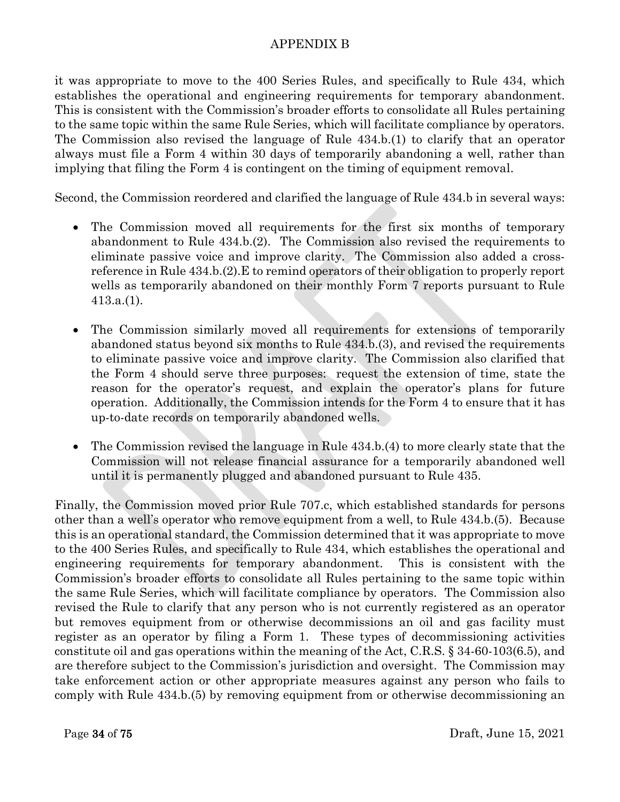it was appropriate to move to the 400 Series Rules, and specifically to Rule 434, which establishes the operational and engineering requirements for temporary abandonment. This is consistent with the Commission's broader efforts to consolidate all Rules pertaining to the same topic within the same Rule Series, which will facilitate compliance by operators. The Commission also revised the language of Rule 434.b.(1) to clarify that an operator always must file a Form 4 within 30 days of temporarily abandoning a well, rather than implying that filing the Form 4 is contingent on the timing of equipment removal.

Second, the Commission reordered and clarified the language of Rule 434.b in several ways:

- The Commission moved all requirements for the first six months of temporary abandonment to Rule 434.b.(2). The Commission also revised the requirements to eliminate passive voice and improve clarity. The Commission also added a crossreference in Rule 434.b.(2).E to remind operators of their obligation to properly report wells as temporarily abandoned on their monthly Form 7 reports pursuant to Rule 413.a.(1).
- The Commission similarly moved all requirements for extensions of temporarily abandoned status beyond six months to Rule 434.b.(3), and revised the requirements to eliminate passive voice and improve clarity. The Commission also clarified that the Form 4 should serve three purposes: request the extension of time, state the reason for the operator's request, and explain the operator's plans for future operation. Additionally, the Commission intends for the Form 4 to ensure that it has up-to-date records on temporarily abandoned wells.
- The Commission revised the language in Rule 434.b.(4) to more clearly state that the Commission will not release financial assurance for a temporarily abandoned well until it is permanently plugged and abandoned pursuant to Rule 435.

Finally, the Commission moved prior Rule 707.c, which established standards for persons other than a well's operator who remove equipment from a well, to Rule 434.b.(5). Because this is an operational standard, the Commission determined that it was appropriate to move to the 400 Series Rules, and specifically to Rule 434, which establishes the operational and engineering requirements for temporary abandonment. This is consistent with the Commission's broader efforts to consolidate all Rules pertaining to the same topic within the same Rule Series, which will facilitate compliance by operators. The Commission also revised the Rule to clarify that any person who is not currently registered as an operator but removes equipment from or otherwise decommissions an oil and gas facility must register as an operator by filing a Form 1. These types of decommissioning activities constitute oil and gas operations within the meaning of the Act, C.R.S. § 34-60-103(6.5), and are therefore subject to the Commission's jurisdiction and oversight. The Commission may take enforcement action or other appropriate measures against any person who fails to comply with Rule 434.b.(5) by removing equipment from or otherwise decommissioning an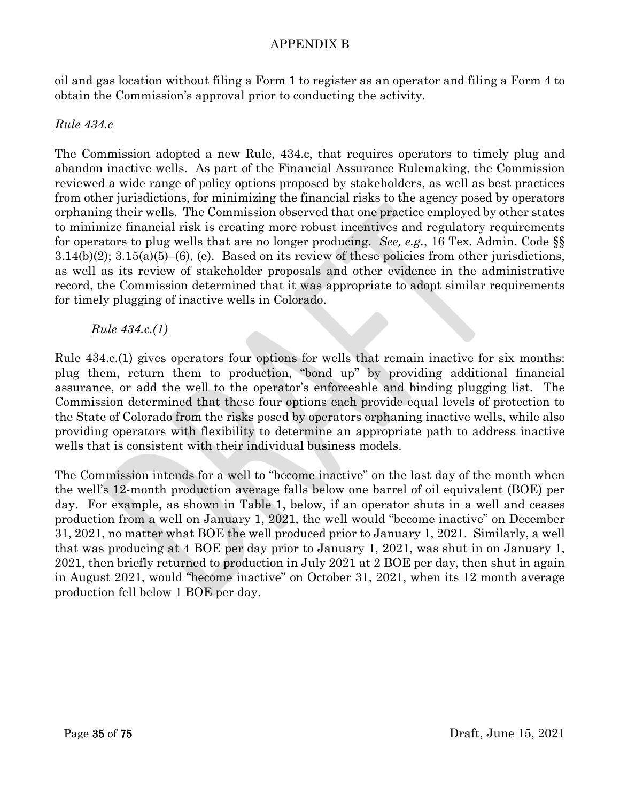oil and gas location without filing a Form 1 to register as an operator and filing a Form 4 to obtain the Commission's approval prior to conducting the activity.

#### *Rule 434.c*

The Commission adopted a new Rule, 434.c, that requires operators to timely plug and abandon inactive wells. As part of the Financial Assurance Rulemaking, the Commission reviewed a wide range of policy options proposed by stakeholders, as well as best practices from other jurisdictions, for minimizing the financial risks to the agency posed by operators orphaning their wells. The Commission observed that one practice employed by other states to minimize financial risk is creating more robust incentives and regulatory requirements for operators to plug wells that are no longer producing. *See, e.g.*, 16 Tex. Admin. Code §§  $3.14(b)(2)$ ;  $3.15(a)(5)$ – $(6)$ , (e). Based on its review of these policies from other jurisdictions, as well as its review of stakeholder proposals and other evidence in the administrative record, the Commission determined that it was appropriate to adopt similar requirements for timely plugging of inactive wells in Colorado.

#### *Rule 434.c.(1)*

Rule 434.c.(1) gives operators four options for wells that remain inactive for six months: plug them, return them to production, "bond up" by providing additional financial assurance, or add the well to the operator's enforceable and binding plugging list. The Commission determined that these four options each provide equal levels of protection to the State of Colorado from the risks posed by operators orphaning inactive wells, while also providing operators with flexibility to determine an appropriate path to address inactive wells that is consistent with their individual business models.

The Commission intends for a well to "become inactive" on the last day of the month when the well's 12-month production average falls below one barrel of oil equivalent (BOE) per day. For example, as shown in Table 1, below, if an operator shuts in a well and ceases production from a well on January 1, 2021, the well would "become inactive" on December 31, 2021, no matter what BOE the well produced prior to January 1, 2021. Similarly, a well that was producing at 4 BOE per day prior to January 1, 2021, was shut in on January 1, 2021, then briefly returned to production in July 2021 at 2 BOE per day, then shut in again in August 2021, would "become inactive" on October 31, 2021, when its 12 month average production fell below 1 BOE per day.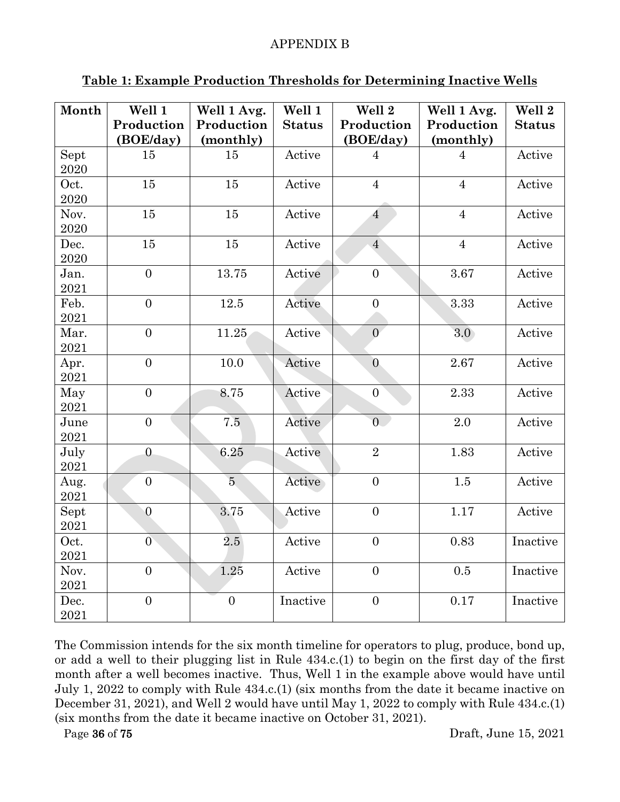| Month            | Well 1<br>Production<br>(BOE/day) | Well 1 Avg.<br>Production<br>(monthly) | Well 1<br><b>Status</b> | Well 2<br>Production<br>(BOE/day) | Well 1 Avg.<br>Production<br>(monthly) | Well 2<br><b>Status</b> |
|------------------|-----------------------------------|----------------------------------------|-------------------------|-----------------------------------|----------------------------------------|-------------------------|
| Sept<br>2020     | 15                                | 15                                     | Active                  | $\overline{4}$                    | $\overline{4}$                         | Active                  |
| Oct.<br>2020     | 15                                | 15                                     | Active                  | $\overline{4}$                    | $\overline{4}$                         | Active                  |
| Nov.<br>2020     | 15                                | 15                                     | Active                  | $\overline{4}$                    | $\overline{4}$                         | Active                  |
| Dec.<br>2020     | 15                                | 15                                     | Active                  | $\overline{4}$                    | $\overline{4}$                         | Active                  |
| Jan.<br>2021     | $\overline{0}$                    | 13.75                                  | Active                  | $\overline{0}$                    | 3.67                                   | Active                  |
| Feb.<br>2021     | $\overline{0}$                    | 12.5                                   | Active                  | $\overline{0}$                    | 3.33                                   | Active                  |
| Mar.<br>2021     | $\overline{0}$                    | 11.25                                  | Active                  | $\overline{0}$                    | 3.0 <sub>2</sub>                       | Active                  |
| Apr.<br>$\,2021$ | $\overline{0}$                    | 10.0                                   | Active                  | $\overline{0}$                    | 2.67                                   | Active                  |
| May<br>2021      | $\overline{0}$                    | 8.75                                   | Active                  | $\overline{0}$                    | 2.33                                   | Active                  |
| June<br>$\,2021$ | $\overline{0}$                    | 7.5                                    | Active                  | $\overline{0}$                    | 2.0                                    | Active                  |
| July<br>2021     | $\overline{0}$                    | 6.25                                   | Active                  | $\overline{2}$                    | 1.83                                   | Active                  |
| Aug.<br>2021     | $\overline{0}$                    | $\overline{5}$                         | Active                  | $\overline{0}$                    | 1.5                                    | Active                  |
| Sept<br>2021     | $\overline{0}$                    | 3.75                                   | Active                  | $\overline{0}$                    | 1.17                                   | Active                  |
| Oct.<br>2021     | $\overline{0}$                    | $2.5\,$                                | Active                  | $\boldsymbol{0}$                  | 0.83                                   | Inactive                |
| Nov.<br>2021     | $\overline{0}$                    | 1.25                                   | Active                  | $\overline{0}$                    | 0.5                                    | Inactive                |
| Dec.<br>2021     | $\overline{0}$                    | $\boldsymbol{0}$                       | Inactive                | $\boldsymbol{0}$                  | 0.17                                   | Inactive                |

## **Table 1: Example Production Thresholds for Determining Inactive Wells**

The Commission intends for the six month timeline for operators to plug, produce, bond up, or add a well to their plugging list in Rule 434.c.(1) to begin on the first day of the first month after a well becomes inactive. Thus, Well 1 in the example above would have until July 1, 2022 to comply with Rule 434.c.(1) (six months from the date it became inactive on December 31, 2021), and Well 2 would have until May 1, 2022 to comply with Rule 434.c.(1) (six months from the date it became inactive on October 31, 2021).

Page 36 of 75 Draft, June 15, 2021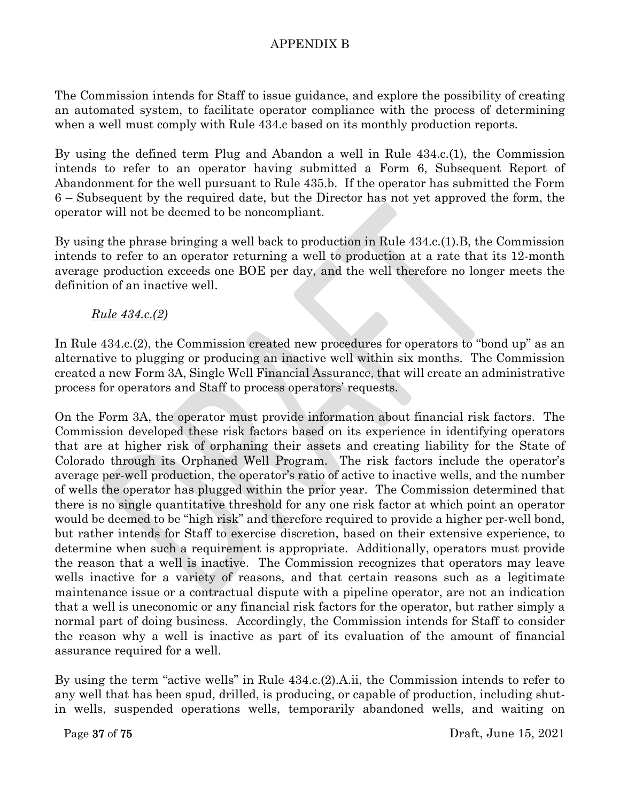The Commission intends for Staff to issue guidance, and explore the possibility of creating an automated system, to facilitate operator compliance with the process of determining when a well must comply with Rule 434.c based on its monthly production reports.

By using the defined term Plug and Abandon a well in Rule 434.c.(1), the Commission intends to refer to an operator having submitted a Form 6, Subsequent Report of Abandonment for the well pursuant to Rule 435.b. If the operator has submitted the Form 6 – Subsequent by the required date, but the Director has not yet approved the form, the operator will not be deemed to be noncompliant.

By using the phrase bringing a well back to production in Rule 434.c.(1).B, the Commission intends to refer to an operator returning a well to production at a rate that its 12-month average production exceeds one BOE per day, and the well therefore no longer meets the definition of an inactive well.

### *Rule 434.c.(2)*

In Rule 434.c.(2), the Commission created new procedures for operators to "bond up" as an alternative to plugging or producing an inactive well within six months. The Commission created a new Form 3A, Single Well Financial Assurance, that will create an administrative process for operators and Staff to process operators' requests.

On the Form 3A, the operator must provide information about financial risk factors. The Commission developed these risk factors based on its experience in identifying operators that are at higher risk of orphaning their assets and creating liability for the State of Colorado through its Orphaned Well Program. The risk factors include the operator's average per-well production, the operator's ratio of active to inactive wells, and the number of wells the operator has plugged within the prior year. The Commission determined that there is no single quantitative threshold for any one risk factor at which point an operator would be deemed to be "high risk" and therefore required to provide a higher per-well bond, but rather intends for Staff to exercise discretion, based on their extensive experience, to determine when such a requirement is appropriate. Additionally, operators must provide the reason that a well is inactive. The Commission recognizes that operators may leave wells inactive for a variety of reasons, and that certain reasons such as a legitimate maintenance issue or a contractual dispute with a pipeline operator, are not an indication that a well is uneconomic or any financial risk factors for the operator, but rather simply a normal part of doing business. Accordingly, the Commission intends for Staff to consider the reason why a well is inactive as part of its evaluation of the amount of financial assurance required for a well.

By using the term "active wells" in Rule 434.c.(2).A.ii, the Commission intends to refer to any well that has been spud, drilled, is producing, or capable of production, including shutin wells, suspended operations wells, temporarily abandoned wells, and waiting on

Page 37 of 75 Draft, June 15, 2021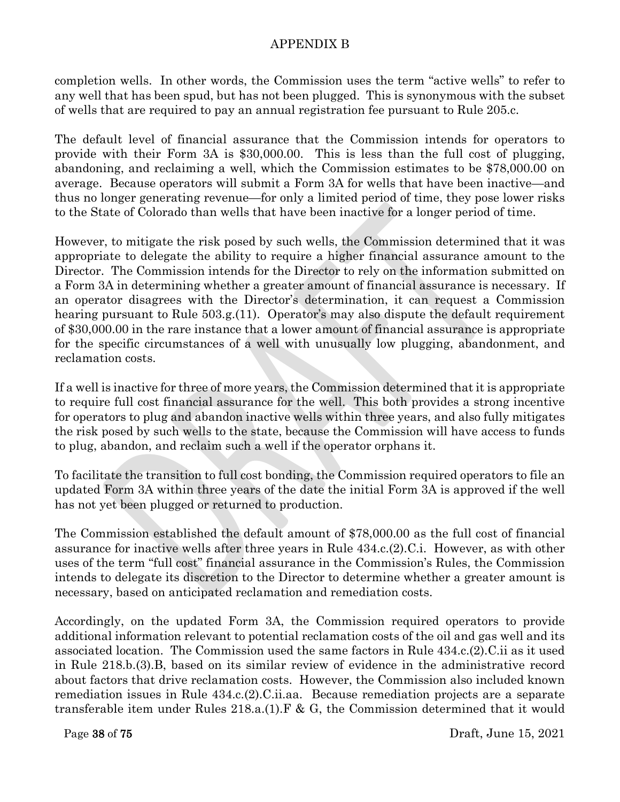completion wells. In other words, the Commission uses the term "active wells" to refer to any well that has been spud, but has not been plugged. This is synonymous with the subset of wells that are required to pay an annual registration fee pursuant to Rule 205.c.

The default level of financial assurance that the Commission intends for operators to provide with their Form 3A is \$30,000.00. This is less than the full cost of plugging, abandoning, and reclaiming a well, which the Commission estimates to be \$78,000.00 on average. Because operators will submit a Form 3A for wells that have been inactive—and thus no longer generating revenue—for only a limited period of time, they pose lower risks to the State of Colorado than wells that have been inactive for a longer period of time.

However, to mitigate the risk posed by such wells, the Commission determined that it was appropriate to delegate the ability to require a higher financial assurance amount to the Director. The Commission intends for the Director to rely on the information submitted on a Form 3A in determining whether a greater amount of financial assurance is necessary. If an operator disagrees with the Director's determination, it can request a Commission hearing pursuant to Rule 503.g.(11). Operator's may also dispute the default requirement of \$30,000.00 in the rare instance that a lower amount of financial assurance is appropriate for the specific circumstances of a well with unusually low plugging, abandonment, and reclamation costs.

If a well is inactive for three of more years, the Commission determined that it is appropriate to require full cost financial assurance for the well. This both provides a strong incentive for operators to plug and abandon inactive wells within three years, and also fully mitigates the risk posed by such wells to the state, because the Commission will have access to funds to plug, abandon, and reclaim such a well if the operator orphans it.

To facilitate the transition to full cost bonding, the Commission required operators to file an updated Form 3A within three years of the date the initial Form 3A is approved if the well has not yet been plugged or returned to production.

The Commission established the default amount of \$78,000.00 as the full cost of financial assurance for inactive wells after three years in Rule 434.c.(2).C.i. However, as with other uses of the term "full cost" financial assurance in the Commission's Rules, the Commission intends to delegate its discretion to the Director to determine whether a greater amount is necessary, based on anticipated reclamation and remediation costs.

Accordingly, on the updated Form 3A, the Commission required operators to provide additional information relevant to potential reclamation costs of the oil and gas well and its associated location. The Commission used the same factors in Rule 434.c.(2).C.ii as it used in Rule 218.b.(3).B, based on its similar review of evidence in the administrative record about factors that drive reclamation costs. However, the Commission also included known remediation issues in Rule 434.c.(2).C.ii.aa. Because remediation projects are a separate transferable item under Rules 218.a.(1).F & G, the Commission determined that it would

Page 38 of 75 Draft, June 15, 2021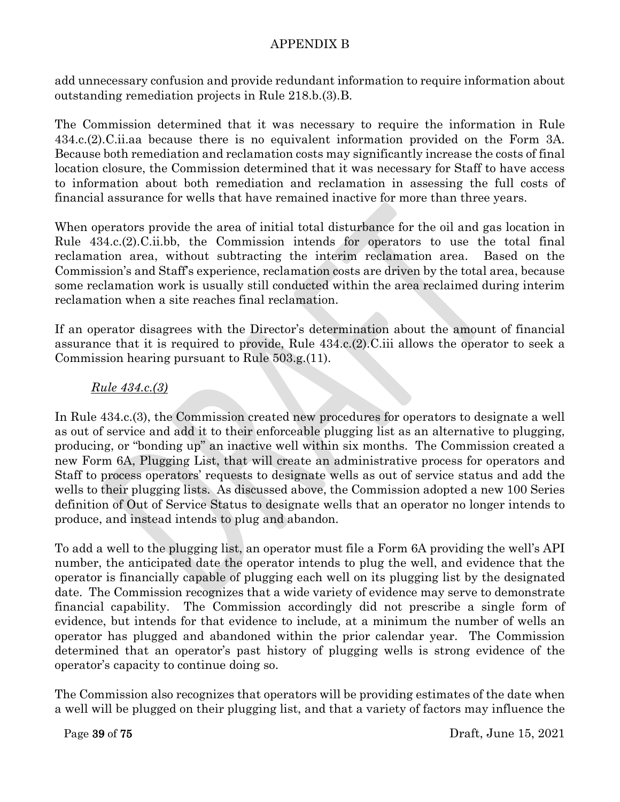add unnecessary confusion and provide redundant information to require information about outstanding remediation projects in Rule 218.b.(3).B.

The Commission determined that it was necessary to require the information in Rule 434.c.(2).C.ii.aa because there is no equivalent information provided on the Form 3A. Because both remediation and reclamation costs may significantly increase the costs of final location closure, the Commission determined that it was necessary for Staff to have access to information about both remediation and reclamation in assessing the full costs of financial assurance for wells that have remained inactive for more than three years.

When operators provide the area of initial total disturbance for the oil and gas location in Rule 434.c.(2).C.ii.bb, the Commission intends for operators to use the total final reclamation area, without subtracting the interim reclamation area. Based on the Commission's and Staff's experience, reclamation costs are driven by the total area, because some reclamation work is usually still conducted within the area reclaimed during interim reclamation when a site reaches final reclamation.

If an operator disagrees with the Director's determination about the amount of financial assurance that it is required to provide, Rule 434.c.(2).C.iii allows the operator to seek a Commission hearing pursuant to Rule 503.g.(11).

# *Rule 434.c.(3)*

In Rule 434.c.(3), the Commission created new procedures for operators to designate a well as out of service and add it to their enforceable plugging list as an alternative to plugging, producing, or "bonding up" an inactive well within six months. The Commission created a new Form 6A, Plugging List, that will create an administrative process for operators and Staff to process operators' requests to designate wells as out of service status and add the wells to their plugging lists. As discussed above, the Commission adopted a new 100 Series definition of Out of Service Status to designate wells that an operator no longer intends to produce, and instead intends to plug and abandon.

To add a well to the plugging list, an operator must file a Form 6A providing the well's API number, the anticipated date the operator intends to plug the well, and evidence that the operator is financially capable of plugging each well on its plugging list by the designated date. The Commission recognizes that a wide variety of evidence may serve to demonstrate financial capability. The Commission accordingly did not prescribe a single form of evidence, but intends for that evidence to include, at a minimum the number of wells an operator has plugged and abandoned within the prior calendar year. The Commission determined that an operator's past history of plugging wells is strong evidence of the operator's capacity to continue doing so.

The Commission also recognizes that operators will be providing estimates of the date when a well will be plugged on their plugging list, and that a variety of factors may influence the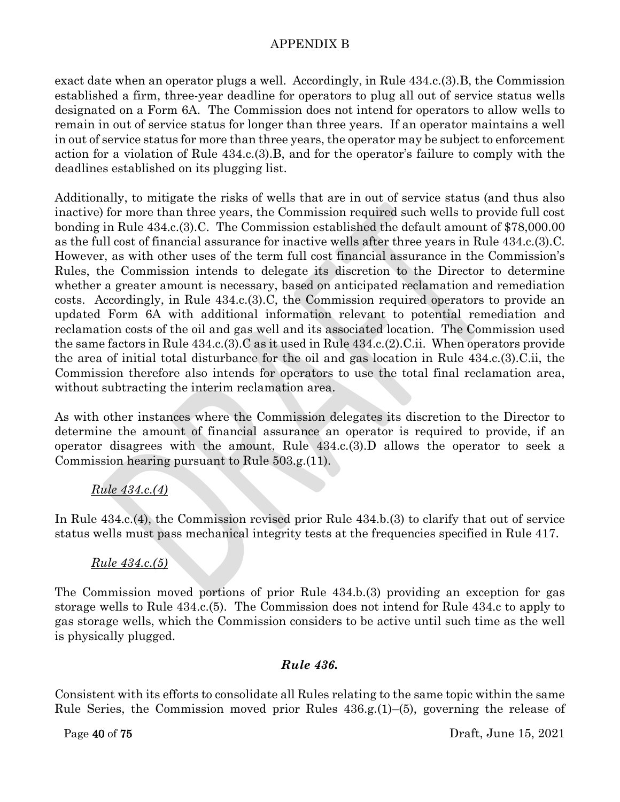exact date when an operator plugs a well. Accordingly, in Rule 434.c.(3).B, the Commission established a firm, three-year deadline for operators to plug all out of service status wells designated on a Form 6A. The Commission does not intend for operators to allow wells to remain in out of service status for longer than three years. If an operator maintains a well in out of service status for more than three years, the operator may be subject to enforcement action for a violation of Rule 434.c.(3).B, and for the operator's failure to comply with the deadlines established on its plugging list.

Additionally, to mitigate the risks of wells that are in out of service status (and thus also inactive) for more than three years, the Commission required such wells to provide full cost bonding in Rule 434.c.(3).C. The Commission established the default amount of \$78,000.00 as the full cost of financial assurance for inactive wells after three years in Rule 434.c.(3).C. However, as with other uses of the term full cost financial assurance in the Commission's Rules, the Commission intends to delegate its discretion to the Director to determine whether a greater amount is necessary, based on anticipated reclamation and remediation costs. Accordingly, in Rule 434.c.(3).C, the Commission required operators to provide an updated Form 6A with additional information relevant to potential remediation and reclamation costs of the oil and gas well and its associated location. The Commission used the same factors in Rule 434.c.(3).C as it used in Rule 434.c.(2).C.ii. When operators provide the area of initial total disturbance for the oil and gas location in Rule 434.c.(3).C.ii, the Commission therefore also intends for operators to use the total final reclamation area, without subtracting the interim reclamation area.

As with other instances where the Commission delegates its discretion to the Director to determine the amount of financial assurance an operator is required to provide, if an operator disagrees with the amount, Rule 434.c.(3).D allows the operator to seek a Commission hearing pursuant to Rule 503.g.(11).

# *Rule 434.c.(4)*

In Rule 434.c.(4), the Commission revised prior Rule 434.b.(3) to clarify that out of service status wells must pass mechanical integrity tests at the frequencies specified in Rule 417.

# *Rule 434.c.(5)*

The Commission moved portions of prior Rule 434.b.(3) providing an exception for gas storage wells to Rule 434.c.(5). The Commission does not intend for Rule 434.c to apply to gas storage wells, which the Commission considers to be active until such time as the well is physically plugged.

#### *Rule 436.*

Consistent with its efforts to consolidate all Rules relating to the same topic within the same Rule Series, the Commission moved prior Rules 436.g.(1)–(5), governing the release of

Page 40 of 75 Draft, June 15, 2021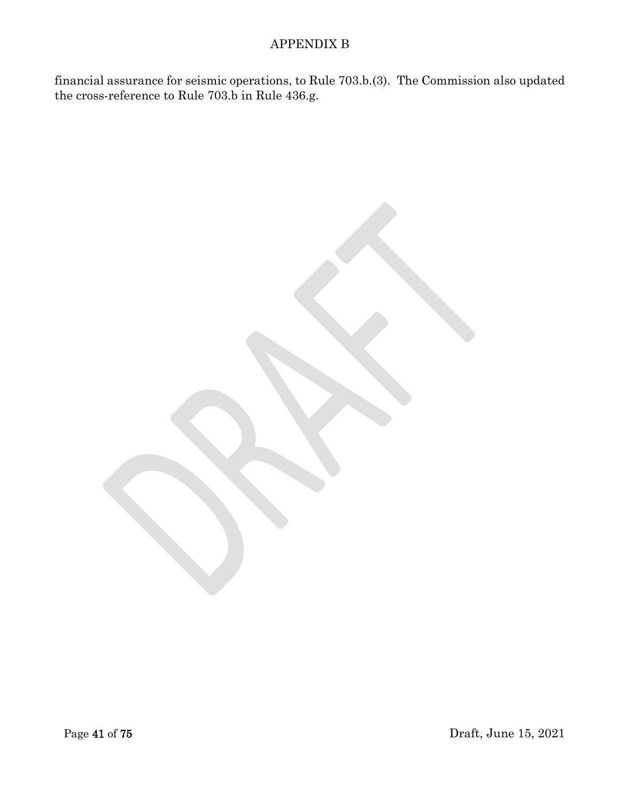financial assurance for seismic operations, to Rule 703.b.(3). The Commission also updated the cross-reference to Rule 703.b in Rule 436.g.

Page 41 of 75 Draft, June 15, 2021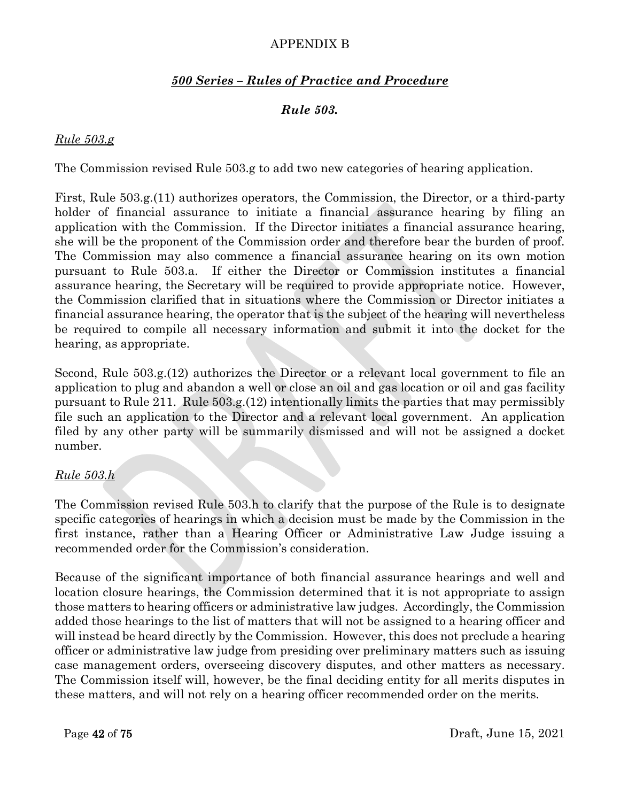# *500 Series – Rules of Practice and Procedure*

# *Rule 503.*

#### *Rule 503.g*

The Commission revised Rule 503.g to add two new categories of hearing application.

First, Rule 503.g.(11) authorizes operators, the Commission, the Director, or a third-party holder of financial assurance to initiate a financial assurance hearing by filing an application with the Commission. If the Director initiates a financial assurance hearing, she will be the proponent of the Commission order and therefore bear the burden of proof. The Commission may also commence a financial assurance hearing on its own motion pursuant to Rule 503.a. If either the Director or Commission institutes a financial assurance hearing, the Secretary will be required to provide appropriate notice. However, the Commission clarified that in situations where the Commission or Director initiates a financial assurance hearing, the operator that is the subject of the hearing will nevertheless be required to compile all necessary information and submit it into the docket for the hearing, as appropriate.

Second, Rule 503.g.(12) authorizes the Director or a relevant local government to file an application to plug and abandon a well or close an oil and gas location or oil and gas facility pursuant to Rule 211. Rule 503.g.(12) intentionally limits the parties that may permissibly file such an application to the Director and a relevant local government. An application filed by any other party will be summarily dismissed and will not be assigned a docket number.

# *Rule 503.h*

The Commission revised Rule 503.h to clarify that the purpose of the Rule is to designate specific categories of hearings in which a decision must be made by the Commission in the first instance, rather than a Hearing Officer or Administrative Law Judge issuing a recommended order for the Commission's consideration.

Because of the significant importance of both financial assurance hearings and well and location closure hearings, the Commission determined that it is not appropriate to assign those matters to hearing officers or administrative law judges. Accordingly, the Commission added those hearings to the list of matters that will not be assigned to a hearing officer and will instead be heard directly by the Commission. However, this does not preclude a hearing officer or administrative law judge from presiding over preliminary matters such as issuing case management orders, overseeing discovery disputes, and other matters as necessary. The Commission itself will, however, be the final deciding entity for all merits disputes in these matters, and will not rely on a hearing officer recommended order on the merits.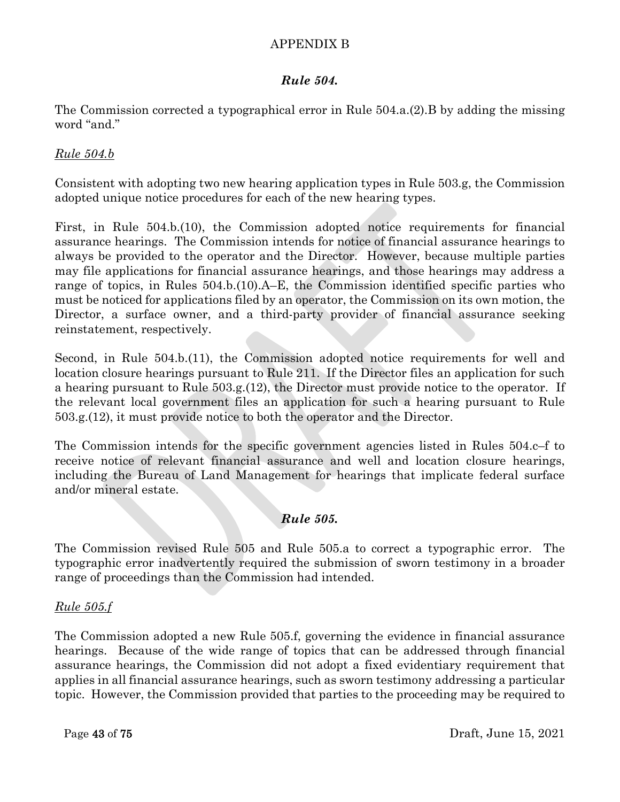# *Rule 504.*

The Commission corrected a typographical error in Rule 504.a.(2).B by adding the missing word "and."

# *Rule 504.b*

Consistent with adopting two new hearing application types in Rule 503.g, the Commission adopted unique notice procedures for each of the new hearing types.

First, in Rule 504.b.(10), the Commission adopted notice requirements for financial assurance hearings. The Commission intends for notice of financial assurance hearings to always be provided to the operator and the Director. However, because multiple parties may file applications for financial assurance hearings, and those hearings may address a range of topics, in Rules 504.b.(10).A–E, the Commission identified specific parties who must be noticed for applications filed by an operator, the Commission on its own motion, the Director, a surface owner, and a third-party provider of financial assurance seeking reinstatement, respectively.

Second, in Rule 504.b.(11), the Commission adopted notice requirements for well and location closure hearings pursuant to Rule 211. If the Director files an application for such a hearing pursuant to Rule 503.g.(12), the Director must provide notice to the operator. If the relevant local government files an application for such a hearing pursuant to Rule 503.g.(12), it must provide notice to both the operator and the Director.

The Commission intends for the specific government agencies listed in Rules 504.c–f to receive notice of relevant financial assurance and well and location closure hearings, including the Bureau of Land Management for hearings that implicate federal surface and/or mineral estate.

# *Rule 505.*

The Commission revised Rule 505 and Rule 505.a to correct a typographic error. The typographic error inadvertently required the submission of sworn testimony in a broader range of proceedings than the Commission had intended.

# *Rule 505.f*

The Commission adopted a new Rule 505.f, governing the evidence in financial assurance hearings. Because of the wide range of topics that can be addressed through financial assurance hearings, the Commission did not adopt a fixed evidentiary requirement that applies in all financial assurance hearings, such as sworn testimony addressing a particular topic. However, the Commission provided that parties to the proceeding may be required to

Page 43 of 75 Draft, June 15, 2021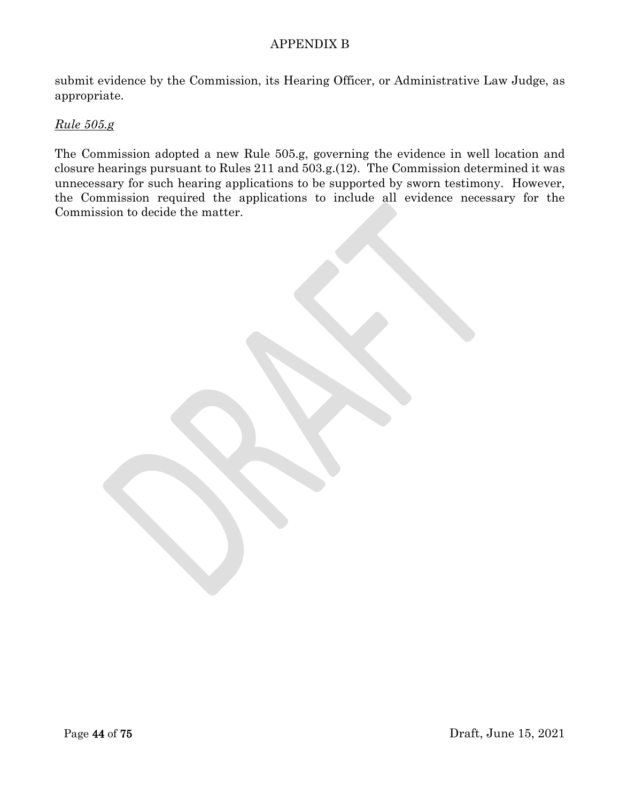submit evidence by the Commission, its Hearing Officer, or Administrative Law Judge, as appropriate.

### *Rule 505.g*

The Commission adopted a new Rule 505.g, governing the evidence in well location and closure hearings pursuant to Rules 211 and 503.g.(12). The Commission determined it was unnecessary for such hearing applications to be supported by sworn testimony. However, the Commission required the applications to include all evidence necessary for the Commission to decide the matter.

Page 44 of 75 Draft, June 15, 2021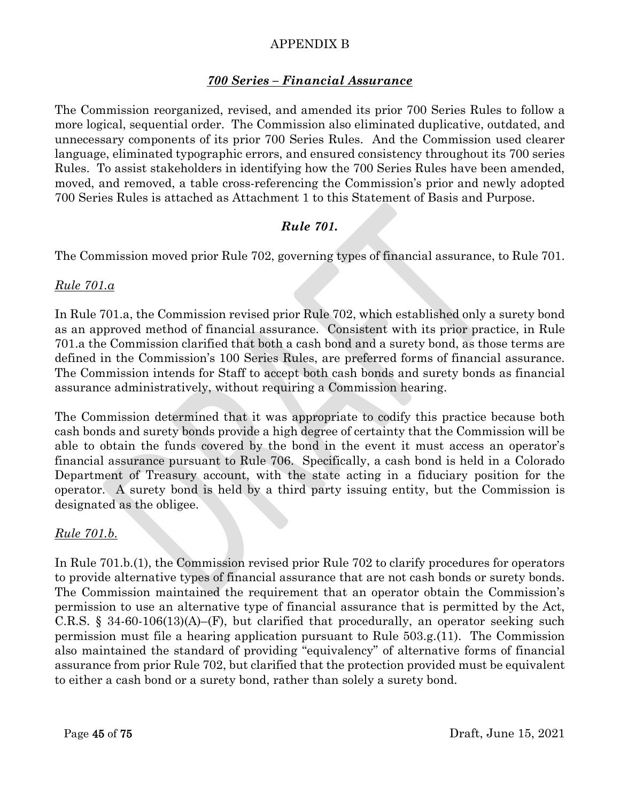### *700 Series – Financial Assurance*

The Commission reorganized, revised, and amended its prior 700 Series Rules to follow a more logical, sequential order. The Commission also eliminated duplicative, outdated, and unnecessary components of its prior 700 Series Rules. And the Commission used clearer language, eliminated typographic errors, and ensured consistency throughout its 700 series Rules. To assist stakeholders in identifying how the 700 Series Rules have been amended, moved, and removed, a table cross-referencing the Commission's prior and newly adopted 700 Series Rules is attached as Attachment 1 to this Statement of Basis and Purpose.

# *Rule 701.*

The Commission moved prior Rule 702, governing types of financial assurance, to Rule 701.

### *Rule 701.a*

In Rule 701.a, the Commission revised prior Rule 702, which established only a surety bond as an approved method of financial assurance. Consistent with its prior practice, in Rule 701.a the Commission clarified that both a cash bond and a surety bond, as those terms are defined in the Commission's 100 Series Rules, are preferred forms of financial assurance. The Commission intends for Staff to accept both cash bonds and surety bonds as financial assurance administratively, without requiring a Commission hearing.

The Commission determined that it was appropriate to codify this practice because both cash bonds and surety bonds provide a high degree of certainty that the Commission will be able to obtain the funds covered by the bond in the event it must access an operator's financial assurance pursuant to Rule 706. Specifically, a cash bond is held in a Colorado Department of Treasury account, with the state acting in a fiduciary position for the operator. A surety bond is held by a third party issuing entity, but the Commission is designated as the obligee.

#### *Rule 701.b.*

In Rule 701.b.(1), the Commission revised prior Rule 702 to clarify procedures for operators to provide alternative types of financial assurance that are not cash bonds or surety bonds. The Commission maintained the requirement that an operator obtain the Commission's permission to use an alternative type of financial assurance that is permitted by the Act, C.R.S. § 34-60-106(13)(A)–(F), but clarified that procedurally, an operator seeking such permission must file a hearing application pursuant to Rule 503.g.(11). The Commission also maintained the standard of providing "equivalency" of alternative forms of financial assurance from prior Rule 702, but clarified that the protection provided must be equivalent to either a cash bond or a surety bond, rather than solely a surety bond.

Page 45 of 75 Draft, June 15, 2021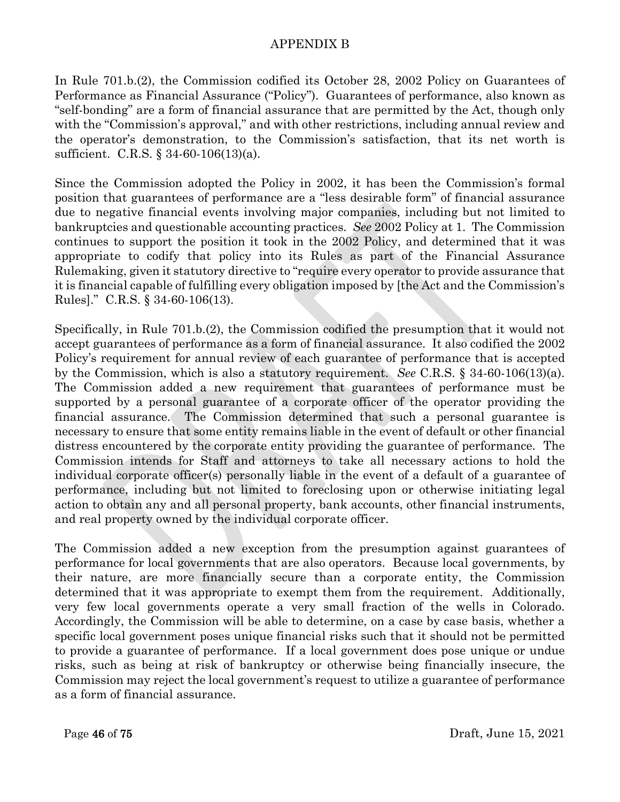In Rule 701.b.(2), the Commission codified its October 28, 2002 Policy on Guarantees of Performance as Financial Assurance ("Policy"). Guarantees of performance, also known as "self-bonding" are a form of financial assurance that are permitted by the Act, though only with the "Commission's approval," and with other restrictions, including annual review and the operator's demonstration, to the Commission's satisfaction, that its net worth is sufficient. C.R.S. § 34-60-106(13)(a).

Since the Commission adopted the Policy in 2002, it has been the Commission's formal position that guarantees of performance are a "less desirable form" of financial assurance due to negative financial events involving major companies, including but not limited to bankruptcies and questionable accounting practices. *See* 2002 Policy at 1. The Commission continues to support the position it took in the 2002 Policy, and determined that it was appropriate to codify that policy into its Rules as part of the Financial Assurance Rulemaking, given it statutory directive to "require every operator to provide assurance that it is financial capable of fulfilling every obligation imposed by [the Act and the Commission's Rules]." C.R.S. § 34-60-106(13).

Specifically, in Rule 701.b.(2), the Commission codified the presumption that it would not accept guarantees of performance as a form of financial assurance. It also codified the 2002 Policy's requirement for annual review of each guarantee of performance that is accepted by the Commission, which is also a statutory requirement. *See* C.R.S. § 34-60-106(13)(a). The Commission added a new requirement that guarantees of performance must be supported by a personal guarantee of a corporate officer of the operator providing the financial assurance. The Commission determined that such a personal guarantee is necessary to ensure that some entity remains liable in the event of default or other financial distress encountered by the corporate entity providing the guarantee of performance. The Commission intends for Staff and attorneys to take all necessary actions to hold the individual corporate officer(s) personally liable in the event of a default of a guarantee of performance, including but not limited to foreclosing upon or otherwise initiating legal action to obtain any and all personal property, bank accounts, other financial instruments, and real property owned by the individual corporate officer.

The Commission added a new exception from the presumption against guarantees of performance for local governments that are also operators. Because local governments, by their nature, are more financially secure than a corporate entity, the Commission determined that it was appropriate to exempt them from the requirement. Additionally, very few local governments operate a very small fraction of the wells in Colorado. Accordingly, the Commission will be able to determine, on a case by case basis, whether a specific local government poses unique financial risks such that it should not be permitted to provide a guarantee of performance. If a local government does pose unique or undue risks, such as being at risk of bankruptcy or otherwise being financially insecure, the Commission may reject the local government's request to utilize a guarantee of performance as a form of financial assurance.

Page 46 of 75 Draft, June 15, 2021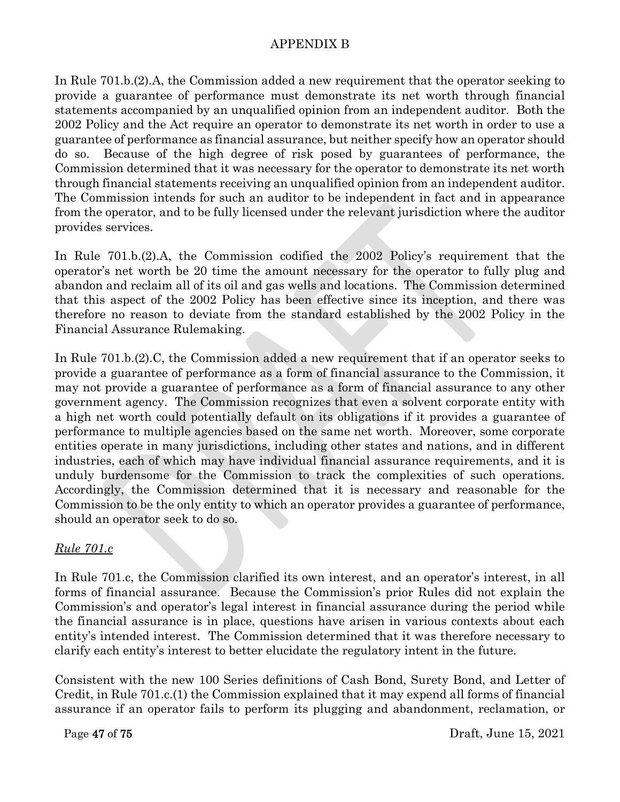In Rule 701.b.(2).A, the Commission added a new requirement that the operator seeking to provide a guarantee of performance must demonstrate its net worth through financial statements accompanied by an unqualified opinion from an independent auditor. Both the 2002 Policy and the Act require an operator to demonstrate its net worth in order to use a guarantee of performance as financial assurance, but neither specify how an operator should do so. Because of the high degree of risk posed by guarantees of performance, the Commission determined that it was necessary for the operator to demonstrate its net worth through financial statements receiving an unqualified opinion from an independent auditor. The Commission intends for such an auditor to be independent in fact and in appearance from the operator, and to be fully licensed under the relevant jurisdiction where the auditor provides services.

In Rule 701.b.(2).A, the Commission codified the 2002 Policy's requirement that the operator's net worth be 20 time the amount necessary for the operator to fully plug and abandon and reclaim all of its oil and gas wells and locations. The Commission determined that this aspect of the 2002 Policy has been effective since its inception, and there was therefore no reason to deviate from the standard established by the 2002 Policy in the Financial Assurance Rulemaking.

In Rule 701.b.(2).C, the Commission added a new requirement that if an operator seeks to provide a guarantee of performance as a form of financial assurance to the Commission, it may not provide a guarantee of performance as a form of financial assurance to any other government agency. The Commission recognizes that even a solvent corporate entity with a high net worth could potentially default on its obligations if it provides a guarantee of performance to multiple agencies based on the same net worth. Moreover, some corporate entities operate in many jurisdictions, including other states and nations, and in different industries, each of which may have individual financial assurance requirements, and it is unduly burdensome for the Commission to track the complexities of such operations. Accordingly, the Commission determined that it is necessary and reasonable for the Commission to be the only entity to which an operator provides a guarantee of performance, should an operator seek to do so.

# *Rule 701.c*

In Rule 701.c, the Commission clarified its own interest, and an operator's interest, in all forms of financial assurance. Because the Commission's prior Rules did not explain the Commission's and operator's legal interest in financial assurance during the period while the financial assurance is in place, questions have arisen in various contexts about each entity's intended interest. The Commission determined that it was therefore necessary to clarify each entity's interest to better elucidate the regulatory intent in the future.

Consistent with the new 100 Series definitions of Cash Bond, Surety Bond, and Letter of Credit, in Rule 701.c.(1) the Commission explained that it may expend all forms of financial assurance if an operator fails to perform its plugging and abandonment, reclamation, or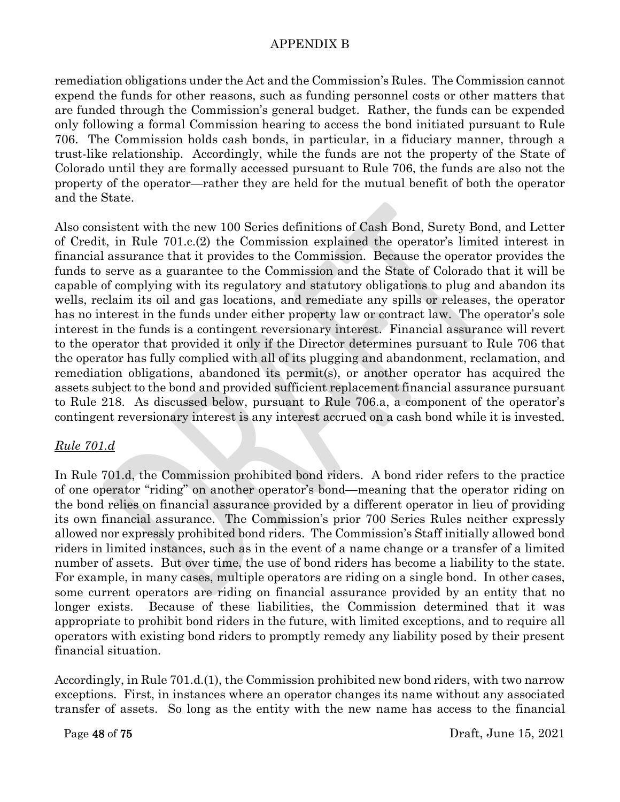remediation obligations under the Act and the Commission's Rules. The Commission cannot expend the funds for other reasons, such as funding personnel costs or other matters that are funded through the Commission's general budget. Rather, the funds can be expended only following a formal Commission hearing to access the bond initiated pursuant to Rule 706. The Commission holds cash bonds, in particular, in a fiduciary manner, through a trust-like relationship. Accordingly, while the funds are not the property of the State of Colorado until they are formally accessed pursuant to Rule 706, the funds are also not the property of the operator—rather they are held for the mutual benefit of both the operator and the State.

Also consistent with the new 100 Series definitions of Cash Bond, Surety Bond, and Letter of Credit, in Rule 701.c.(2) the Commission explained the operator's limited interest in financial assurance that it provides to the Commission. Because the operator provides the funds to serve as a guarantee to the Commission and the State of Colorado that it will be capable of complying with its regulatory and statutory obligations to plug and abandon its wells, reclaim its oil and gas locations, and remediate any spills or releases, the operator has no interest in the funds under either property law or contract law. The operator's sole interest in the funds is a contingent reversionary interest. Financial assurance will revert to the operator that provided it only if the Director determines pursuant to Rule 706 that the operator has fully complied with all of its plugging and abandonment, reclamation, and remediation obligations, abandoned its permit(s), or another operator has acquired the assets subject to the bond and provided sufficient replacement financial assurance pursuant to Rule 218. As discussed below, pursuant to Rule 706.a, a component of the operator's contingent reversionary interest is any interest accrued on a cash bond while it is invested.

# *Rule 701.d*

In Rule 701.d, the Commission prohibited bond riders. A bond rider refers to the practice of one operator "riding" on another operator's bond—meaning that the operator riding on the bond relies on financial assurance provided by a different operator in lieu of providing its own financial assurance. The Commission's prior 700 Series Rules neither expressly allowed nor expressly prohibited bond riders. The Commission's Staff initially allowed bond riders in limited instances, such as in the event of a name change or a transfer of a limited number of assets. But over time, the use of bond riders has become a liability to the state. For example, in many cases, multiple operators are riding on a single bond. In other cases, some current operators are riding on financial assurance provided by an entity that no longer exists. Because of these liabilities, the Commission determined that it was appropriate to prohibit bond riders in the future, with limited exceptions, and to require all operators with existing bond riders to promptly remedy any liability posed by their present financial situation.

Accordingly, in Rule 701.d.(1), the Commission prohibited new bond riders, with two narrow exceptions. First, in instances where an operator changes its name without any associated transfer of assets. So long as the entity with the new name has access to the financial

Page 48 of 75 Draft, June 15, 2021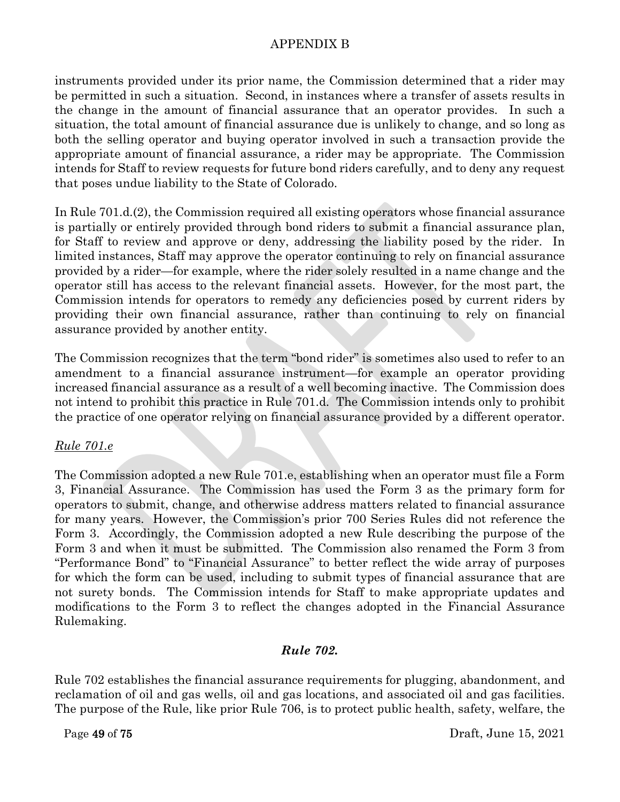instruments provided under its prior name, the Commission determined that a rider may be permitted in such a situation. Second, in instances where a transfer of assets results in the change in the amount of financial assurance that an operator provides. In such a situation, the total amount of financial assurance due is unlikely to change, and so long as both the selling operator and buying operator involved in such a transaction provide the appropriate amount of financial assurance, a rider may be appropriate. The Commission intends for Staff to review requests for future bond riders carefully, and to deny any request that poses undue liability to the State of Colorado.

In Rule 701.d.(2), the Commission required all existing operators whose financial assurance is partially or entirely provided through bond riders to submit a financial assurance plan, for Staff to review and approve or deny, addressing the liability posed by the rider. In limited instances, Staff may approve the operator continuing to rely on financial assurance provided by a rider—for example, where the rider solely resulted in a name change and the operator still has access to the relevant financial assets. However, for the most part, the Commission intends for operators to remedy any deficiencies posed by current riders by providing their own financial assurance, rather than continuing to rely on financial assurance provided by another entity.

The Commission recognizes that the term "bond rider" is sometimes also used to refer to an amendment to a financial assurance instrument—for example an operator providing increased financial assurance as a result of a well becoming inactive. The Commission does not intend to prohibit this practice in Rule 701.d. The Commission intends only to prohibit the practice of one operator relying on financial assurance provided by a different operator.

# *Rule 701.e*

The Commission adopted a new Rule 701.e, establishing when an operator must file a Form 3, Financial Assurance. The Commission has used the Form 3 as the primary form for operators to submit, change, and otherwise address matters related to financial assurance for many years. However, the Commission's prior 700 Series Rules did not reference the Form 3. Accordingly, the Commission adopted a new Rule describing the purpose of the Form 3 and when it must be submitted. The Commission also renamed the Form 3 from "Performance Bond" to "Financial Assurance" to better reflect the wide array of purposes for which the form can be used, including to submit types of financial assurance that are not surety bonds. The Commission intends for Staff to make appropriate updates and modifications to the Form 3 to reflect the changes adopted in the Financial Assurance Rulemaking.

# *Rule 702.*

Rule 702 establishes the financial assurance requirements for plugging, abandonment, and reclamation of oil and gas wells, oil and gas locations, and associated oil and gas facilities. The purpose of the Rule, like prior Rule 706, is to protect public health, safety, welfare, the

Page 49 of 75 Draft, June 15, 2021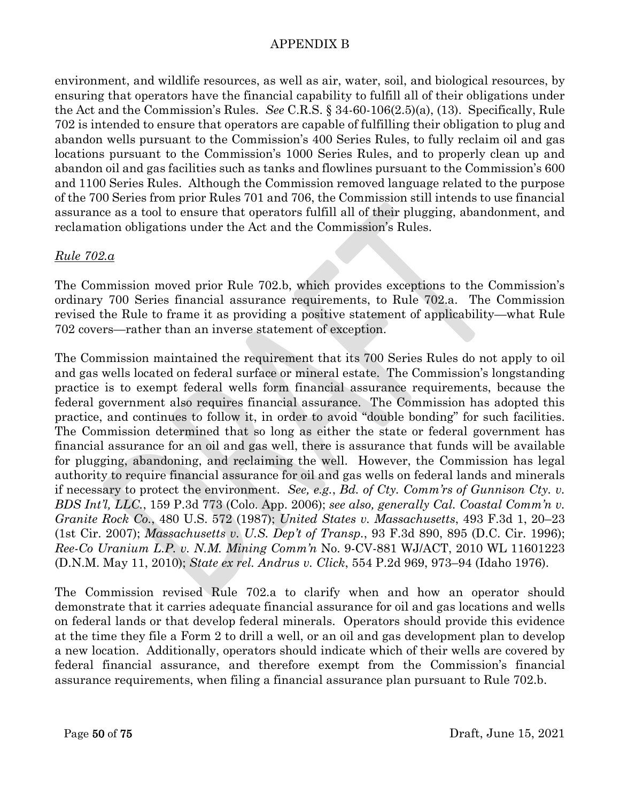environment, and wildlife resources, as well as air, water, soil, and biological resources, by ensuring that operators have the financial capability to fulfill all of their obligations under the Act and the Commission's Rules. *See* C.R.S. § 34-60-106(2.5)(a), (13). Specifically, Rule 702 is intended to ensure that operators are capable of fulfilling their obligation to plug and abandon wells pursuant to the Commission's 400 Series Rules, to fully reclaim oil and gas locations pursuant to the Commission's 1000 Series Rules, and to properly clean up and abandon oil and gas facilities such as tanks and flowlines pursuant to the Commission's 600 and 1100 Series Rules. Although the Commission removed language related to the purpose of the 700 Series from prior Rules 701 and 706, the Commission still intends to use financial assurance as a tool to ensure that operators fulfill all of their plugging, abandonment, and reclamation obligations under the Act and the Commission's Rules.

# *Rule 702.a*

The Commission moved prior Rule 702.b, which provides exceptions to the Commission's ordinary 700 Series financial assurance requirements, to Rule 702.a. The Commission revised the Rule to frame it as providing a positive statement of applicability—what Rule 702 covers—rather than an inverse statement of exception.

The Commission maintained the requirement that its 700 Series Rules do not apply to oil and gas wells located on federal surface or mineral estate. The Commission's longstanding practice is to exempt federal wells form financial assurance requirements, because the federal government also requires financial assurance. The Commission has adopted this practice, and continues to follow it, in order to avoid "double bonding" for such facilities. The Commission determined that so long as either the state or federal government has financial assurance for an oil and gas well, there is assurance that funds will be available for plugging, abandoning, and reclaiming the well. However, the Commission has legal authority to require financial assurance for oil and gas wells on federal lands and minerals if necessary to protect the environment. *See, e.g.*, *Bd. of Cty. Comm'rs of Gunnison Cty. v. BDS Int'l, LLC.*, 159 P.3d 773 (Colo. App. 2006); *see also, generally Cal. Coastal Comm'n v. Granite Rock Co.*, 480 U.S. 572 (1987); *United States v. Massachusetts*, 493 F.3d 1, 20–23 (1st Cir. 2007); *Massachusetts v. U.S. Dep't of Transp.*, 93 F.3d 890, 895 (D.C. Cir. 1996); *Ree-Co Uranium L.P. v. N.M. Mining Comm'n* No. 9-CV-881 WJ/ACT, 2010 WL 11601223 (D.N.M. May 11, 2010); *State ex rel. Andrus v. Click*, 554 P.2d 969, 973–94 (Idaho 1976).

The Commission revised Rule 702.a to clarify when and how an operator should demonstrate that it carries adequate financial assurance for oil and gas locations and wells on federal lands or that develop federal minerals. Operators should provide this evidence at the time they file a Form 2 to drill a well, or an oil and gas development plan to develop a new location. Additionally, operators should indicate which of their wells are covered by federal financial assurance, and therefore exempt from the Commission's financial assurance requirements, when filing a financial assurance plan pursuant to Rule 702.b.

Page 50 of 75 Draft, June 15, 2021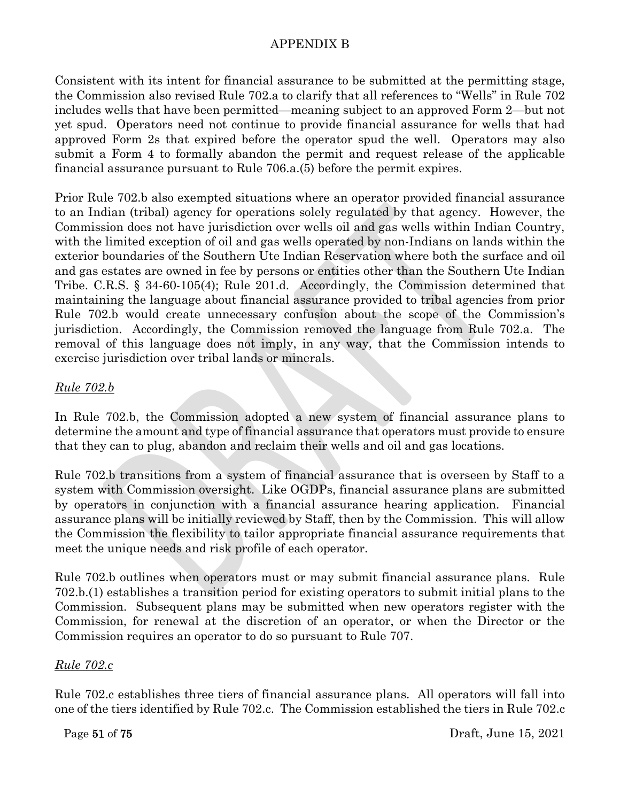Consistent with its intent for financial assurance to be submitted at the permitting stage, the Commission also revised Rule 702.a to clarify that all references to "Wells" in Rule 702 includes wells that have been permitted—meaning subject to an approved Form 2—but not yet spud. Operators need not continue to provide financial assurance for wells that had approved Form 2s that expired before the operator spud the well. Operators may also submit a Form 4 to formally abandon the permit and request release of the applicable financial assurance pursuant to Rule 706.a.(5) before the permit expires.

Prior Rule 702.b also exempted situations where an operator provided financial assurance to an Indian (tribal) agency for operations solely regulated by that agency. However, the Commission does not have jurisdiction over wells oil and gas wells within Indian Country, with the limited exception of oil and gas wells operated by non-Indians on lands within the exterior boundaries of the Southern Ute Indian Reservation where both the surface and oil and gas estates are owned in fee by persons or entities other than the Southern Ute Indian Tribe. C.R.S. § 34-60-105(4); Rule 201.d. Accordingly, the Commission determined that maintaining the language about financial assurance provided to tribal agencies from prior Rule 702.b would create unnecessary confusion about the scope of the Commission's jurisdiction. Accordingly, the Commission removed the language from Rule 702.a. The removal of this language does not imply, in any way, that the Commission intends to exercise jurisdiction over tribal lands or minerals.

# *Rule 702.b*

In Rule 702.b, the Commission adopted a new system of financial assurance plans to determine the amount and type of financial assurance that operators must provide to ensure that they can to plug, abandon and reclaim their wells and oil and gas locations.

Rule 702.b transitions from a system of financial assurance that is overseen by Staff to a system with Commission oversight. Like OGDPs, financial assurance plans are submitted by operators in conjunction with a financial assurance hearing application. Financial assurance plans will be initially reviewed by Staff, then by the Commission. This will allow the Commission the flexibility to tailor appropriate financial assurance requirements that meet the unique needs and risk profile of each operator.

Rule 702.b outlines when operators must or may submit financial assurance plans. Rule 702.b.(1) establishes a transition period for existing operators to submit initial plans to the Commission. Subsequent plans may be submitted when new operators register with the Commission, for renewal at the discretion of an operator, or when the Director or the Commission requires an operator to do so pursuant to Rule 707.

#### *Rule 702.c*

Rule 702.c establishes three tiers of financial assurance plans. All operators will fall into one of the tiers identified by Rule 702.c. The Commission established the tiers in Rule 702.c

Page 51 of 75 Draft, June 15, 2021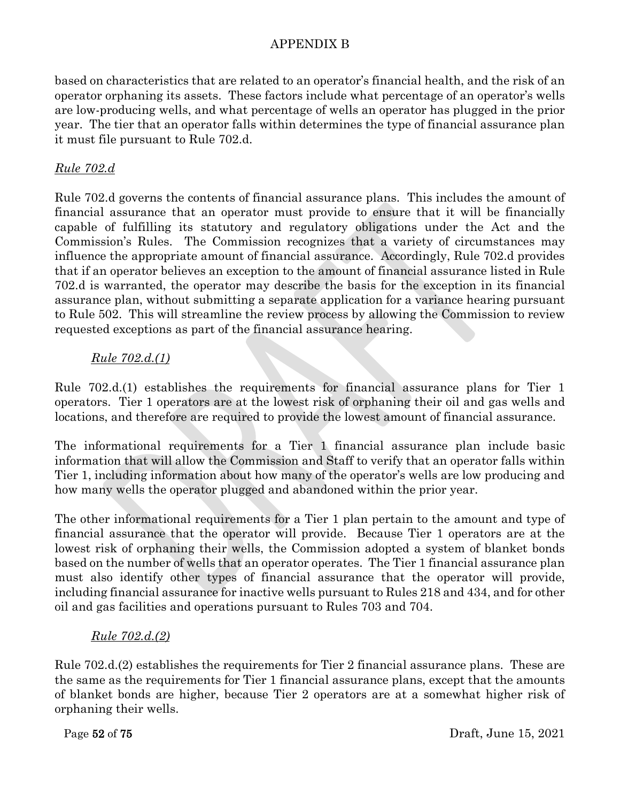based on characteristics that are related to an operator's financial health, and the risk of an operator orphaning its assets. These factors include what percentage of an operator's wells are low-producing wells, and what percentage of wells an operator has plugged in the prior year. The tier that an operator falls within determines the type of financial assurance plan it must file pursuant to Rule 702.d.

# *Rule 702.d*

Rule 702.d governs the contents of financial assurance plans. This includes the amount of financial assurance that an operator must provide to ensure that it will be financially capable of fulfilling its statutory and regulatory obligations under the Act and the Commission's Rules. The Commission recognizes that a variety of circumstances may influence the appropriate amount of financial assurance. Accordingly, Rule 702.d provides that if an operator believes an exception to the amount of financial assurance listed in Rule 702.d is warranted, the operator may describe the basis for the exception in its financial assurance plan, without submitting a separate application for a variance hearing pursuant to Rule 502. This will streamline the review process by allowing the Commission to review requested exceptions as part of the financial assurance hearing.

# *Rule 702.d.(1)*

Rule 702.d.(1) establishes the requirements for financial assurance plans for Tier 1 operators. Tier 1 operators are at the lowest risk of orphaning their oil and gas wells and locations, and therefore are required to provide the lowest amount of financial assurance.

The informational requirements for a Tier 1 financial assurance plan include basic information that will allow the Commission and Staff to verify that an operator falls within Tier 1, including information about how many of the operator's wells are low producing and how many wells the operator plugged and abandoned within the prior year.

The other informational requirements for a Tier 1 plan pertain to the amount and type of financial assurance that the operator will provide. Because Tier 1 operators are at the lowest risk of orphaning their wells, the Commission adopted a system of blanket bonds based on the number of wells that an operator operates. The Tier 1 financial assurance plan must also identify other types of financial assurance that the operator will provide, including financial assurance for inactive wells pursuant to Rules 218 and 434, and for other oil and gas facilities and operations pursuant to Rules 703 and 704.

# *Rule 702.d.(2)*

Rule 702.d.(2) establishes the requirements for Tier 2 financial assurance plans. These are the same as the requirements for Tier 1 financial assurance plans, except that the amounts of blanket bonds are higher, because Tier 2 operators are at a somewhat higher risk of orphaning their wells.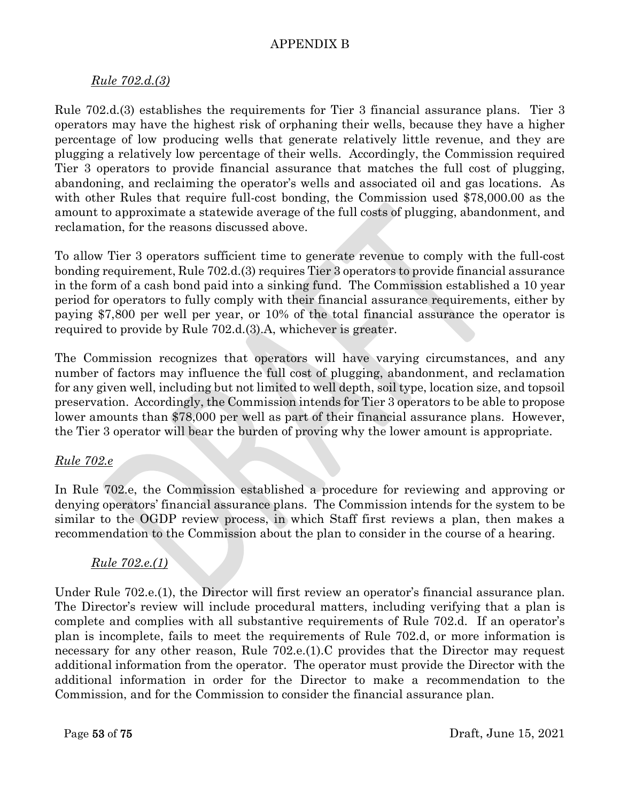### *Rule 702.d.(3)*

Rule 702.d.(3) establishes the requirements for Tier 3 financial assurance plans. Tier 3 operators may have the highest risk of orphaning their wells, because they have a higher percentage of low producing wells that generate relatively little revenue, and they are plugging a relatively low percentage of their wells. Accordingly, the Commission required Tier 3 operators to provide financial assurance that matches the full cost of plugging, abandoning, and reclaiming the operator's wells and associated oil and gas locations. As with other Rules that require full-cost bonding, the Commission used \$78,000.00 as the amount to approximate a statewide average of the full costs of plugging, abandonment, and reclamation, for the reasons discussed above.

To allow Tier 3 operators sufficient time to generate revenue to comply with the full-cost bonding requirement, Rule 702.d.(3) requires Tier 3 operators to provide financial assurance in the form of a cash bond paid into a sinking fund. The Commission established a 10 year period for operators to fully comply with their financial assurance requirements, either by paying \$7,800 per well per year, or 10% of the total financial assurance the operator is required to provide by Rule 702.d.(3).A, whichever is greater.

The Commission recognizes that operators will have varying circumstances, and any number of factors may influence the full cost of plugging, abandonment, and reclamation for any given well, including but not limited to well depth, soil type, location size, and topsoil preservation. Accordingly, the Commission intends for Tier 3 operators to be able to propose lower amounts than \$78,000 per well as part of their financial assurance plans. However, the Tier 3 operator will bear the burden of proving why the lower amount is appropriate.

#### *Rule 702.e*

In Rule 702.e, the Commission established a procedure for reviewing and approving or denying operators' financial assurance plans. The Commission intends for the system to be similar to the OGDP review process, in which Staff first reviews a plan, then makes a recommendation to the Commission about the plan to consider in the course of a hearing.

#### *Rule 702.e.(1)*

Under Rule 702.e.(1), the Director will first review an operator's financial assurance plan. The Director's review will include procedural matters, including verifying that a plan is complete and complies with all substantive requirements of Rule 702.d. If an operator's plan is incomplete, fails to meet the requirements of Rule 702.d, or more information is necessary for any other reason, Rule 702.e.(1).C provides that the Director may request additional information from the operator. The operator must provide the Director with the additional information in order for the Director to make a recommendation to the Commission, and for the Commission to consider the financial assurance plan.

Page 53 of 75 Draft, June 15, 2021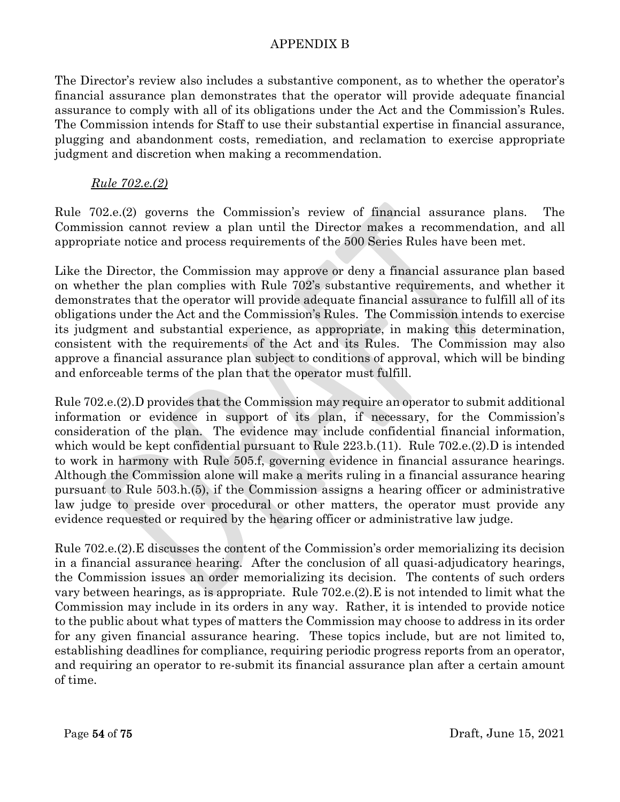The Director's review also includes a substantive component, as to whether the operator's financial assurance plan demonstrates that the operator will provide adequate financial assurance to comply with all of its obligations under the Act and the Commission's Rules. The Commission intends for Staff to use their substantial expertise in financial assurance, plugging and abandonment costs, remediation, and reclamation to exercise appropriate judgment and discretion when making a recommendation.

### *Rule 702.e.(2)*

Rule 702.e.(2) governs the Commission's review of financial assurance plans. The Commission cannot review a plan until the Director makes a recommendation, and all appropriate notice and process requirements of the 500 Series Rules have been met.

Like the Director, the Commission may approve or deny a financial assurance plan based on whether the plan complies with Rule 702's substantive requirements, and whether it demonstrates that the operator will provide adequate financial assurance to fulfill all of its obligations under the Act and the Commission's Rules. The Commission intends to exercise its judgment and substantial experience, as appropriate, in making this determination, consistent with the requirements of the Act and its Rules. The Commission may also approve a financial assurance plan subject to conditions of approval, which will be binding and enforceable terms of the plan that the operator must fulfill.

Rule 702.e.(2).D provides that the Commission may require an operator to submit additional information or evidence in support of its plan, if necessary, for the Commission's consideration of the plan. The evidence may include confidential financial information, which would be kept confidential pursuant to Rule 223.b.(11). Rule 702.e.(2).D is intended to work in harmony with Rule 505.f, governing evidence in financial assurance hearings. Although the Commission alone will make a merits ruling in a financial assurance hearing pursuant to Rule 503.h.(5), if the Commission assigns a hearing officer or administrative law judge to preside over procedural or other matters, the operator must provide any evidence requested or required by the hearing officer or administrative law judge.

Rule 702.e.(2).E discusses the content of the Commission's order memorializing its decision in a financial assurance hearing. After the conclusion of all quasi-adjudicatory hearings, the Commission issues an order memorializing its decision. The contents of such orders vary between hearings, as is appropriate. Rule 702.e.(2).E is not intended to limit what the Commission may include in its orders in any way. Rather, it is intended to provide notice to the public about what types of matters the Commission may choose to address in its order for any given financial assurance hearing. These topics include, but are not limited to, establishing deadlines for compliance, requiring periodic progress reports from an operator, and requiring an operator to re-submit its financial assurance plan after a certain amount of time.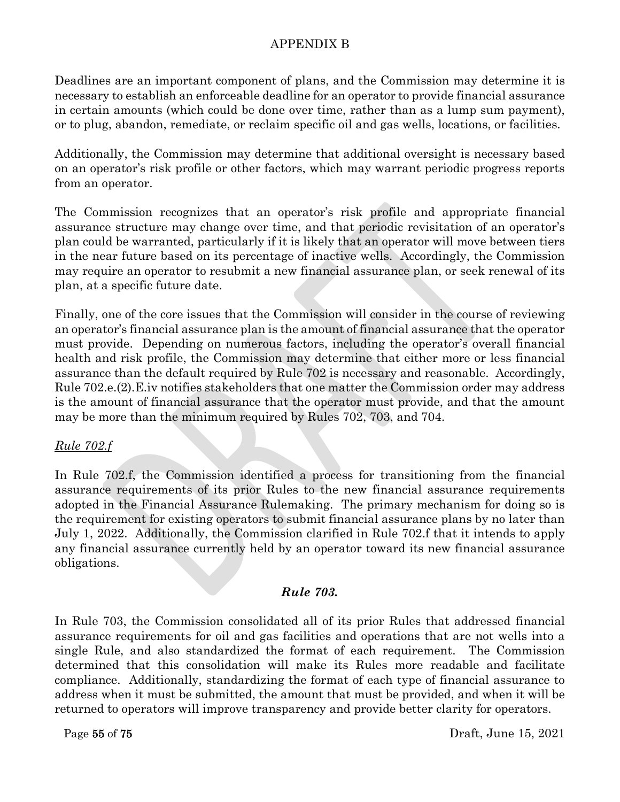Deadlines are an important component of plans, and the Commission may determine it is necessary to establish an enforceable deadline for an operator to provide financial assurance in certain amounts (which could be done over time, rather than as a lump sum payment), or to plug, abandon, remediate, or reclaim specific oil and gas wells, locations, or facilities.

Additionally, the Commission may determine that additional oversight is necessary based on an operator's risk profile or other factors, which may warrant periodic progress reports from an operator.

The Commission recognizes that an operator's risk profile and appropriate financial assurance structure may change over time, and that periodic revisitation of an operator's plan could be warranted, particularly if it is likely that an operator will move between tiers in the near future based on its percentage of inactive wells. Accordingly, the Commission may require an operator to resubmit a new financial assurance plan, or seek renewal of its plan, at a specific future date.

Finally, one of the core issues that the Commission will consider in the course of reviewing an operator's financial assurance plan is the amount of financial assurance that the operator must provide. Depending on numerous factors, including the operator's overall financial health and risk profile, the Commission may determine that either more or less financial assurance than the default required by Rule 702 is necessary and reasonable. Accordingly, Rule 702.e.(2).E.iv notifies stakeholders that one matter the Commission order may address is the amount of financial assurance that the operator must provide, and that the amount may be more than the minimum required by Rules 702, 703, and 704.

# *Rule 702.f*

In Rule 702.f, the Commission identified a process for transitioning from the financial assurance requirements of its prior Rules to the new financial assurance requirements adopted in the Financial Assurance Rulemaking. The primary mechanism for doing so is the requirement for existing operators to submit financial assurance plans by no later than July 1, 2022. Additionally, the Commission clarified in Rule 702.f that it intends to apply any financial assurance currently held by an operator toward its new financial assurance obligations.

# *Rule 703.*

In Rule 703, the Commission consolidated all of its prior Rules that addressed financial assurance requirements for oil and gas facilities and operations that are not wells into a single Rule, and also standardized the format of each requirement. The Commission determined that this consolidation will make its Rules more readable and facilitate compliance. Additionally, standardizing the format of each type of financial assurance to address when it must be submitted, the amount that must be provided, and when it will be returned to operators will improve transparency and provide better clarity for operators.

Page 55 of 75 Draft, June 15, 2021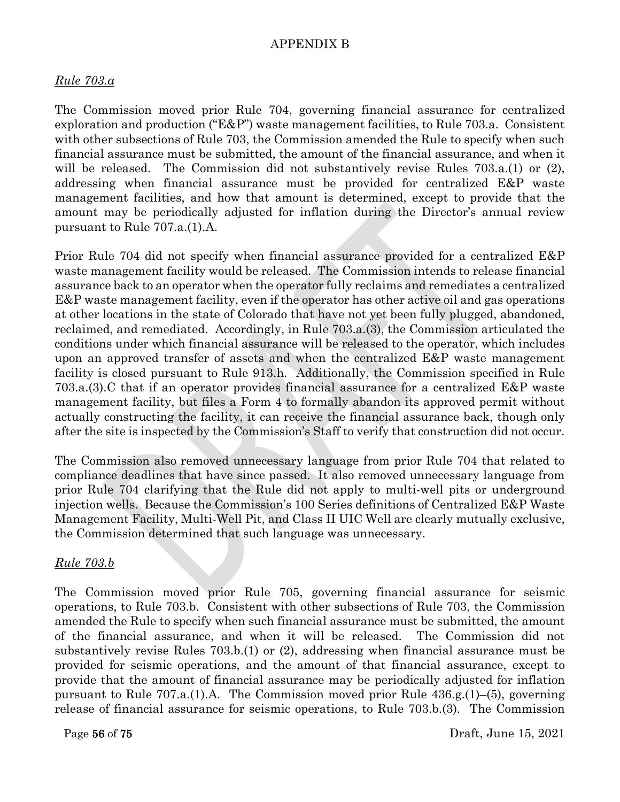#### *Rule 703.a*

The Commission moved prior Rule 704, governing financial assurance for centralized exploration and production (" $E\&P$ ") waste management facilities, to Rule 703.a. Consistent with other subsections of Rule 703, the Commission amended the Rule to specify when such financial assurance must be submitted, the amount of the financial assurance, and when it will be released. The Commission did not substantively revise Rules 703.a.(1) or (2), addressing when financial assurance must be provided for centralized E&P waste management facilities, and how that amount is determined, except to provide that the amount may be periodically adjusted for inflation during the Director's annual review pursuant to Rule 707.a.(1).A.

Prior Rule 704 did not specify when financial assurance provided for a centralized E&P waste management facility would be released. The Commission intends to release financial assurance back to an operator when the operator fully reclaims and remediates a centralized E&P waste management facility, even if the operator has other active oil and gas operations at other locations in the state of Colorado that have not yet been fully plugged, abandoned, reclaimed, and remediated. Accordingly, in Rule 703.a.(3), the Commission articulated the conditions under which financial assurance will be released to the operator, which includes upon an approved transfer of assets and when the centralized E&P waste management facility is closed pursuant to Rule 913.h. Additionally, the Commission specified in Rule 703.a.(3).C that if an operator provides financial assurance for a centralized E&P waste management facility, but files a Form 4 to formally abandon its approved permit without actually constructing the facility, it can receive the financial assurance back, though only after the site is inspected by the Commission's Staff to verify that construction did not occur.

The Commission also removed unnecessary language from prior Rule 704 that related to compliance deadlines that have since passed. It also removed unnecessary language from prior Rule 704 clarifying that the Rule did not apply to multi-well pits or underground injection wells. Because the Commission's 100 Series definitions of Centralized E&P Waste Management Facility, Multi-Well Pit, and Class II UIC Well are clearly mutually exclusive, the Commission determined that such language was unnecessary.

#### *Rule 703.b*

The Commission moved prior Rule 705, governing financial assurance for seismic operations, to Rule 703.b. Consistent with other subsections of Rule 703, the Commission amended the Rule to specify when such financial assurance must be submitted, the amount of the financial assurance, and when it will be released. The Commission did not substantively revise Rules 703.b.(1) or (2), addressing when financial assurance must be provided for seismic operations, and the amount of that financial assurance, except to provide that the amount of financial assurance may be periodically adjusted for inflation pursuant to Rule 707.a.(1).A. The Commission moved prior Rule 436.g.(1)–(5), governing release of financial assurance for seismic operations, to Rule 703.b.(3). The Commission

Page 56 of 75 Draft, June 15, 2021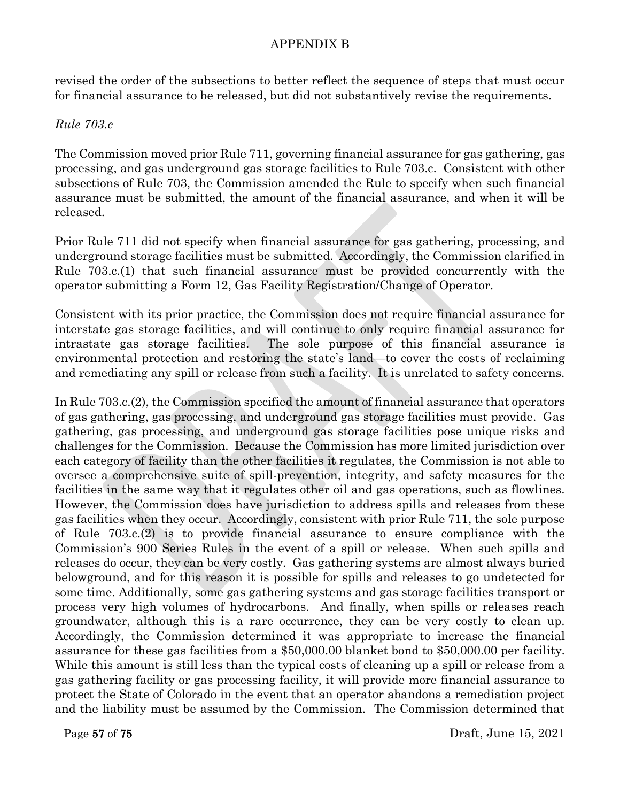revised the order of the subsections to better reflect the sequence of steps that must occur for financial assurance to be released, but did not substantively revise the requirements.

#### *Rule 703.c*

The Commission moved prior Rule 711, governing financial assurance for gas gathering, gas processing, and gas underground gas storage facilities to Rule 703.c. Consistent with other subsections of Rule 703, the Commission amended the Rule to specify when such financial assurance must be submitted, the amount of the financial assurance, and when it will be released.

Prior Rule 711 did not specify when financial assurance for gas gathering, processing, and underground storage facilities must be submitted. Accordingly, the Commission clarified in Rule 703.c.(1) that such financial assurance must be provided concurrently with the operator submitting a Form 12, Gas Facility Registration/Change of Operator.

Consistent with its prior practice, the Commission does not require financial assurance for interstate gas storage facilities, and will continue to only require financial assurance for intrastate gas storage facilities. The sole purpose of this financial assurance is environmental protection and restoring the state's land—to cover the costs of reclaiming and remediating any spill or release from such a facility. It is unrelated to safety concerns.

In Rule 703.c.(2), the Commission specified the amount of financial assurance that operators of gas gathering, gas processing, and underground gas storage facilities must provide. Gas gathering, gas processing, and underground gas storage facilities pose unique risks and challenges for the Commission. Because the Commission has more limited jurisdiction over each category of facility than the other facilities it regulates, the Commission is not able to oversee a comprehensive suite of spill-prevention, integrity, and safety measures for the facilities in the same way that it regulates other oil and gas operations, such as flowlines. However, the Commission does have jurisdiction to address spills and releases from these gas facilities when they occur. Accordingly, consistent with prior Rule 711, the sole purpose of Rule 703.c.(2) is to provide financial assurance to ensure compliance with the Commission's 900 Series Rules in the event of a spill or release. When such spills and releases do occur, they can be very costly. Gas gathering systems are almost always buried belowground, and for this reason it is possible for spills and releases to go undetected for some time. Additionally, some gas gathering systems and gas storage facilities transport or process very high volumes of hydrocarbons. And finally, when spills or releases reach groundwater, although this is a rare occurrence, they can be very costly to clean up. Accordingly, the Commission determined it was appropriate to increase the financial assurance for these gas facilities from a \$50,000.00 blanket bond to \$50,000.00 per facility. While this amount is still less than the typical costs of cleaning up a spill or release from a gas gathering facility or gas processing facility, it will provide more financial assurance to protect the State of Colorado in the event that an operator abandons a remediation project and the liability must be assumed by the Commission. The Commission determined that

Page 57 of 75 Draft, June 15, 2021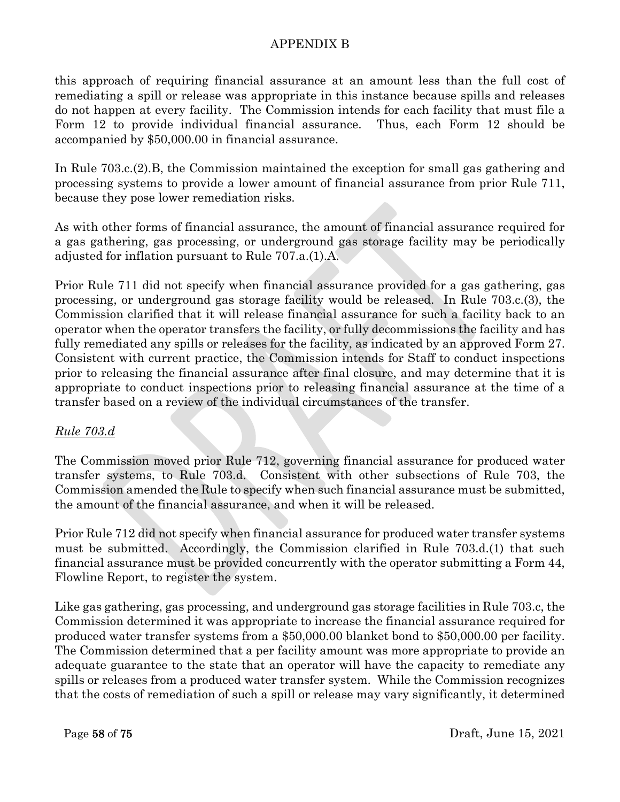this approach of requiring financial assurance at an amount less than the full cost of remediating a spill or release was appropriate in this instance because spills and releases do not happen at every facility. The Commission intends for each facility that must file a Form 12 to provide individual financial assurance. Thus, each Form 12 should be accompanied by \$50,000.00 in financial assurance.

In Rule 703.c.(2).B, the Commission maintained the exception for small gas gathering and processing systems to provide a lower amount of financial assurance from prior Rule 711, because they pose lower remediation risks.

As with other forms of financial assurance, the amount of financial assurance required for a gas gathering, gas processing, or underground gas storage facility may be periodically adjusted for inflation pursuant to Rule 707.a.(1).A.

Prior Rule 711 did not specify when financial assurance provided for a gas gathering, gas processing, or underground gas storage facility would be released. In Rule 703.c.(3), the Commission clarified that it will release financial assurance for such a facility back to an operator when the operator transfers the facility, or fully decommissions the facility and has fully remediated any spills or releases for the facility, as indicated by an approved Form 27. Consistent with current practice, the Commission intends for Staff to conduct inspections prior to releasing the financial assurance after final closure, and may determine that it is appropriate to conduct inspections prior to releasing financial assurance at the time of a transfer based on a review of the individual circumstances of the transfer.

# *Rule 703.d*

The Commission moved prior Rule 712, governing financial assurance for produced water transfer systems, to Rule 703.d. Consistent with other subsections of Rule 703, the Commission amended the Rule to specify when such financial assurance must be submitted, the amount of the financial assurance, and when it will be released.

Prior Rule 712 did not specify when financial assurance for produced water transfer systems must be submitted. Accordingly, the Commission clarified in Rule 703.d.(1) that such financial assurance must be provided concurrently with the operator submitting a Form 44, Flowline Report, to register the system.

Like gas gathering, gas processing, and underground gas storage facilities in Rule 703.c, the Commission determined it was appropriate to increase the financial assurance required for produced water transfer systems from a \$50,000.00 blanket bond to \$50,000.00 per facility. The Commission determined that a per facility amount was more appropriate to provide an adequate guarantee to the state that an operator will have the capacity to remediate any spills or releases from a produced water transfer system. While the Commission recognizes that the costs of remediation of such a spill or release may vary significantly, it determined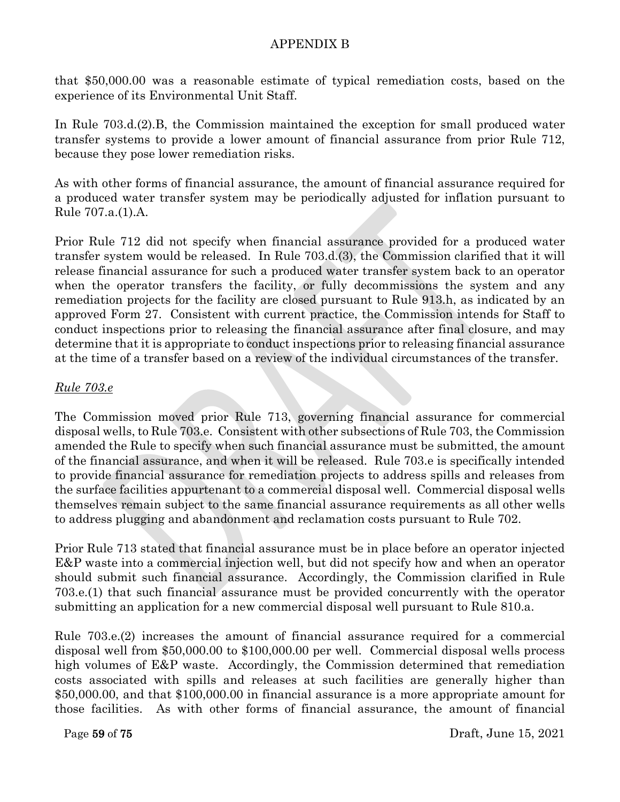that \$50,000.00 was a reasonable estimate of typical remediation costs, based on the experience of its Environmental Unit Staff.

In Rule 703.d.(2).B, the Commission maintained the exception for small produced water transfer systems to provide a lower amount of financial assurance from prior Rule 712, because they pose lower remediation risks.

As with other forms of financial assurance, the amount of financial assurance required for a produced water transfer system may be periodically adjusted for inflation pursuant to Rule 707.a.(1).A.

Prior Rule 712 did not specify when financial assurance provided for a produced water transfer system would be released. In Rule 703.d.(3), the Commission clarified that it will release financial assurance for such a produced water transfer system back to an operator when the operator transfers the facility, or fully decommissions the system and any remediation projects for the facility are closed pursuant to Rule 913.h, as indicated by an approved Form 27. Consistent with current practice, the Commission intends for Staff to conduct inspections prior to releasing the financial assurance after final closure, and may determine that it is appropriate to conduct inspections prior to releasing financial assurance at the time of a transfer based on a review of the individual circumstances of the transfer.

# *Rule 703.e*

The Commission moved prior Rule 713, governing financial assurance for commercial disposal wells, to Rule 703.e. Consistent with other subsections of Rule 703, the Commission amended the Rule to specify when such financial assurance must be submitted, the amount of the financial assurance, and when it will be released. Rule 703.e is specifically intended to provide financial assurance for remediation projects to address spills and releases from the surface facilities appurtenant to a commercial disposal well. Commercial disposal wells themselves remain subject to the same financial assurance requirements as all other wells to address plugging and abandonment and reclamation costs pursuant to Rule 702.

Prior Rule 713 stated that financial assurance must be in place before an operator injected E&P waste into a commercial injection well, but did not specify how and when an operator should submit such financial assurance. Accordingly, the Commission clarified in Rule 703.e.(1) that such financial assurance must be provided concurrently with the operator submitting an application for a new commercial disposal well pursuant to Rule 810.a.

Rule 703.e.(2) increases the amount of financial assurance required for a commercial disposal well from \$50,000.00 to \$100,000.00 per well. Commercial disposal wells process high volumes of E&P waste. Accordingly, the Commission determined that remediation costs associated with spills and releases at such facilities are generally higher than \$50,000.00, and that \$100,000.00 in financial assurance is a more appropriate amount for those facilities. As with other forms of financial assurance, the amount of financial

Page 59 of 75 Draft, June 15, 2021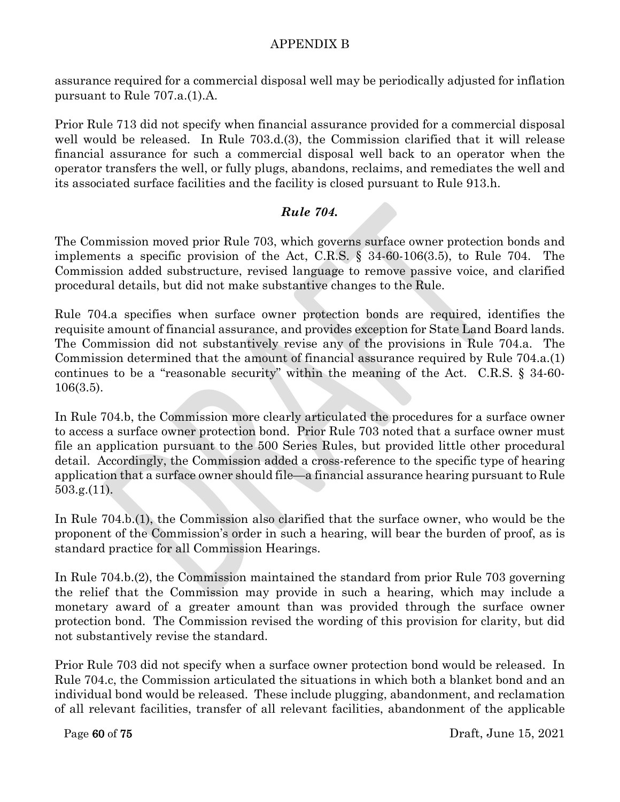assurance required for a commercial disposal well may be periodically adjusted for inflation pursuant to Rule 707.a.(1).A.

Prior Rule 713 did not specify when financial assurance provided for a commercial disposal well would be released. In Rule 703.d.(3), the Commission clarified that it will release financial assurance for such a commercial disposal well back to an operator when the operator transfers the well, or fully plugs, abandons, reclaims, and remediates the well and its associated surface facilities and the facility is closed pursuant to Rule 913.h.

# *Rule 704.*

The Commission moved prior Rule 703, which governs surface owner protection bonds and implements a specific provision of the Act, C.R.S. § 34-60-106(3.5), to Rule 704. The Commission added substructure, revised language to remove passive voice, and clarified procedural details, but did not make substantive changes to the Rule.

Rule 704.a specifies when surface owner protection bonds are required, identifies the requisite amount of financial assurance, and provides exception for State Land Board lands. The Commission did not substantively revise any of the provisions in Rule 704.a. The Commission determined that the amount of financial assurance required by Rule 704.a.(1) continues to be a "reasonable security" within the meaning of the Act. C.R.S. § 34-60- 106(3.5).

In Rule 704.b, the Commission more clearly articulated the procedures for a surface owner to access a surface owner protection bond. Prior Rule 703 noted that a surface owner must file an application pursuant to the 500 Series Rules, but provided little other procedural detail. Accordingly, the Commission added a cross-reference to the specific type of hearing application that a surface owner should file—a financial assurance hearing pursuant to Rule 503.g.(11).

In Rule 704.b.(1), the Commission also clarified that the surface owner, who would be the proponent of the Commission's order in such a hearing, will bear the burden of proof, as is standard practice for all Commission Hearings.

In Rule 704.b.(2), the Commission maintained the standard from prior Rule 703 governing the relief that the Commission may provide in such a hearing, which may include a monetary award of a greater amount than was provided through the surface owner protection bond. The Commission revised the wording of this provision for clarity, but did not substantively revise the standard.

Prior Rule 703 did not specify when a surface owner protection bond would be released. In Rule 704.c, the Commission articulated the situations in which both a blanket bond and an individual bond would be released. These include plugging, abandonment, and reclamation of all relevant facilities, transfer of all relevant facilities, abandonment of the applicable

Page 60 of 75 Draft, June 15, 2021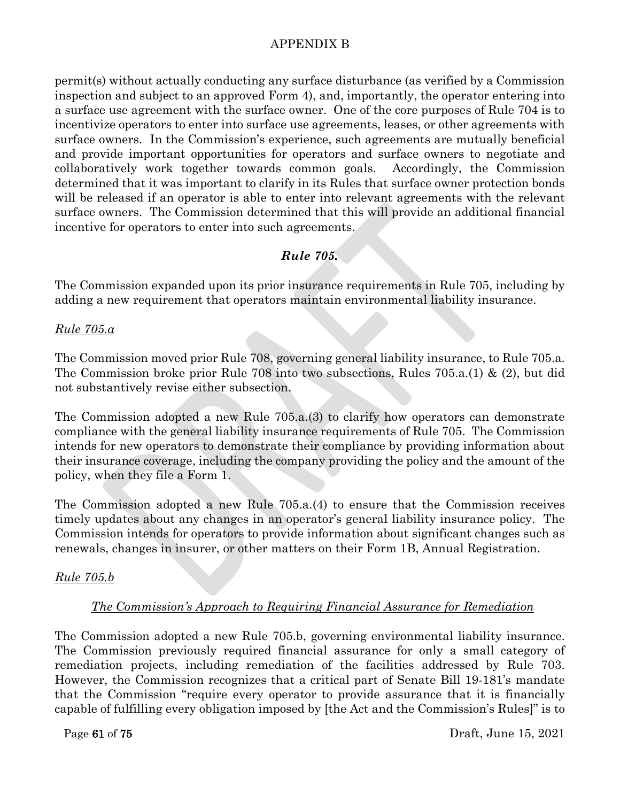permit(s) without actually conducting any surface disturbance (as verified by a Commission inspection and subject to an approved Form 4), and, importantly, the operator entering into a surface use agreement with the surface owner. One of the core purposes of Rule 704 is to incentivize operators to enter into surface use agreements, leases, or other agreements with surface owners. In the Commission's experience, such agreements are mutually beneficial and provide important opportunities for operators and surface owners to negotiate and collaboratively work together towards common goals. Accordingly, the Commission determined that it was important to clarify in its Rules that surface owner protection bonds will be released if an operator is able to enter into relevant agreements with the relevant surface owners. The Commission determined that this will provide an additional financial incentive for operators to enter into such agreements.

# *Rule 705.*

The Commission expanded upon its prior insurance requirements in Rule 705, including by adding a new requirement that operators maintain environmental liability insurance.

# *Rule 705.a*

The Commission moved prior Rule 708, governing general liability insurance, to Rule 705.a. The Commission broke prior Rule 708 into two subsections, Rules 705.a.(1) & (2), but did not substantively revise either subsection.

The Commission adopted a new Rule 705.a.(3) to clarify how operators can demonstrate compliance with the general liability insurance requirements of Rule 705. The Commission intends for new operators to demonstrate their compliance by providing information about their insurance coverage, including the company providing the policy and the amount of the policy, when they file a Form 1.

The Commission adopted a new Rule 705.a.(4) to ensure that the Commission receives timely updates about any changes in an operator's general liability insurance policy. The Commission intends for operators to provide information about significant changes such as renewals, changes in insurer, or other matters on their Form 1B, Annual Registration.

# *Rule 705.b*

# *The Commission's Approach to Requiring Financial Assurance for Remediation*

The Commission adopted a new Rule 705.b, governing environmental liability insurance. The Commission previously required financial assurance for only a small category of remediation projects, including remediation of the facilities addressed by Rule 703. However, the Commission recognizes that a critical part of Senate Bill 19-181's mandate that the Commission "require every operator to provide assurance that it is financially capable of fulfilling every obligation imposed by [the Act and the Commission's Rules]" is to

Page 61 of 75 Draft, June 15, 2021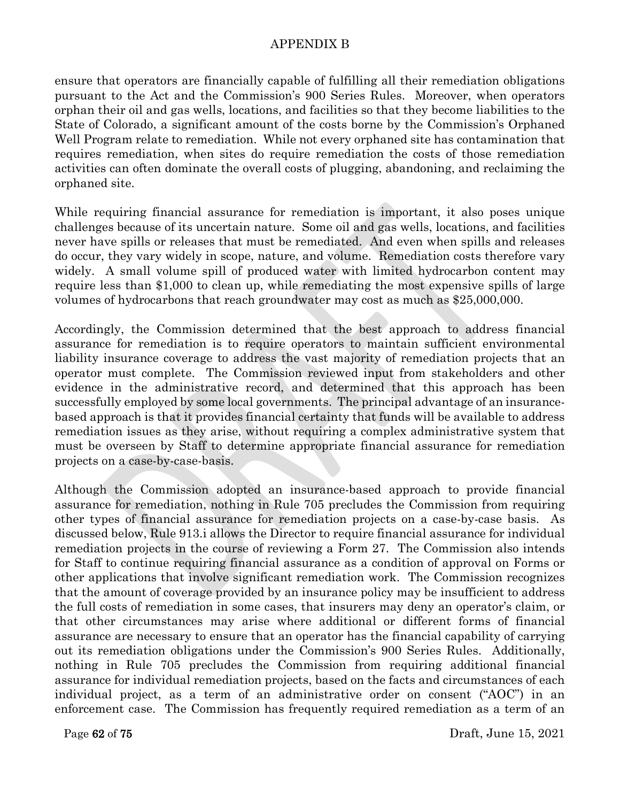ensure that operators are financially capable of fulfilling all their remediation obligations pursuant to the Act and the Commission's 900 Series Rules. Moreover, when operators orphan their oil and gas wells, locations, and facilities so that they become liabilities to the State of Colorado, a significant amount of the costs borne by the Commission's Orphaned Well Program relate to remediation. While not every orphaned site has contamination that requires remediation, when sites do require remediation the costs of those remediation activities can often dominate the overall costs of plugging, abandoning, and reclaiming the orphaned site.

While requiring financial assurance for remediation is important, it also poses unique challenges because of its uncertain nature. Some oil and gas wells, locations, and facilities never have spills or releases that must be remediated. And even when spills and releases do occur, they vary widely in scope, nature, and volume. Remediation costs therefore vary widely. A small volume spill of produced water with limited hydrocarbon content may require less than \$1,000 to clean up, while remediating the most expensive spills of large volumes of hydrocarbons that reach groundwater may cost as much as \$25,000,000.

Accordingly, the Commission determined that the best approach to address financial assurance for remediation is to require operators to maintain sufficient environmental liability insurance coverage to address the vast majority of remediation projects that an operator must complete. The Commission reviewed input from stakeholders and other evidence in the administrative record, and determined that this approach has been successfully employed by some local governments. The principal advantage of an insurancebased approach is that it provides financial certainty that funds will be available to address remediation issues as they arise, without requiring a complex administrative system that must be overseen by Staff to determine appropriate financial assurance for remediation projects on a case-by-case-basis.

Although the Commission adopted an insurance-based approach to provide financial assurance for remediation, nothing in Rule 705 precludes the Commission from requiring other types of financial assurance for remediation projects on a case-by-case basis. As discussed below, Rule 913.i allows the Director to require financial assurance for individual remediation projects in the course of reviewing a Form 27. The Commission also intends for Staff to continue requiring financial assurance as a condition of approval on Forms or other applications that involve significant remediation work. The Commission recognizes that the amount of coverage provided by an insurance policy may be insufficient to address the full costs of remediation in some cases, that insurers may deny an operator's claim, or that other circumstances may arise where additional or different forms of financial assurance are necessary to ensure that an operator has the financial capability of carrying out its remediation obligations under the Commission's 900 Series Rules. Additionally, nothing in Rule 705 precludes the Commission from requiring additional financial assurance for individual remediation projects, based on the facts and circumstances of each individual project, as a term of an administrative order on consent ("AOC") in an enforcement case. The Commission has frequently required remediation as a term of an

Page 62 of 75 Draft, June 15, 2021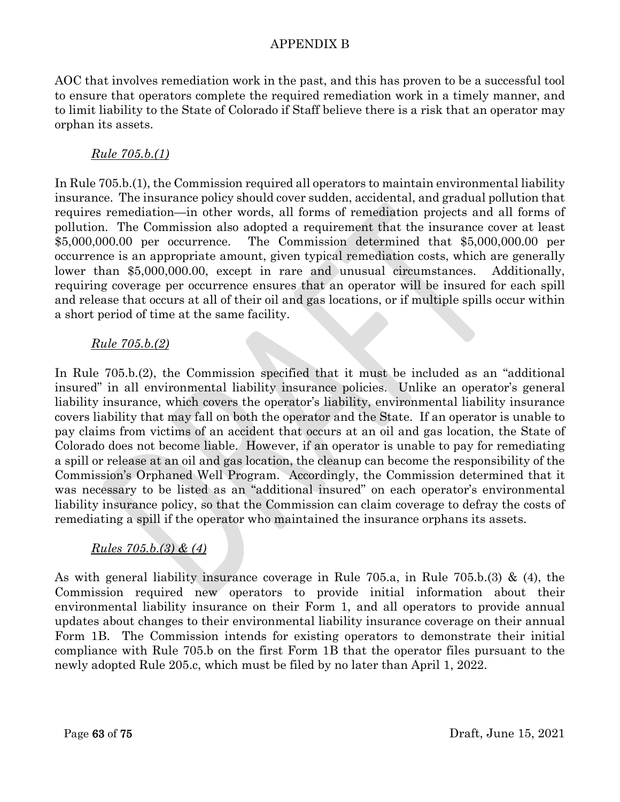AOC that involves remediation work in the past, and this has proven to be a successful tool to ensure that operators complete the required remediation work in a timely manner, and to limit liability to the State of Colorado if Staff believe there is a risk that an operator may orphan its assets.

# *Rule 705.b.(1)*

In Rule 705.b.(1), the Commission required all operators to maintain environmental liability insurance. The insurance policy should cover sudden, accidental, and gradual pollution that requires remediation—in other words, all forms of remediation projects and all forms of pollution. The Commission also adopted a requirement that the insurance cover at least \$5,000,000.00 per occurrence. The Commission determined that \$5,000,000.00 per occurrence is an appropriate amount, given typical remediation costs, which are generally lower than \$5,000,000.00, except in rare and unusual circumstances. Additionally, requiring coverage per occurrence ensures that an operator will be insured for each spill and release that occurs at all of their oil and gas locations, or if multiple spills occur within a short period of time at the same facility.

# *Rule 705.b.(2)*

In Rule 705.b.(2), the Commission specified that it must be included as an "additional insured" in all environmental liability insurance policies. Unlike an operator's general liability insurance, which covers the operator's liability, environmental liability insurance covers liability that may fall on both the operator and the State. If an operator is unable to pay claims from victims of an accident that occurs at an oil and gas location, the State of Colorado does not become liable. However, if an operator is unable to pay for remediating a spill or release at an oil and gas location, the cleanup can become the responsibility of the Commission's Orphaned Well Program. Accordingly, the Commission determined that it was necessary to be listed as an "additional insured" on each operator's environmental liability insurance policy, so that the Commission can claim coverage to defray the costs of remediating a spill if the operator who maintained the insurance orphans its assets.

# *Rules 705.b.(3) & (4)*

As with general liability insurance coverage in Rule 705.a, in Rule 705.b.(3) & (4), the Commission required new operators to provide initial information about their environmental liability insurance on their Form 1, and all operators to provide annual updates about changes to their environmental liability insurance coverage on their annual Form 1B. The Commission intends for existing operators to demonstrate their initial compliance with Rule 705.b on the first Form 1B that the operator files pursuant to the newly adopted Rule 205.c, which must be filed by no later than April 1, 2022.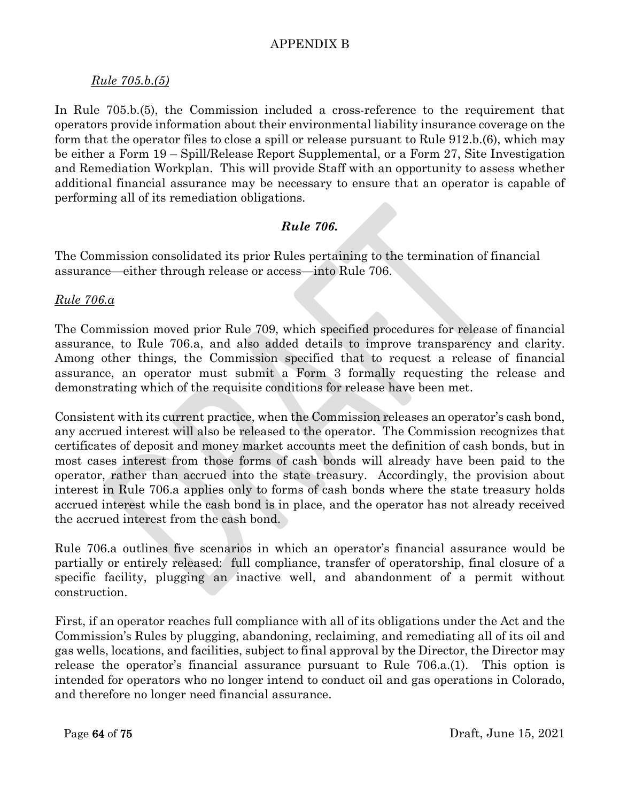## *Rule 705.b.(5)*

In Rule 705.b.(5), the Commission included a cross-reference to the requirement that operators provide information about their environmental liability insurance coverage on the form that the operator files to close a spill or release pursuant to Rule 912.b.(6), which may be either a Form 19 – Spill/Release Report Supplemental, or a Form 27, Site Investigation and Remediation Workplan. This will provide Staff with an opportunity to assess whether additional financial assurance may be necessary to ensure that an operator is capable of performing all of its remediation obligations.

# *Rule 706.*

The Commission consolidated its prior Rules pertaining to the termination of financial assurance—either through release or access—into Rule 706.

### *Rule 706.a*

The Commission moved prior Rule 709, which specified procedures for release of financial assurance, to Rule 706.a, and also added details to improve transparency and clarity. Among other things, the Commission specified that to request a release of financial assurance, an operator must submit a Form 3 formally requesting the release and demonstrating which of the requisite conditions for release have been met.

Consistent with its current practice, when the Commission releases an operator's cash bond, any accrued interest will also be released to the operator. The Commission recognizes that certificates of deposit and money market accounts meet the definition of cash bonds, but in most cases interest from those forms of cash bonds will already have been paid to the operator, rather than accrued into the state treasury. Accordingly, the provision about interest in Rule 706.a applies only to forms of cash bonds where the state treasury holds accrued interest while the cash bond is in place, and the operator has not already received the accrued interest from the cash bond.

Rule 706.a outlines five scenarios in which an operator's financial assurance would be partially or entirely released: full compliance, transfer of operatorship, final closure of a specific facility, plugging an inactive well, and abandonment of a permit without construction.

First, if an operator reaches full compliance with all of its obligations under the Act and the Commission's Rules by plugging, abandoning, reclaiming, and remediating all of its oil and gas wells, locations, and facilities, subject to final approval by the Director, the Director may release the operator's financial assurance pursuant to Rule 706.a.(1). This option is intended for operators who no longer intend to conduct oil and gas operations in Colorado, and therefore no longer need financial assurance.

Page 64 of 75 Draft, June 15, 2021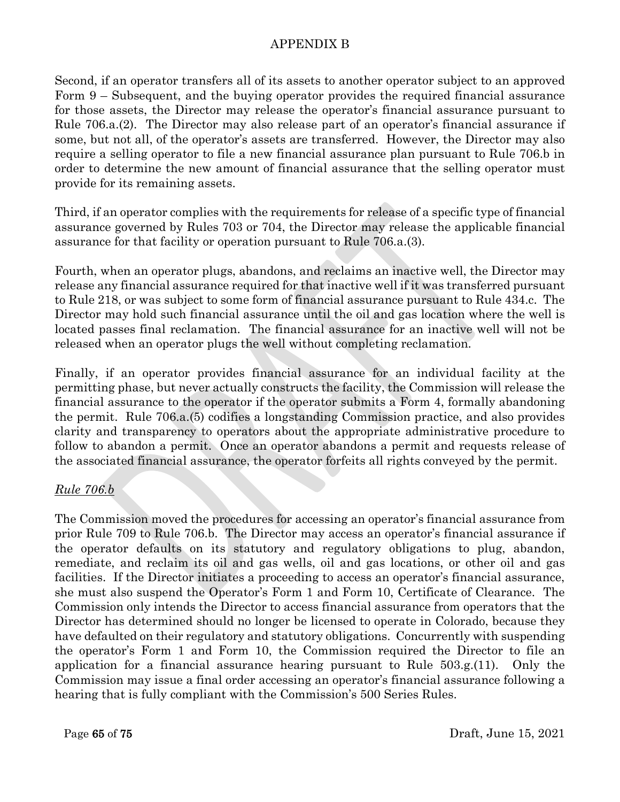Second, if an operator transfers all of its assets to another operator subject to an approved Form 9 – Subsequent, and the buying operator provides the required financial assurance for those assets, the Director may release the operator's financial assurance pursuant to Rule 706.a.(2). The Director may also release part of an operator's financial assurance if some, but not all, of the operator's assets are transferred. However, the Director may also require a selling operator to file a new financial assurance plan pursuant to Rule 706.b in order to determine the new amount of financial assurance that the selling operator must provide for its remaining assets.

Third, if an operator complies with the requirements for release of a specific type of financial assurance governed by Rules 703 or 704, the Director may release the applicable financial assurance for that facility or operation pursuant to Rule 706.a.(3).

Fourth, when an operator plugs, abandons, and reclaims an inactive well, the Director may release any financial assurance required for that inactive well if it was transferred pursuant to Rule 218, or was subject to some form of financial assurance pursuant to Rule 434.c. The Director may hold such financial assurance until the oil and gas location where the well is located passes final reclamation. The financial assurance for an inactive well will not be released when an operator plugs the well without completing reclamation.

Finally, if an operator provides financial assurance for an individual facility at the permitting phase, but never actually constructs the facility, the Commission will release the financial assurance to the operator if the operator submits a Form 4, formally abandoning the permit. Rule 706.a.(5) codifies a longstanding Commission practice, and also provides clarity and transparency to operators about the appropriate administrative procedure to follow to abandon a permit. Once an operator abandons a permit and requests release of the associated financial assurance, the operator forfeits all rights conveyed by the permit.

# *Rule 706.b*

The Commission moved the procedures for accessing an operator's financial assurance from prior Rule 709 to Rule 706.b. The Director may access an operator's financial assurance if the operator defaults on its statutory and regulatory obligations to plug, abandon, remediate, and reclaim its oil and gas wells, oil and gas locations, or other oil and gas facilities. If the Director initiates a proceeding to access an operator's financial assurance, she must also suspend the Operator's Form 1 and Form 10, Certificate of Clearance. The Commission only intends the Director to access financial assurance from operators that the Director has determined should no longer be licensed to operate in Colorado, because they have defaulted on their regulatory and statutory obligations. Concurrently with suspending the operator's Form 1 and Form 10, the Commission required the Director to file an application for a financial assurance hearing pursuant to Rule 503.g.(11). Only the Commission may issue a final order accessing an operator's financial assurance following a hearing that is fully compliant with the Commission's 500 Series Rules.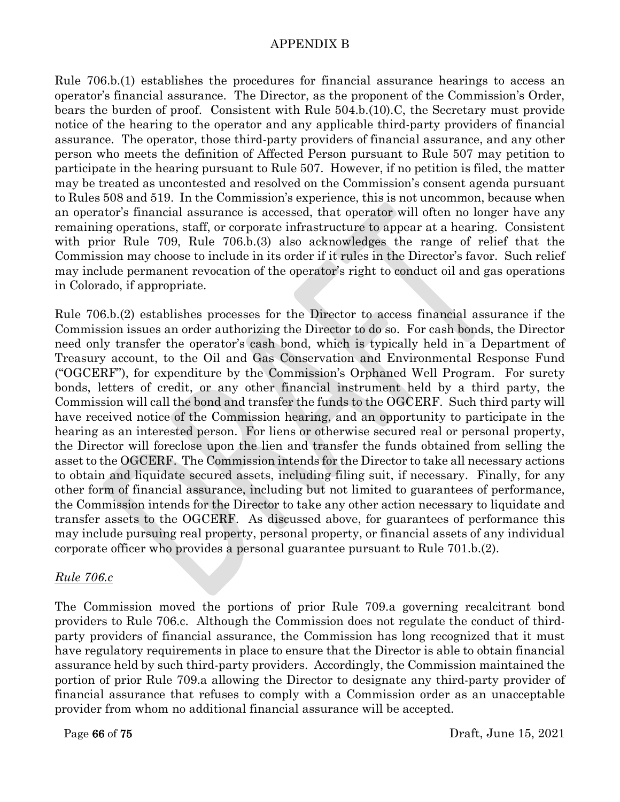Rule 706.b.(1) establishes the procedures for financial assurance hearings to access an operator's financial assurance. The Director, as the proponent of the Commission's Order, bears the burden of proof. Consistent with Rule 504.b.(10).C, the Secretary must provide notice of the hearing to the operator and any applicable third-party providers of financial assurance. The operator, those third-party providers of financial assurance, and any other person who meets the definition of Affected Person pursuant to Rule 507 may petition to participate in the hearing pursuant to Rule 507. However, if no petition is filed, the matter may be treated as uncontested and resolved on the Commission's consent agenda pursuant to Rules 508 and 519. In the Commission's experience, this is not uncommon, because when an operator's financial assurance is accessed, that operator will often no longer have any remaining operations, staff, or corporate infrastructure to appear at a hearing. Consistent with prior Rule 709, Rule 706.b.(3) also acknowledges the range of relief that the Commission may choose to include in its order if it rules in the Director's favor. Such relief may include permanent revocation of the operator's right to conduct oil and gas operations in Colorado, if appropriate.

Rule 706.b.(2) establishes processes for the Director to access financial assurance if the Commission issues an order authorizing the Director to do so. For cash bonds, the Director need only transfer the operator's cash bond, which is typically held in a Department of Treasury account, to the Oil and Gas Conservation and Environmental Response Fund ("OGCERF"), for expenditure by the Commission's Orphaned Well Program. For surety bonds, letters of credit, or any other financial instrument held by a third party, the Commission will call the bond and transfer the funds to the OGCERF. Such third party will have received notice of the Commission hearing, and an opportunity to participate in the hearing as an interested person. For liens or otherwise secured real or personal property, the Director will foreclose upon the lien and transfer the funds obtained from selling the asset to the OGCERF. The Commission intends for the Director to take all necessary actions to obtain and liquidate secured assets, including filing suit, if necessary. Finally, for any other form of financial assurance, including but not limited to guarantees of performance, the Commission intends for the Director to take any other action necessary to liquidate and transfer assets to the OGCERF. As discussed above, for guarantees of performance this may include pursuing real property, personal property, or financial assets of any individual corporate officer who provides a personal guarantee pursuant to Rule 701.b.(2).

#### *Rule 706.c*

The Commission moved the portions of prior Rule 709.a governing recalcitrant bond providers to Rule 706.c. Although the Commission does not regulate the conduct of thirdparty providers of financial assurance, the Commission has long recognized that it must have regulatory requirements in place to ensure that the Director is able to obtain financial assurance held by such third-party providers. Accordingly, the Commission maintained the portion of prior Rule 709.a allowing the Director to designate any third-party provider of financial assurance that refuses to comply with a Commission order as an unacceptable provider from whom no additional financial assurance will be accepted.

Page 66 of 75 Draft, June 15, 2021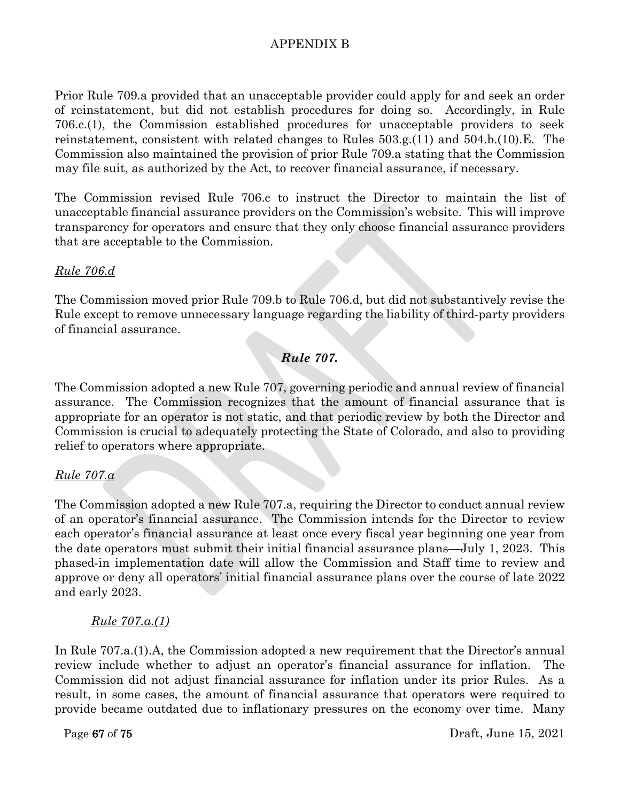Prior Rule 709.a provided that an unacceptable provider could apply for and seek an order of reinstatement, but did not establish procedures for doing so. Accordingly, in Rule 706.c.(1), the Commission established procedures for unacceptable providers to seek reinstatement, consistent with related changes to Rules 503.g.(11) and 504.b.(10).E. The Commission also maintained the provision of prior Rule 709.a stating that the Commission may file suit, as authorized by the Act, to recover financial assurance, if necessary.

The Commission revised Rule 706.c to instruct the Director to maintain the list of unacceptable financial assurance providers on the Commission's website. This will improve transparency for operators and ensure that they only choose financial assurance providers that are acceptable to the Commission.

### *Rule 706.d*

The Commission moved prior Rule 709.b to Rule 706.d, but did not substantively revise the Rule except to remove unnecessary language regarding the liability of third-party providers of financial assurance.

# *Rule 707.*

The Commission adopted a new Rule 707, governing periodic and annual review of financial assurance. The Commission recognizes that the amount of financial assurance that is appropriate for an operator is not static, and that periodic review by both the Director and Commission is crucial to adequately protecting the State of Colorado, and also to providing relief to operators where appropriate.

# *Rule 707.a*

The Commission adopted a new Rule 707.a, requiring the Director to conduct annual review of an operator's financial assurance. The Commission intends for the Director to review each operator's financial assurance at least once every fiscal year beginning one year from the date operators must submit their initial financial assurance plans—July 1, 2023. This phased-in implementation date will allow the Commission and Staff time to review and approve or deny all operators' initial financial assurance plans over the course of late 2022 and early 2023.

#### *Rule 707.a.(1)*

In Rule 707.a.(1).A, the Commission adopted a new requirement that the Director's annual review include whether to adjust an operator's financial assurance for inflation. The Commission did not adjust financial assurance for inflation under its prior Rules. As a result, in some cases, the amount of financial assurance that operators were required to provide became outdated due to inflationary pressures on the economy over time. Many

Page 67 of 75 Draft, June 15, 2021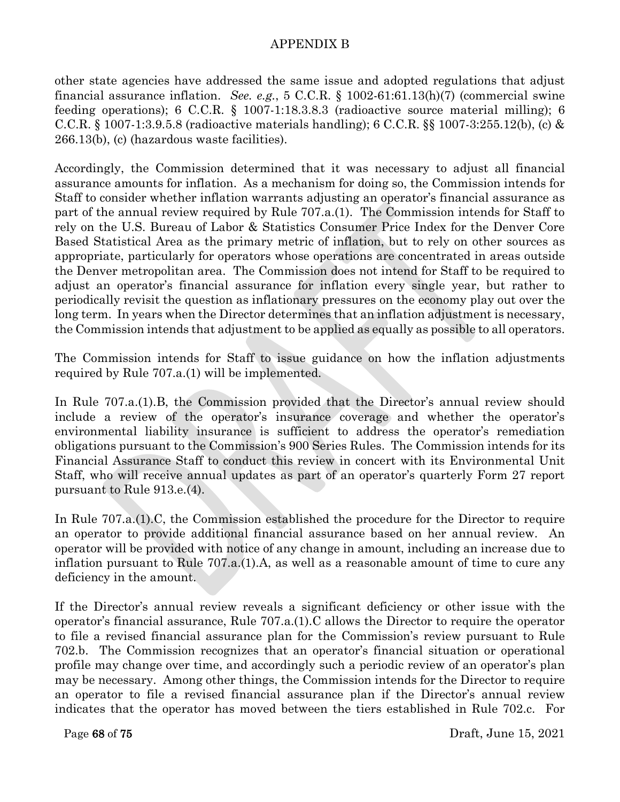other state agencies have addressed the same issue and adopted regulations that adjust financial assurance inflation. *See. e.g.*, 5 C.C.R. § 1002-61:61.13(h)(7) (commercial swine feeding operations); 6 C.C.R. § 1007-1:18.3.8.3 (radioactive source material milling); 6 C.C.R. § 1007-1:3.9.5.8 (radioactive materials handling); 6 C.C.R. §§ 1007-3:255.12(b), (c) & 266.13(b), (c) (hazardous waste facilities).

Accordingly, the Commission determined that it was necessary to adjust all financial assurance amounts for inflation. As a mechanism for doing so, the Commission intends for Staff to consider whether inflation warrants adjusting an operator's financial assurance as part of the annual review required by Rule 707.a.(1). The Commission intends for Staff to rely on the U.S. Bureau of Labor & Statistics Consumer Price Index for the Denver Core Based Statistical Area as the primary metric of inflation, but to rely on other sources as appropriate, particularly for operators whose operations are concentrated in areas outside the Denver metropolitan area. The Commission does not intend for Staff to be required to adjust an operator's financial assurance for inflation every single year, but rather to periodically revisit the question as inflationary pressures on the economy play out over the long term. In years when the Director determines that an inflation adjustment is necessary, the Commission intends that adjustment to be applied as equally as possible to all operators.

The Commission intends for Staff to issue guidance on how the inflation adjustments required by Rule 707.a.(1) will be implemented.

In Rule 707.a.(1).B, the Commission provided that the Director's annual review should include a review of the operator's insurance coverage and whether the operator's environmental liability insurance is sufficient to address the operator's remediation obligations pursuant to the Commission's 900 Series Rules. The Commission intends for its Financial Assurance Staff to conduct this review in concert with its Environmental Unit Staff, who will receive annual updates as part of an operator's quarterly Form 27 report pursuant to Rule 913.e.(4).

In Rule 707.a.(1).C, the Commission established the procedure for the Director to require an operator to provide additional financial assurance based on her annual review. An operator will be provided with notice of any change in amount, including an increase due to inflation pursuant to Rule 707.a.(1).A, as well as a reasonable amount of time to cure any deficiency in the amount.

If the Director's annual review reveals a significant deficiency or other issue with the operator's financial assurance, Rule 707.a.(1).C allows the Director to require the operator to file a revised financial assurance plan for the Commission's review pursuant to Rule 702.b. The Commission recognizes that an operator's financial situation or operational profile may change over time, and accordingly such a periodic review of an operator's plan may be necessary. Among other things, the Commission intends for the Director to require an operator to file a revised financial assurance plan if the Director's annual review indicates that the operator has moved between the tiers established in Rule 702.c. For

Page 68 of 75 Draft, June 15, 2021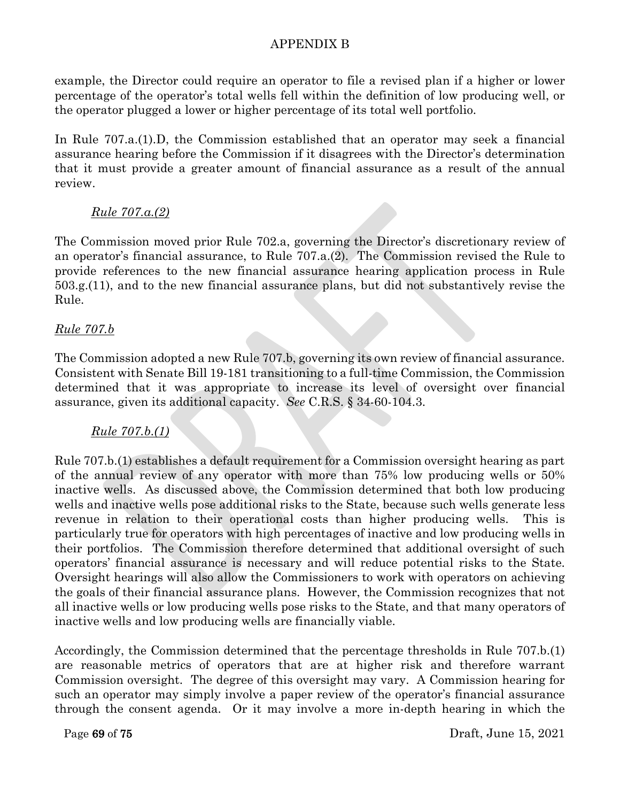example, the Director could require an operator to file a revised plan if a higher or lower percentage of the operator's total wells fell within the definition of low producing well, or the operator plugged a lower or higher percentage of its total well portfolio.

In Rule 707.a.(1).D, the Commission established that an operator may seek a financial assurance hearing before the Commission if it disagrees with the Director's determination that it must provide a greater amount of financial assurance as a result of the annual review.

# *Rule 707.a.(2)*

The Commission moved prior Rule 702.a, governing the Director's discretionary review of an operator's financial assurance, to Rule 707.a.(2). The Commission revised the Rule to provide references to the new financial assurance hearing application process in Rule 503.g.(11), and to the new financial assurance plans, but did not substantively revise the Rule.

# *Rule 707.b*

The Commission adopted a new Rule 707.b, governing its own review of financial assurance. Consistent with Senate Bill 19-181 transitioning to a full-time Commission, the Commission determined that it was appropriate to increase its level of oversight over financial assurance, given its additional capacity. *See* C.R.S. § 34-60-104.3.

# *Rule 707.b.(1)*

Rule 707.b.(1) establishes a default requirement for a Commission oversight hearing as part of the annual review of any operator with more than 75% low producing wells or 50% inactive wells. As discussed above, the Commission determined that both low producing wells and inactive wells pose additional risks to the State, because such wells generate less revenue in relation to their operational costs than higher producing wells. This is particularly true for operators with high percentages of inactive and low producing wells in their portfolios. The Commission therefore determined that additional oversight of such operators' financial assurance is necessary and will reduce potential risks to the State. Oversight hearings will also allow the Commissioners to work with operators on achieving the goals of their financial assurance plans. However, the Commission recognizes that not all inactive wells or low producing wells pose risks to the State, and that many operators of inactive wells and low producing wells are financially viable.

Accordingly, the Commission determined that the percentage thresholds in Rule 707.b.(1) are reasonable metrics of operators that are at higher risk and therefore warrant Commission oversight. The degree of this oversight may vary. A Commission hearing for such an operator may simply involve a paper review of the operator's financial assurance through the consent agenda. Or it may involve a more in-depth hearing in which the

Page 69 of 75 Draft, June 15, 2021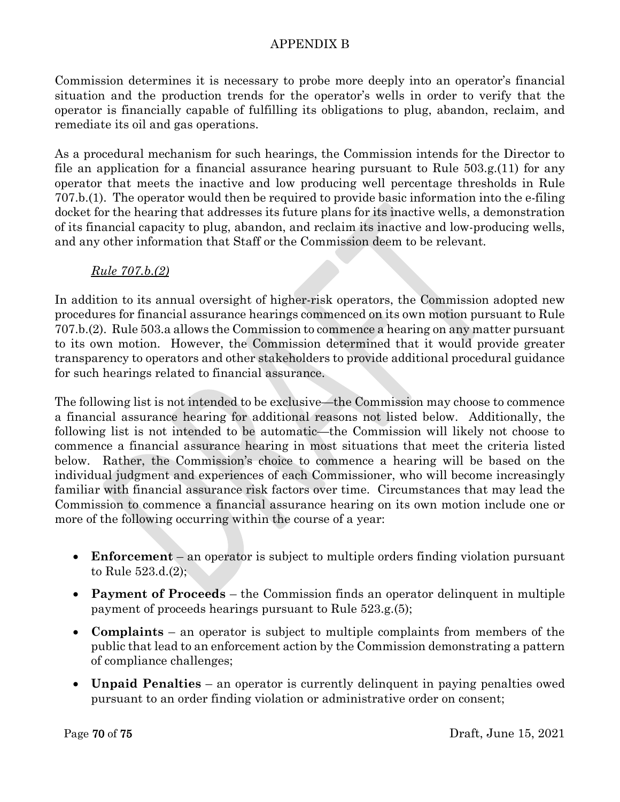Commission determines it is necessary to probe more deeply into an operator's financial situation and the production trends for the operator's wells in order to verify that the operator is financially capable of fulfilling its obligations to plug, abandon, reclaim, and remediate its oil and gas operations.

As a procedural mechanism for such hearings, the Commission intends for the Director to file an application for a financial assurance hearing pursuant to Rule 503.g.(11) for any operator that meets the inactive and low producing well percentage thresholds in Rule 707.b.(1). The operator would then be required to provide basic information into the e-filing docket for the hearing that addresses its future plans for its inactive wells, a demonstration of its financial capacity to plug, abandon, and reclaim its inactive and low-producing wells, and any other information that Staff or the Commission deem to be relevant.

# *Rule 707.b.(2)*

In addition to its annual oversight of higher-risk operators, the Commission adopted new procedures for financial assurance hearings commenced on its own motion pursuant to Rule 707.b.(2). Rule 503.a allows the Commission to commence a hearing on any matter pursuant to its own motion. However, the Commission determined that it would provide greater transparency to operators and other stakeholders to provide additional procedural guidance for such hearings related to financial assurance.

The following list is not intended to be exclusive—the Commission may choose to commence a financial assurance hearing for additional reasons not listed below. Additionally, the following list is not intended to be automatic—the Commission will likely not choose to commence a financial assurance hearing in most situations that meet the criteria listed below. Rather, the Commission's choice to commence a hearing will be based on the individual judgment and experiences of each Commissioner, who will become increasingly familiar with financial assurance risk factors over time. Circumstances that may lead the Commission to commence a financial assurance hearing on its own motion include one or more of the following occurring within the course of a year:

- **Enforcement** an operator is subject to multiple orders finding violation pursuant to Rule 523.d.(2);
- **Payment of Proceeds** the Commission finds an operator delinquent in multiple payment of proceeds hearings pursuant to Rule 523.g.(5);
- **Complaints** an operator is subject to multiple complaints from members of the public that lead to an enforcement action by the Commission demonstrating a pattern of compliance challenges;
- **Unpaid Penalties** an operator is currently delinquent in paying penalties owed pursuant to an order finding violation or administrative order on consent;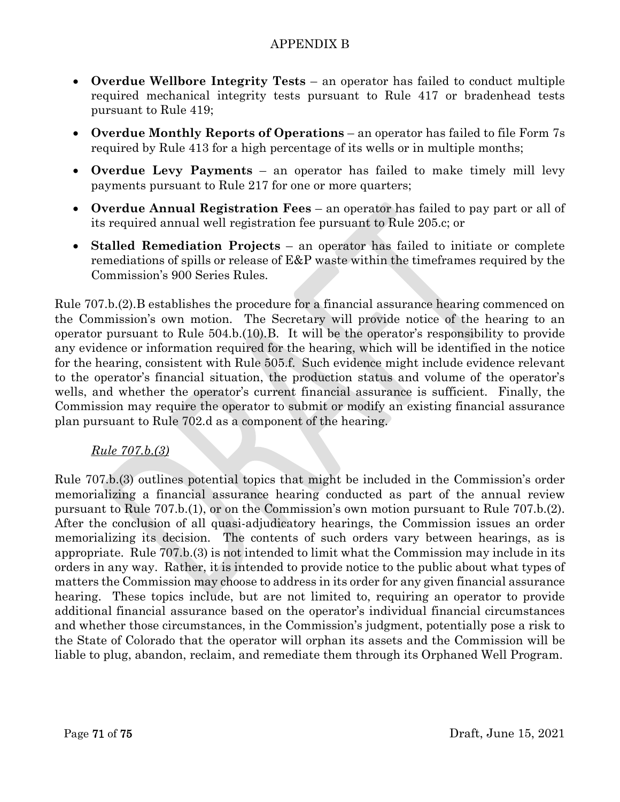- **Overdue Wellbore Integrity Tests** an operator has failed to conduct multiple required mechanical integrity tests pursuant to Rule 417 or bradenhead tests pursuant to Rule 419;
- **Overdue Monthly Reports of Operations** an operator has failed to file Form 7s required by Rule 413 for a high percentage of its wells or in multiple months;
- **Overdue Levy Payments** an operator has failed to make timely mill levy payments pursuant to Rule 217 for one or more quarters;
- **Overdue Annual Registration Fees** an operator has failed to pay part or all of its required annual well registration fee pursuant to Rule 205.c; or
- **Stalled Remediation Projects** an operator has failed to initiate or complete remediations of spills or release of E&P waste within the timeframes required by the Commission's 900 Series Rules.

Rule 707.b.(2).B establishes the procedure for a financial assurance hearing commenced on the Commission's own motion. The Secretary will provide notice of the hearing to an operator pursuant to Rule 504.b.(10).B. It will be the operator's responsibility to provide any evidence or information required for the hearing, which will be identified in the notice for the hearing, consistent with Rule 505.f. Such evidence might include evidence relevant to the operator's financial situation, the production status and volume of the operator's wells, and whether the operator's current financial assurance is sufficient. Finally, the Commission may require the operator to submit or modify an existing financial assurance plan pursuant to Rule 702.d as a component of the hearing.

# *Rule 707.b.(3)*

Rule 707.b.(3) outlines potential topics that might be included in the Commission's order memorializing a financial assurance hearing conducted as part of the annual review pursuant to Rule 707.b.(1), or on the Commission's own motion pursuant to Rule 707.b.(2). After the conclusion of all quasi-adjudicatory hearings, the Commission issues an order memorializing its decision. The contents of such orders vary between hearings, as is appropriate. Rule 707.b.(3) is not intended to limit what the Commission may include in its orders in any way. Rather, it is intended to provide notice to the public about what types of matters the Commission may choose to address in its order for any given financial assurance hearing. These topics include, but are not limited to, requiring an operator to provide additional financial assurance based on the operator's individual financial circumstances and whether those circumstances, in the Commission's judgment, potentially pose a risk to the State of Colorado that the operator will orphan its assets and the Commission will be liable to plug, abandon, reclaim, and remediate them through its Orphaned Well Program.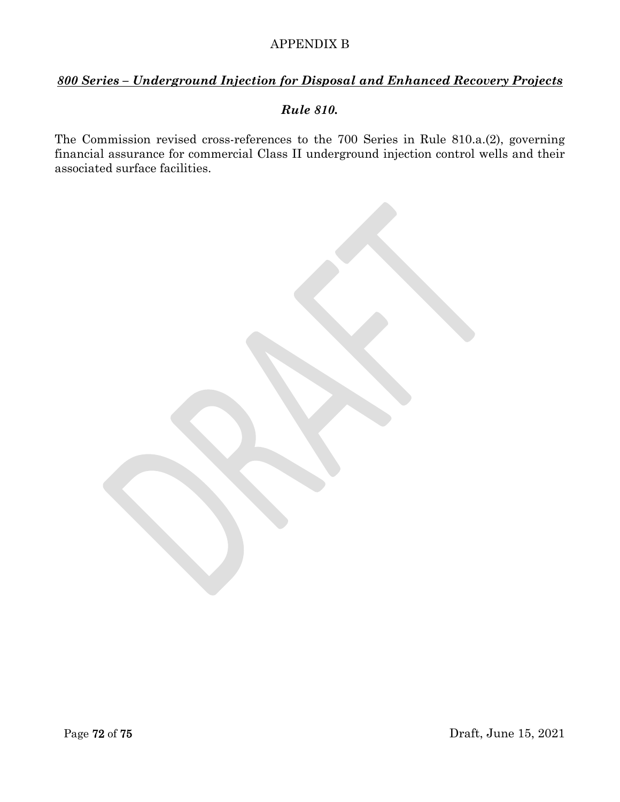# *800 Series – Underground Injection for Disposal and Enhanced Recovery Projects*

#### *Rule 810.*

The Commission revised cross-references to the 700 Series in Rule 810.a.(2), governing financial assurance for commercial Class II underground injection control wells and their associated surface facilities.

Page 72 of 75 Draft, June 15, 2021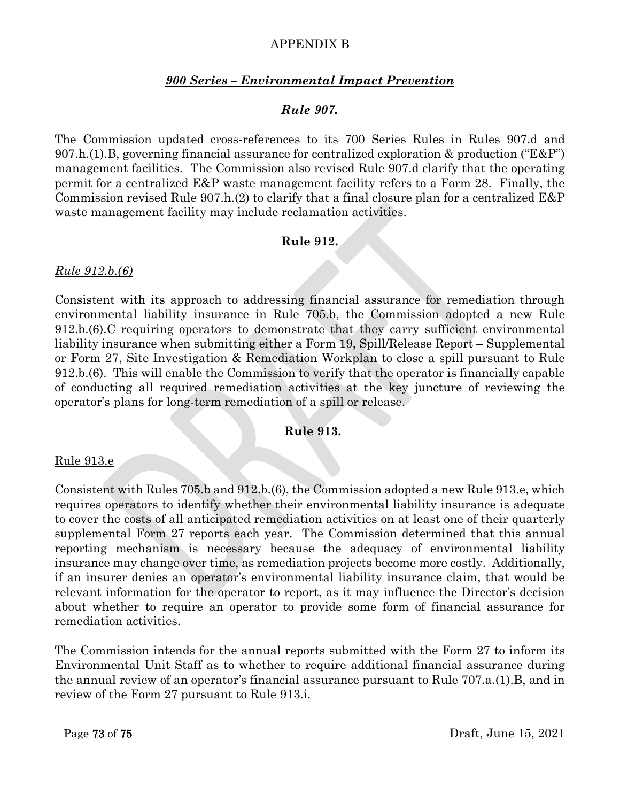# APPENDIX B

## *900 Series – Environmental Impact Prevention*

## *Rule 907.*

The Commission updated cross-references to its 700 Series Rules in Rules 907.d and 907.h.(1).B, governing financial assurance for centralized exploration  $\&$  production ("E&P") management facilities. The Commission also revised Rule 907.d clarify that the operating permit for a centralized E&P waste management facility refers to a Form 28. Finally, the Commission revised Rule 907.h.(2) to clarify that a final closure plan for a centralized E&P waste management facility may include reclamation activities.

## **Rule 912.**

## *Rule 912.b.(6)*

Consistent with its approach to addressing financial assurance for remediation through environmental liability insurance in Rule 705.b, the Commission adopted a new Rule 912.b.(6).C requiring operators to demonstrate that they carry sufficient environmental liability insurance when submitting either a Form 19, Spill/Release Report – Supplemental or Form 27, Site Investigation & Remediation Workplan to close a spill pursuant to Rule 912.b.(6). This will enable the Commission to verify that the operator is financially capable of conducting all required remediation activities at the key juncture of reviewing the operator's plans for long-term remediation of a spill or release.

## **Rule 913.**

#### Rule 913.e

Consistent with Rules 705.b and 912.b.(6), the Commission adopted a new Rule 913.e, which requires operators to identify whether their environmental liability insurance is adequate to cover the costs of all anticipated remediation activities on at least one of their quarterly supplemental Form 27 reports each year. The Commission determined that this annual reporting mechanism is necessary because the adequacy of environmental liability insurance may change over time, as remediation projects become more costly. Additionally, if an insurer denies an operator's environmental liability insurance claim, that would be relevant information for the operator to report, as it may influence the Director's decision about whether to require an operator to provide some form of financial assurance for remediation activities.

The Commission intends for the annual reports submitted with the Form 27 to inform its Environmental Unit Staff as to whether to require additional financial assurance during the annual review of an operator's financial assurance pursuant to Rule 707.a.(1).B, and in review of the Form 27 pursuant to Rule 913.i.

Page 73 of 75 Draft, June 15, 2021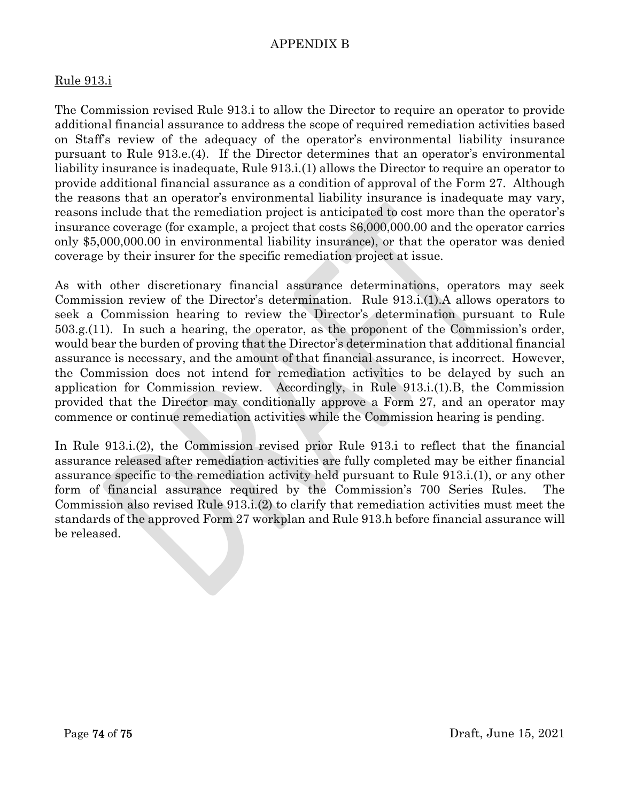# APPENDIX B

### Rule 913.i

The Commission revised Rule 913.i to allow the Director to require an operator to provide additional financial assurance to address the scope of required remediation activities based on Staff's review of the adequacy of the operator's environmental liability insurance pursuant to Rule 913.e.(4). If the Director determines that an operator's environmental liability insurance is inadequate, Rule 913.i.(1) allows the Director to require an operator to provide additional financial assurance as a condition of approval of the Form 27. Although the reasons that an operator's environmental liability insurance is inadequate may vary, reasons include that the remediation project is anticipated to cost more than the operator's insurance coverage (for example, a project that costs \$6,000,000.00 and the operator carries only \$5,000,000.00 in environmental liability insurance), or that the operator was denied coverage by their insurer for the specific remediation project at issue.

As with other discretionary financial assurance determinations, operators may seek Commission review of the Director's determination. Rule 913.i.(1).A allows operators to seek a Commission hearing to review the Director's determination pursuant to Rule 503.g.(11). In such a hearing, the operator, as the proponent of the Commission's order, would bear the burden of proving that the Director's determination that additional financial assurance is necessary, and the amount of that financial assurance, is incorrect. However, the Commission does not intend for remediation activities to be delayed by such an application for Commission review. Accordingly, in Rule 913.i.(1).B, the Commission provided that the Director may conditionally approve a Form 27, and an operator may commence or continue remediation activities while the Commission hearing is pending.

In Rule 913.i.(2), the Commission revised prior Rule 913.i to reflect that the financial assurance released after remediation activities are fully completed may be either financial assurance specific to the remediation activity held pursuant to Rule 913.i.(1), or any other form of financial assurance required by the Commission's 700 Series Rules. The Commission also revised Rule 913.i.(2) to clarify that remediation activities must meet the standards of the approved Form 27 workplan and Rule 913.h before financial assurance will be released.